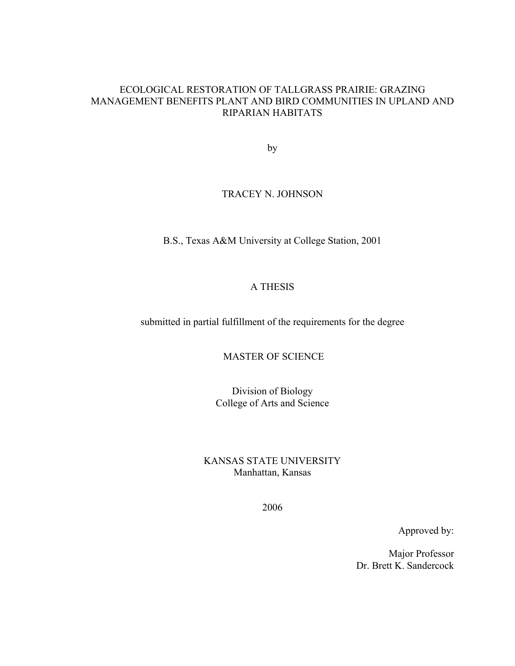#### ECOLOGICAL RESTORATION OF TALLGRASS PRAIRIE: GRAZING MANAGEMENT BENEFITS PLANT AND BIRD COMMUNITIES IN UPLAND AND RIPARIAN HABITATS

by

#### TRACEY N. JOHNSON

B.S., Texas A&M University at College Station, 2001

#### A THESIS

submitted in partial fulfillment of the requirements for the degree

MASTER OF SCIENCE

Division of Biology College of Arts and Science

KANSAS STATE UNIVERSITY Manhattan, Kansas

2006

Approved by:

Major Professor Dr. Brett K. Sandercock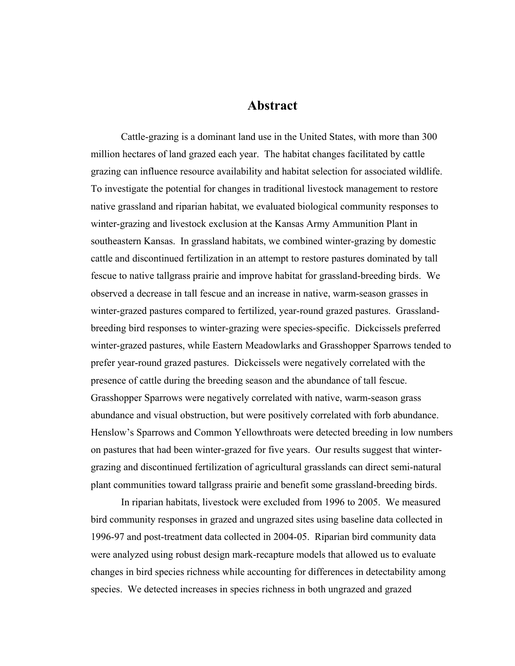### **Abstract**

Cattle-grazing is a dominant land use in the United States, with more than 300 million hectares of land grazed each year. The habitat changes facilitated by cattle grazing can influence resource availability and habitat selection for associated wildlife. To investigate the potential for changes in traditional livestock management to restore native grassland and riparian habitat, we evaluated biological community responses to winter-grazing and livestock exclusion at the Kansas Army Ammunition Plant in southeastern Kansas. In grassland habitats, we combined winter-grazing by domestic cattle and discontinued fertilization in an attempt to restore pastures dominated by tall fescue to native tallgrass prairie and improve habitat for grassland-breeding birds. We observed a decrease in tall fescue and an increase in native, warm-season grasses in winter-grazed pastures compared to fertilized, year-round grazed pastures. Grasslandbreeding bird responses to winter-grazing were species-specific. Dickcissels preferred winter-grazed pastures, while Eastern Meadowlarks and Grasshopper Sparrows tended to prefer year-round grazed pastures. Dickcissels were negatively correlated with the presence of cattle during the breeding season and the abundance of tall fescue. Grasshopper Sparrows were negatively correlated with native, warm-season grass abundance and visual obstruction, but were positively correlated with forb abundance. Henslow's Sparrows and Common Yellowthroats were detected breeding in low numbers on pastures that had been winter-grazed for five years. Our results suggest that wintergrazing and discontinued fertilization of agricultural grasslands can direct semi-natural plant communities toward tallgrass prairie and benefit some grassland-breeding birds.

In riparian habitats, livestock were excluded from 1996 to 2005. We measured bird community responses in grazed and ungrazed sites using baseline data collected in 1996-97 and post-treatment data collected in 2004-05. Riparian bird community data were analyzed using robust design mark-recapture models that allowed us to evaluate changes in bird species richness while accounting for differences in detectability among species. We detected increases in species richness in both ungrazed and grazed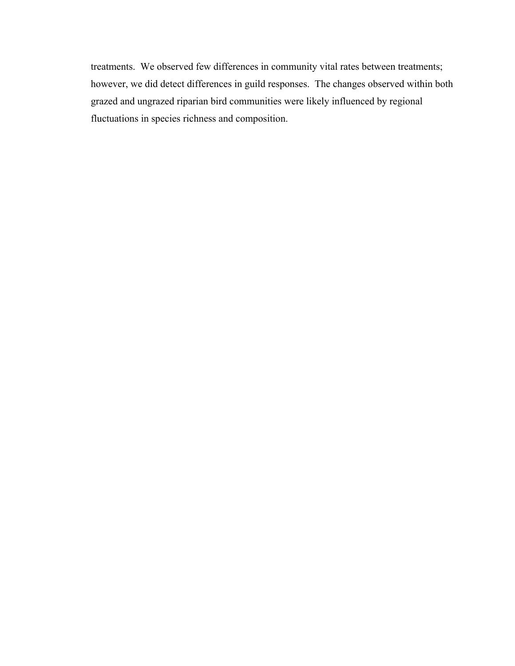treatments. We observed few differences in community vital rates between treatments; however, we did detect differences in guild responses. The changes observed within both grazed and ungrazed riparian bird communities were likely influenced by regional fluctuations in species richness and composition.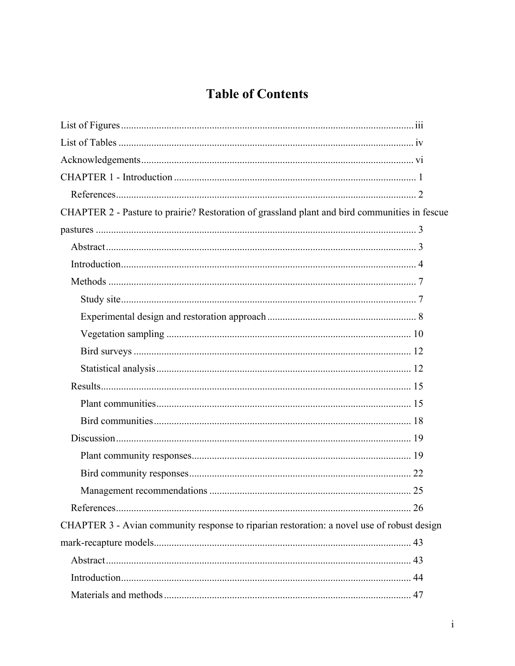# **Table of Contents**

| CHAPTER 2 - Pasture to prairie? Restoration of grassland plant and bird communities in fescue |    |
|-----------------------------------------------------------------------------------------------|----|
|                                                                                               |    |
|                                                                                               |    |
|                                                                                               |    |
|                                                                                               |    |
|                                                                                               |    |
|                                                                                               |    |
|                                                                                               |    |
|                                                                                               |    |
|                                                                                               |    |
|                                                                                               |    |
|                                                                                               |    |
|                                                                                               |    |
|                                                                                               |    |
|                                                                                               |    |
|                                                                                               |    |
|                                                                                               |    |
|                                                                                               | 26 |
| CHAPTER 3 - Avian community response to riparian restoration: a novel use of robust design    |    |
|                                                                                               |    |
|                                                                                               |    |
|                                                                                               |    |
|                                                                                               |    |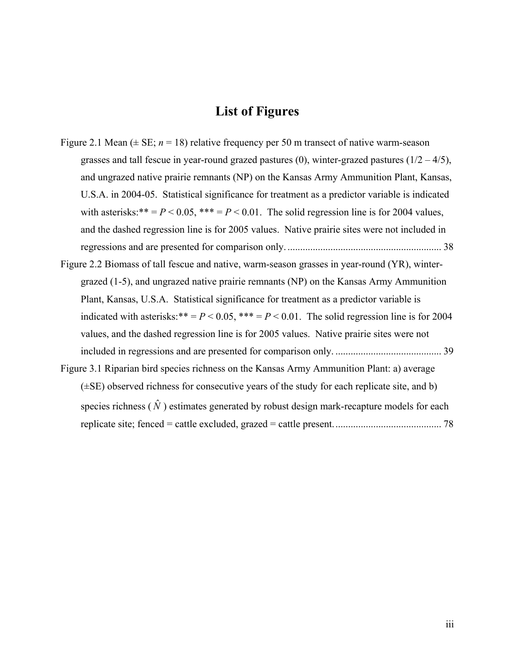### **List of Figures**

- <span id="page-5-0"></span>Figure 2.1 Mean  $(\pm \text{SE}; n = 18)$  relative frequency per 50 m transect of native warm-season grasses and tall fescue in year-round grazed pastures (0), winter-grazed pastures  $(1/2 - 4/5)$ , [and ungrazed native prairie remnants \(NP\) on the Kansas Army Ammunition Plant, Kansas,](#page-47-0)  [U.S.A. in 2004-05. Statistical significance for treatment as a predictor variable is indicated](#page-47-0)  with asterisks:\*\* =  $P$  < 0.05, \*\*\* =  $P$  < 0.01. The solid regression line is for 2004 values, [and the dashed regression line is for 2005 values. Native prairie sites were not included in](#page-47-0)  [regressions and are presented for comparison only.](#page-47-0) ............................................................. 38
- [Figure 2.2 Biomass of tall fescue and native, warm-season grasses in year-round \(YR\), winter](#page-48-0)[grazed \(1-5\), and ungrazed native prairie remnants \(NP\) on the Kansas Army Ammunition](#page-48-0)  [Plant, Kansas, U.S.A. Statistical significance for treatment as a predictor variable is](#page-48-0)  indicated with asterisks:\*\* =  $P$  < 0.05, \*\*\* =  $P$  < 0.01. The solid regression line is for 2004 [values, and the dashed regression line is for 2005 values. Native prairie sites were not](#page-48-0)  [included in regressions and are presented for comparison only.](#page-48-0) .......................................... 39
- [Figure 3.1 Riparian bird species richness on the Kansas Army Ammunition Plant: a\) average](#page-87-0)   $(\pm SE)$  observed richness for consecutive years of the study for each replicate site, and b) species richness  $(\hat{N})$  estimates generated by robust design mark-recapture models for each [replicate site; fenced = cattle excluded, grazed = cattle present........................................... 78](#page-87-0)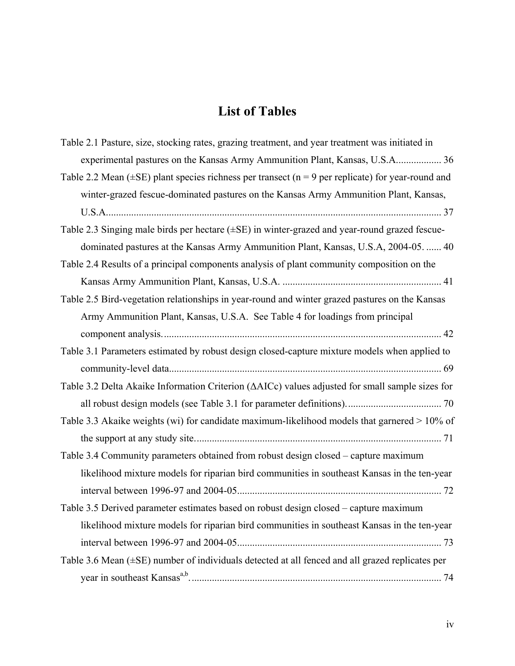# **List of Tables**

<span id="page-6-0"></span>

| Table 2.1 Pasture, size, stocking rates, grazing treatment, and year treatment was initiated in              |
|--------------------------------------------------------------------------------------------------------------|
| experimental pastures on the Kansas Army Ammunition Plant, Kansas, U.S.A 36                                  |
| Table 2.2 Mean ( $\pm$ SE) plant species richness per transect ( $n = 9$ per replicate) for year-round and   |
| winter-grazed fescue-dominated pastures on the Kansas Army Ammunition Plant, Kansas,                         |
|                                                                                                              |
| Table 2.3 Singing male birds per hectare $(\pm SE)$ in winter-grazed and year-round grazed fescue-           |
| dominated pastures at the Kansas Army Ammunition Plant, Kansas, U.S.A, 2004-05.  40                          |
| Table 2.4 Results of a principal components analysis of plant community composition on the                   |
|                                                                                                              |
| Table 2.5 Bird-vegetation relationships in year-round and winter grazed pastures on the Kansas               |
| Army Ammunition Plant, Kansas, U.S.A. See Table 4 for loadings from principal                                |
|                                                                                                              |
| Table 3.1 Parameters estimated by robust design closed-capture mixture models when applied to                |
|                                                                                                              |
| Table 3.2 Delta Akaike Information Criterion ( $\triangle AICc$ ) values adjusted for small sample sizes for |
|                                                                                                              |
| Table 3.3 Akaike weights (wi) for candidate maximum-likelihood models that garnered > 10% of                 |
|                                                                                                              |
| Table 3.4 Community parameters obtained from robust design closed - capture maximum                          |
| likelihood mixture models for riparian bird communities in southeast Kansas in the ten-year                  |
|                                                                                                              |
| Table 3.5 Derived parameter estimates based on robust design closed – capture maximum                        |
|                                                                                                              |
| likelihood mixture models for riparian bird communities in southeast Kansas in the ten-year                  |
|                                                                                                              |
| Table 3.6 Mean (±SE) number of individuals detected at all fenced and all grazed replicates per              |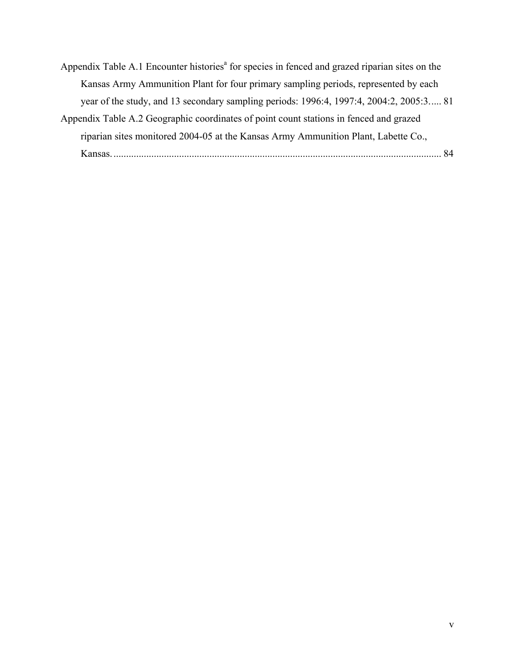- Appendix Table A.1 Encounter histories<sup>a</sup> for species in fenced and grazed riparian sites on the [Kansas Army Ammunition Plant for four primary sampling periods, represented by each](#page-90-0)  [year of the study, and 13 secondary sampling periods: 1996:4, 1997:4, 2004:2, 2005:3..... 81](#page-90-0)
- [Appendix Table A.2 Geographic coordinates of point count stations in fenced and grazed](#page-93-0)  [riparian sites monitored 2004-05 at the Kansas Army Ammunition Plant, Labette Co.,](#page-93-0)  [Kansas................................................................................................................................... 84](#page-93-0)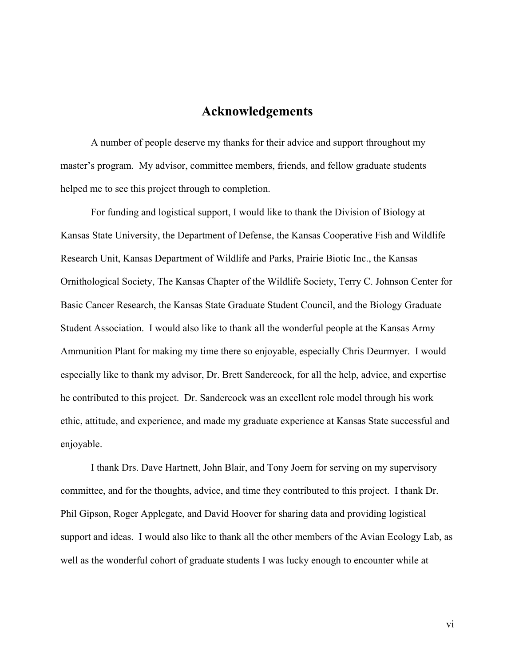### **Acknowledgements**

<span id="page-8-0"></span>A number of people deserve my thanks for their advice and support throughout my master's program. My advisor, committee members, friends, and fellow graduate students helped me to see this project through to completion.

For funding and logistical support, I would like to thank the Division of Biology at Kansas State University, the Department of Defense, the Kansas Cooperative Fish and Wildlife Research Unit, Kansas Department of Wildlife and Parks, Prairie Biotic Inc., the Kansas Ornithological Society, The Kansas Chapter of the Wildlife Society, Terry C. Johnson Center for Basic Cancer Research, the Kansas State Graduate Student Council, and the Biology Graduate Student Association. I would also like to thank all the wonderful people at the Kansas Army Ammunition Plant for making my time there so enjoyable, especially Chris Deurmyer. I would especially like to thank my advisor, Dr. Brett Sandercock, for all the help, advice, and expertise he contributed to this project. Dr. Sandercock was an excellent role model through his work ethic, attitude, and experience, and made my graduate experience at Kansas State successful and enjoyable.

I thank Drs. Dave Hartnett, John Blair, and Tony Joern for serving on my supervisory committee, and for the thoughts, advice, and time they contributed to this project. I thank Dr. Phil Gipson, Roger Applegate, and David Hoover for sharing data and providing logistical support and ideas. I would also like to thank all the other members of the Avian Ecology Lab, as well as the wonderful cohort of graduate students I was lucky enough to encounter while at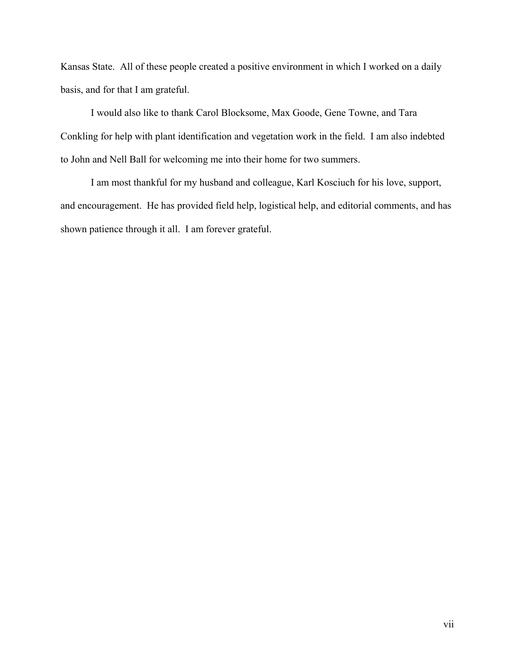Kansas State. All of these people created a positive environment in which I worked on a daily basis, and for that I am grateful.

I would also like to thank Carol Blocksome, Max Goode, Gene Towne, and Tara Conkling for help with plant identification and vegetation work in the field. I am also indebted to John and Nell Ball for welcoming me into their home for two summers.

I am most thankful for my husband and colleague, Karl Kosciuch for his love, support, and encouragement. He has provided field help, logistical help, and editorial comments, and has shown patience through it all. I am forever grateful.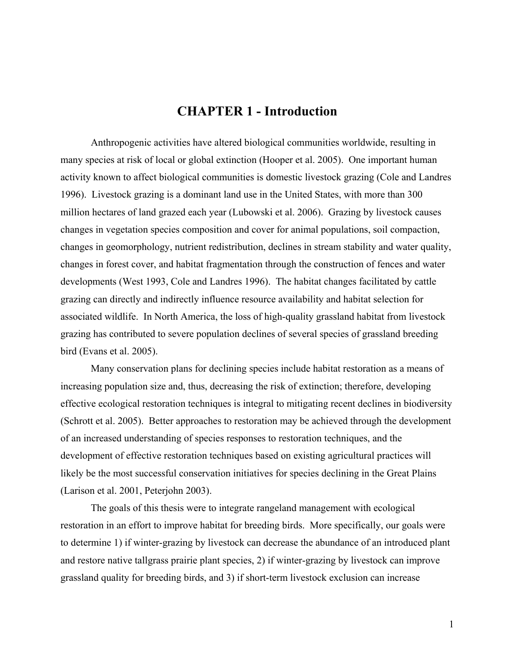## **CHAPTER 1 - Introduction**

<span id="page-10-0"></span>Anthropogenic activities have altered biological communities worldwide, resulting in many species at risk of local or global extinction (Hooper et al. 2005). One important human activity known to affect biological communities is domestic livestock grazing (Cole and Landres 1996). Livestock grazing is a dominant land use in the United States, with more than 300 million hectares of land grazed each year (Lubowski et al. 2006). Grazing by livestock causes changes in vegetation species composition and cover for animal populations, soil compaction, changes in geomorphology, nutrient redistribution, declines in stream stability and water quality, changes in forest cover, and habitat fragmentation through the construction of fences and water developments (West 1993, Cole and Landres 1996). The habitat changes facilitated by cattle grazing can directly and indirectly influence resource availability and habitat selection for associated wildlife. In North America, the loss of high-quality grassland habitat from livestock grazing has contributed to severe population declines of several species of grassland breeding bird (Evans et al. 2005).

Many conservation plans for declining species include habitat restoration as a means of increasing population size and, thus, decreasing the risk of extinction; therefore, developing effective ecological restoration techniques is integral to mitigating recent declines in biodiversity (Schrott et al. 2005). Better approaches to restoration may be achieved through the development of an increased understanding of species responses to restoration techniques, and the development of effective restoration techniques based on existing agricultural practices will likely be the most successful conservation initiatives for species declining in the Great Plains (Larison et al. 2001, Peterjohn 2003).

The goals of this thesis were to integrate rangeland management with ecological restoration in an effort to improve habitat for breeding birds. More specifically, our goals were to determine 1) if winter-grazing by livestock can decrease the abundance of an introduced plant and restore native tallgrass prairie plant species, 2) if winter-grazing by livestock can improve grassland quality for breeding birds, and 3) if short-term livestock exclusion can increase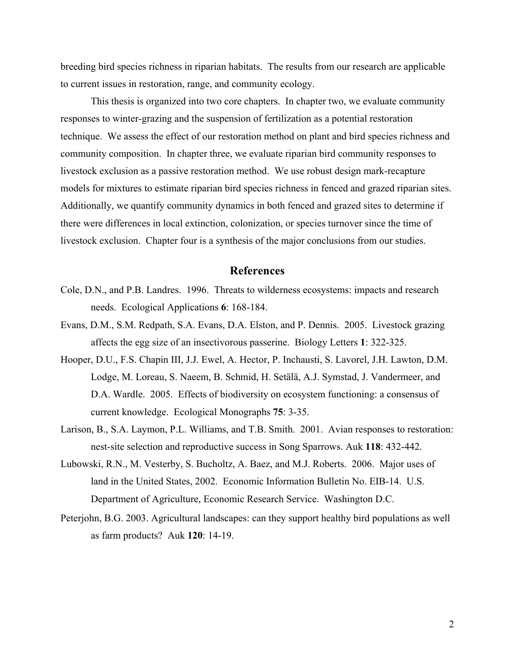<span id="page-11-0"></span>breeding bird species richness in riparian habitats. The results from our research are applicable to current issues in restoration, range, and community ecology.

This thesis is organized into two core chapters. In chapter two, we evaluate community responses to winter-grazing and the suspension of fertilization as a potential restoration technique. We assess the effect of our restoration method on plant and bird species richness and community composition. In chapter three, we evaluate riparian bird community responses to livestock exclusion as a passive restoration method. We use robust design mark-recapture models for mixtures to estimate riparian bird species richness in fenced and grazed riparian sites. Additionally, we quantify community dynamics in both fenced and grazed sites to determine if there were differences in local extinction, colonization, or species turnover since the time of livestock exclusion. Chapter four is a synthesis of the major conclusions from our studies.

#### **References**

- Cole, D.N., and P.B. Landres. 1996. Threats to wilderness ecosystems: impacts and research needs. Ecological Applications **6**: 168-184.
- Evans, D.M., S.M. Redpath, S.A. Evans, D.A. Elston, and P. Dennis. 2005. Livestock grazing affects the egg size of an insectivorous passerine. Biology Letters **1**: 322-325.
- Hooper, D.U., F.S. Chapin III, J.J. Ewel, A. Hector, P. Inchausti, S. Lavorel, J.H. Lawton, D.M. Lodge, M. Loreau, S. Naeem, B. Schmid, H. Setälä, A.J. Symstad, J. Vandermeer, and D.A. Wardle. 2005. Effects of biodiversity on ecosystem functioning: a consensus of current knowledge. Ecological Monographs **75**: 3-35.
- Larison, B., S.A. Laymon, P.L. Williams, and T.B. Smith. 2001. Avian responses to restoration: nest-site selection and reproductive success in Song Sparrows. Auk **118**: 432-442.
- Lubowski, R.N., M. Vesterby, S. Bucholtz, A. Baez, and M.J. Roberts. 2006. Major uses of land in the United States, 2002. Economic Information Bulletin No. EIB-14. U.S. Department of Agriculture, Economic Research Service. Washington D.C.
- Peterjohn, B.G. 2003. Agricultural landscapes: can they support healthy bird populations as well as farm products? Auk **120**: 14-19.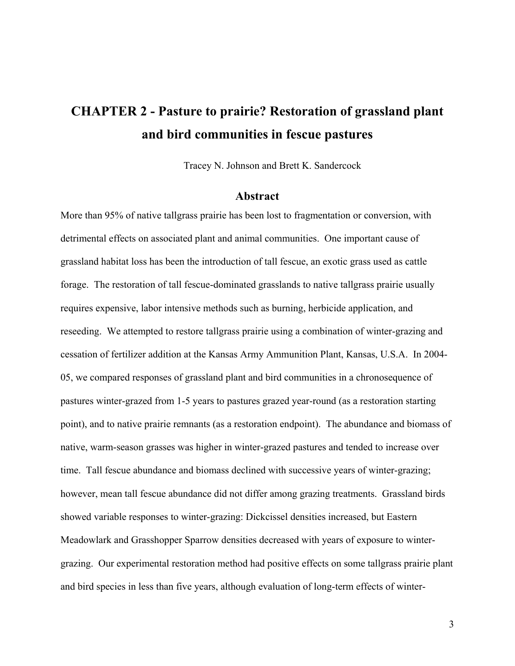# <span id="page-12-0"></span>**CHAPTER 2 - Pasture to prairie? Restoration of grassland plant and bird communities in fescue pastures**

Tracey N. Johnson and Brett K. Sandercock

#### **Abstract**

More than 95% of native tallgrass prairie has been lost to fragmentation or conversion, with detrimental effects on associated plant and animal communities. One important cause of grassland habitat loss has been the introduction of tall fescue, an exotic grass used as cattle forage. The restoration of tall fescue-dominated grasslands to native tallgrass prairie usually requires expensive, labor intensive methods such as burning, herbicide application, and reseeding. We attempted to restore tallgrass prairie using a combination of winter-grazing and cessation of fertilizer addition at the Kansas Army Ammunition Plant, Kansas, U.S.A. In 2004- 05, we compared responses of grassland plant and bird communities in a chronosequence of pastures winter-grazed from 1-5 years to pastures grazed year-round (as a restoration starting point), and to native prairie remnants (as a restoration endpoint). The abundance and biomass of native, warm-season grasses was higher in winter-grazed pastures and tended to increase over time. Tall fescue abundance and biomass declined with successive years of winter-grazing; however, mean tall fescue abundance did not differ among grazing treatments. Grassland birds showed variable responses to winter-grazing: Dickcissel densities increased, but Eastern Meadowlark and Grasshopper Sparrow densities decreased with years of exposure to wintergrazing. Our experimental restoration method had positive effects on some tallgrass prairie plant and bird species in less than five years, although evaluation of long-term effects of winter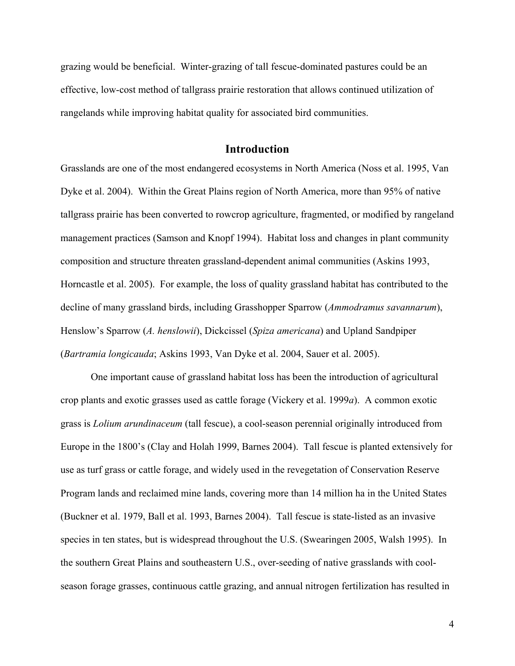<span id="page-13-0"></span>grazing would be beneficial. Winter-grazing of tall fescue-dominated pastures could be an effective, low-cost method of tallgrass prairie restoration that allows continued utilization of rangelands while improving habitat quality for associated bird communities.

#### **Introduction**

Grasslands are one of the most endangered ecosystems in North America (Noss et al. 1995, Van Dyke et al. 2004). Within the Great Plains region of North America, more than 95% of native tallgrass prairie has been converted to rowcrop agriculture, fragmented, or modified by rangeland management practices (Samson and Knopf 1994). Habitat loss and changes in plant community composition and structure threaten grassland-dependent animal communities (Askins 1993, Horncastle et al. 2005). For example, the loss of quality grassland habitat has contributed to the decline of many grassland birds, including Grasshopper Sparrow (*Ammodramus savannarum*), Henslow's Sparrow (*A. henslowii*), Dickcissel (*Spiza americana*) and Upland Sandpiper (*Bartramia longicauda*; Askins 1993, Van Dyke et al. 2004, Sauer et al. 2005).

One important cause of grassland habitat loss has been the introduction of agricultural crop plants and exotic grasses used as cattle forage (Vickery et al. 1999*a*). A common exotic grass is *Lolium arundinaceum* (tall fescue), a cool-season perennial originally introduced from Europe in the 1800's (Clay and Holah 1999, Barnes 2004). Tall fescue is planted extensively for use as turf grass or cattle forage, and widely used in the revegetation of Conservation Reserve Program lands and reclaimed mine lands, covering more than 14 million ha in the United States (Buckner et al. 1979, Ball et al. 1993, Barnes 2004). Tall fescue is state-listed as an invasive species in ten states, but is widespread throughout the U.S. (Swearingen 2005, Walsh 1995). In the southern Great Plains and southeastern U.S., over-seeding of native grasslands with coolseason forage grasses, continuous cattle grazing, and annual nitrogen fertilization has resulted in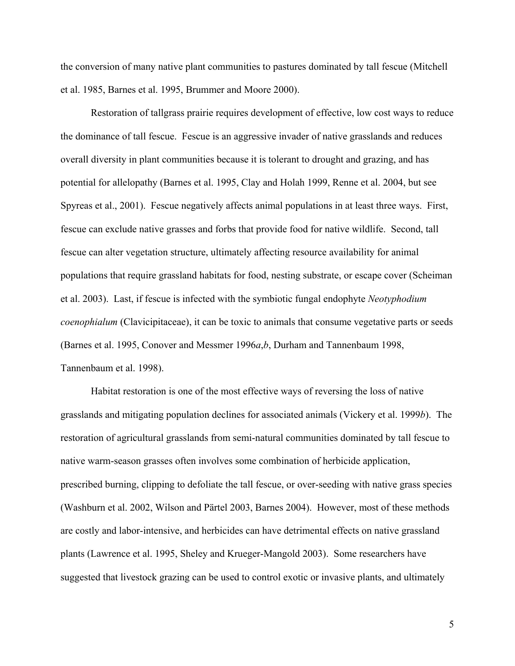the conversion of many native plant communities to pastures dominated by tall fescue (Mitchell et al. 1985, Barnes et al. 1995, Brummer and Moore 2000).

Restoration of tallgrass prairie requires development of effective, low cost ways to reduce the dominance of tall fescue. Fescue is an aggressive invader of native grasslands and reduces overall diversity in plant communities because it is tolerant to drought and grazing, and has potential for allelopathy (Barnes et al. 1995, Clay and Holah 1999, Renne et al. 2004, but see Spyreas et al., 2001). Fescue negatively affects animal populations in at least three ways. First, fescue can exclude native grasses and forbs that provide food for native wildlife. Second, tall fescue can alter vegetation structure, ultimately affecting resource availability for animal populations that require grassland habitats for food, nesting substrate, or escape cover (Scheiman et al. 2003). Last, if fescue is infected with the symbiotic fungal endophyte *Neotyphodium coenophialum* (Clavicipitaceae), it can be toxic to animals that consume vegetative parts or seeds (Barnes et al. 1995, Conover and Messmer 1996*a*,*b*, Durham and Tannenbaum 1998, Tannenbaum et al. 1998).

Habitat restoration is one of the most effective ways of reversing the loss of native grasslands and mitigating population declines for associated animals (Vickery et al. 1999*b*). The restoration of agricultural grasslands from semi-natural communities dominated by tall fescue to native warm-season grasses often involves some combination of herbicide application, prescribed burning, clipping to defoliate the tall fescue, or over-seeding with native grass species (Washburn et al. 2002, Wilson and Pärtel 2003, Barnes 2004). However, most of these methods are costly and labor-intensive, and herbicides can have detrimental effects on native grassland plants (Lawrence et al. 1995, Sheley and Krueger-Mangold 2003). Some researchers have suggested that livestock grazing can be used to control exotic or invasive plants, and ultimately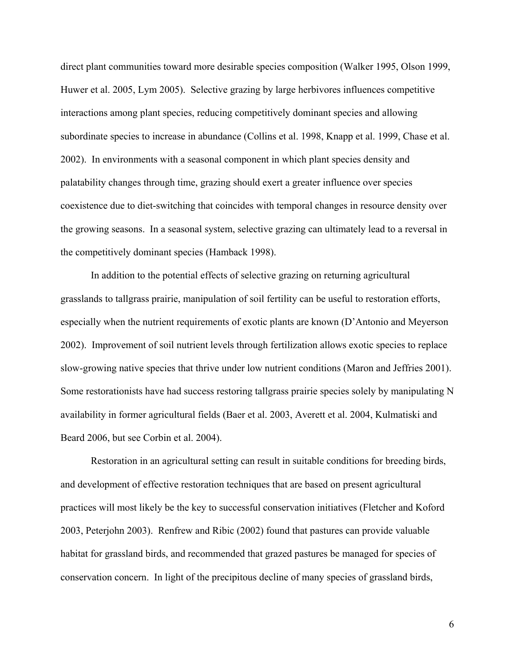direct plant communities toward more desirable species composition (Walker 1995, Olson 1999, Huwer et al. 2005, Lym 2005). Selective grazing by large herbivores influences competitive interactions among plant species, reducing competitively dominant species and allowing subordinate species to increase in abundance (Collins et al. 1998, Knapp et al. 1999, Chase et al. 2002). In environments with a seasonal component in which plant species density and palatability changes through time, grazing should exert a greater influence over species coexistence due to diet-switching that coincides with temporal changes in resource density over the growing seasons. In a seasonal system, selective grazing can ultimately lead to a reversal in the competitively dominant species (Hamback 1998).

In addition to the potential effects of selective grazing on returning agricultural grasslands to tallgrass prairie, manipulation of soil fertility can be useful to restoration efforts, especially when the nutrient requirements of exotic plants are known (D'Antonio and Meyerson 2002). Improvement of soil nutrient levels through fertilization allows exotic species to replace slow-growing native species that thrive under low nutrient conditions (Maron and Jeffries 2001). Some restorationists have had success restoring tallgrass prairie species solely by manipulating N availability in former agricultural fields (Baer et al. 2003, Averett et al. 2004, Kulmatiski and Beard 2006, but see Corbin et al. 2004).

Restoration in an agricultural setting can result in suitable conditions for breeding birds, and development of effective restoration techniques that are based on present agricultural practices will most likely be the key to successful conservation initiatives (Fletcher and Koford 2003, Peterjohn 2003). Renfrew and Ribic (2002) found that pastures can provide valuable habitat for grassland birds, and recommended that grazed pastures be managed for species of conservation concern. In light of the precipitous decline of many species of grassland birds,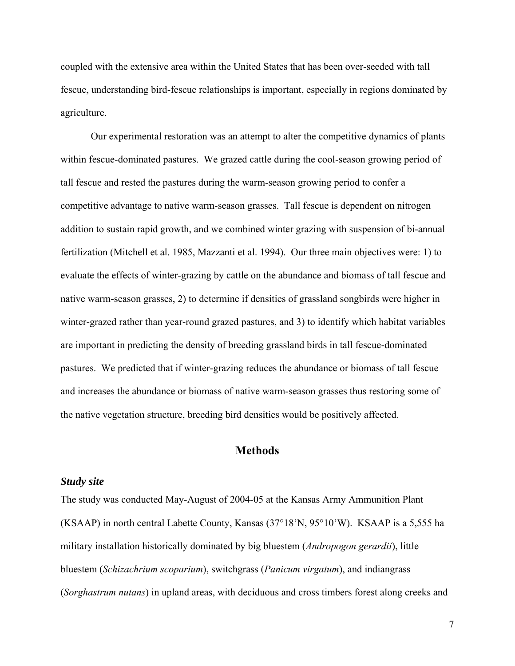<span id="page-16-0"></span>coupled with the extensive area within the United States that has been over-seeded with tall fescue, understanding bird-fescue relationships is important, especially in regions dominated by agriculture.

Our experimental restoration was an attempt to alter the competitive dynamics of plants within fescue-dominated pastures. We grazed cattle during the cool-season growing period of tall fescue and rested the pastures during the warm-season growing period to confer a competitive advantage to native warm-season grasses. Tall fescue is dependent on nitrogen addition to sustain rapid growth, and we combined winter grazing with suspension of bi-annual fertilization (Mitchell et al. 1985, Mazzanti et al. 1994). Our three main objectives were: 1) to evaluate the effects of winter-grazing by cattle on the abundance and biomass of tall fescue and native warm-season grasses, 2) to determine if densities of grassland songbirds were higher in winter-grazed rather than year-round grazed pastures, and 3) to identify which habitat variables are important in predicting the density of breeding grassland birds in tall fescue-dominated pastures. We predicted that if winter-grazing reduces the abundance or biomass of tall fescue and increases the abundance or biomass of native warm-season grasses thus restoring some of the native vegetation structure, breeding bird densities would be positively affected.

#### **Methods**

#### *Study site*

The study was conducted May-August of 2004-05 at the Kansas Army Ammunition Plant (KSAAP) in north central Labette County, Kansas (37°18'N, 95°10'W). KSAAP is a 5,555 ha military installation historically dominated by big bluestem (*Andropogon gerardii*), little bluestem (*Schizachrium scoparium*), switchgrass (*Panicum virgatum*), and indiangrass (*Sorghastrum nutans*) in upland areas, with deciduous and cross timbers forest along creeks and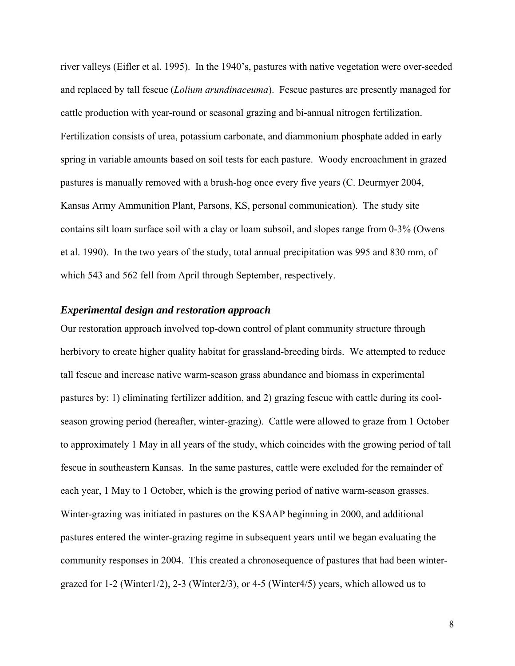<span id="page-17-0"></span>river valleys (Eifler et al. 1995). In the 1940's, pastures with native vegetation were over-seeded and replaced by tall fescue (*Lolium arundinaceuma*). Fescue pastures are presently managed for cattle production with year-round or seasonal grazing and bi-annual nitrogen fertilization. Fertilization consists of urea, potassium carbonate, and diammonium phosphate added in early spring in variable amounts based on soil tests for each pasture. Woody encroachment in grazed pastures is manually removed with a brush-hog once every five years (C. Deurmyer 2004, Kansas Army Ammunition Plant, Parsons, KS, personal communication). The study site contains silt loam surface soil with a clay or loam subsoil, and slopes range from 0-3% (Owens et al. 1990). In the two years of the study, total annual precipitation was 995 and 830 mm, of which 543 and 562 fell from April through September, respectively.

#### *Experimental design and restoration approach*

Our restoration approach involved top-down control of plant community structure through herbivory to create higher quality habitat for grassland-breeding birds. We attempted to reduce tall fescue and increase native warm-season grass abundance and biomass in experimental pastures by: 1) eliminating fertilizer addition, and 2) grazing fescue with cattle during its coolseason growing period (hereafter, winter-grazing). Cattle were allowed to graze from 1 October to approximately 1 May in all years of the study, which coincides with the growing period of tall fescue in southeastern Kansas. In the same pastures, cattle were excluded for the remainder of each year, 1 May to 1 October, which is the growing period of native warm-season grasses. Winter-grazing was initiated in pastures on the KSAAP beginning in 2000, and additional pastures entered the winter-grazing regime in subsequent years until we began evaluating the community responses in 2004. This created a chronosequence of pastures that had been wintergrazed for 1-2 (Winter1/2), 2-3 (Winter2/3), or 4-5 (Winter4/5) years, which allowed us to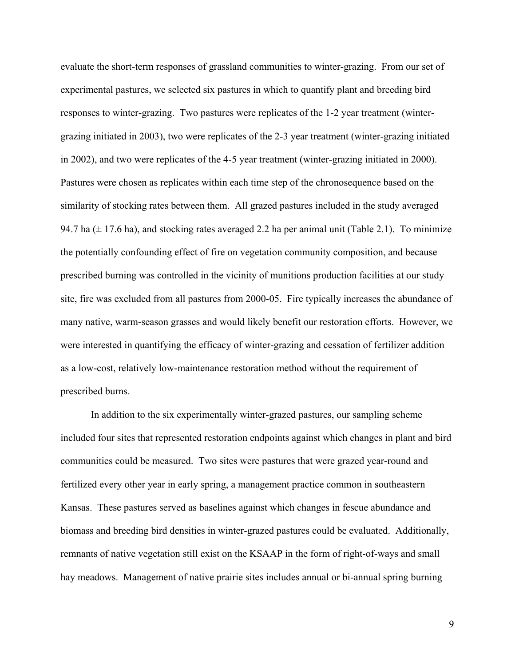evaluate the short-term responses of grassland communities to winter-grazing. From our set of experimental pastures, we selected six pastures in which to quantify plant and breeding bird responses to winter-grazing. Two pastures were replicates of the 1-2 year treatment (wintergrazing initiated in 2003), two were replicates of the 2-3 year treatment (winter-grazing initiated in 2002), and two were replicates of the 4-5 year treatment (winter-grazing initiated in 2000). Pastures were chosen as replicates within each time step of the chronosequence based on the similarity of stocking rates between them. All grazed pastures included in the study averaged 94.7 ha  $(\pm 17.6 \text{ ha})$ , and stocking rates averaged 2.2 ha per animal unit (Table 2.1). To minimize the potentially confounding effect of fire on vegetation community composition, and because prescribed burning was controlled in the vicinity of munitions production facilities at our study site, fire was excluded from all pastures from 2000-05. Fire typically increases the abundance of many native, warm-season grasses and would likely benefit our restoration efforts. However, we were interested in quantifying the efficacy of winter-grazing and cessation of fertilizer addition as a low-cost, relatively low-maintenance restoration method without the requirement of prescribed burns.

In addition to the six experimentally winter-grazed pastures, our sampling scheme included four sites that represented restoration endpoints against which changes in plant and bird communities could be measured. Two sites were pastures that were grazed year-round and fertilized every other year in early spring, a management practice common in southeastern Kansas. These pastures served as baselines against which changes in fescue abundance and biomass and breeding bird densities in winter-grazed pastures could be evaluated. Additionally, remnants of native vegetation still exist on the KSAAP in the form of right-of-ways and small hay meadows. Management of native prairie sites includes annual or bi-annual spring burning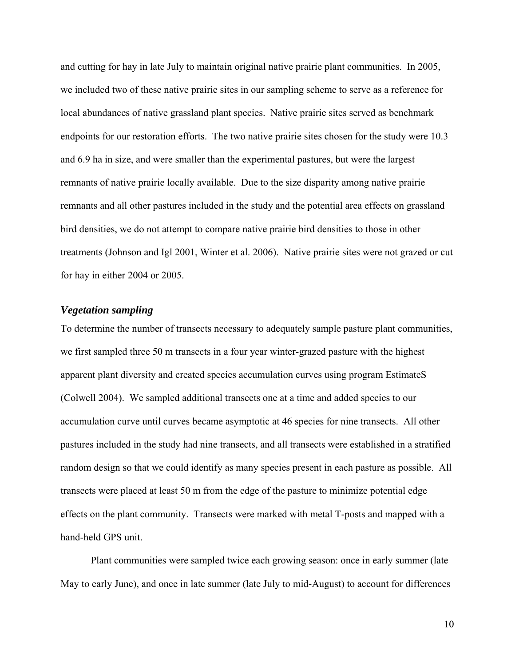<span id="page-19-0"></span>and cutting for hay in late July to maintain original native prairie plant communities. In 2005, we included two of these native prairie sites in our sampling scheme to serve as a reference for local abundances of native grassland plant species. Native prairie sites served as benchmark endpoints for our restoration efforts. The two native prairie sites chosen for the study were 10.3 and 6.9 ha in size, and were smaller than the experimental pastures, but were the largest remnants of native prairie locally available. Due to the size disparity among native prairie remnants and all other pastures included in the study and the potential area effects on grassland bird densities, we do not attempt to compare native prairie bird densities to those in other treatments (Johnson and Igl 2001, Winter et al. 2006). Native prairie sites were not grazed or cut for hay in either 2004 or 2005.

#### *Vegetation sampling*

To determine the number of transects necessary to adequately sample pasture plant communities, we first sampled three 50 m transects in a four year winter-grazed pasture with the highest apparent plant diversity and created species accumulation curves using program EstimateS (Colwell 2004). We sampled additional transects one at a time and added species to our accumulation curve until curves became asymptotic at 46 species for nine transects. All other pastures included in the study had nine transects, and all transects were established in a stratified random design so that we could identify as many species present in each pasture as possible. All transects were placed at least 50 m from the edge of the pasture to minimize potential edge effects on the plant community. Transects were marked with metal T-posts and mapped with a hand-held GPS unit.

Plant communities were sampled twice each growing season: once in early summer (late May to early June), and once in late summer (late July to mid-August) to account for differences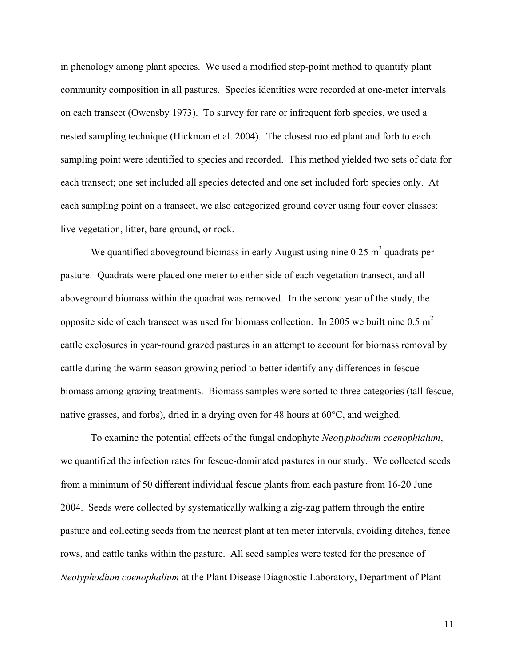in phenology among plant species. We used a modified step-point method to quantify plant community composition in all pastures. Species identities were recorded at one-meter intervals on each transect (Owensby 1973). To survey for rare or infrequent forb species, we used a nested sampling technique (Hickman et al. 2004). The closest rooted plant and forb to each sampling point were identified to species and recorded. This method yielded two sets of data for each transect; one set included all species detected and one set included forb species only. At each sampling point on a transect, we also categorized ground cover using four cover classes: live vegetation, litter, bare ground, or rock.

We quantified aboveground biomass in early August using nine  $0.25 \text{ m}^2$  quadrats per pasture. Quadrats were placed one meter to either side of each vegetation transect, and all aboveground biomass within the quadrat was removed. In the second year of the study, the opposite side of each transect was used for biomass collection. In 2005 we built nine  $0.5 \text{ m}^2$ cattle exclosures in year-round grazed pastures in an attempt to account for biomass removal by cattle during the warm-season growing period to better identify any differences in fescue biomass among grazing treatments. Biomass samples were sorted to three categories (tall fescue, native grasses, and forbs), dried in a drying oven for 48 hours at 60°C, and weighed.

To examine the potential effects of the fungal endophyte *Neotyphodium coenophialum*, we quantified the infection rates for fescue-dominated pastures in our study. We collected seeds from a minimum of 50 different individual fescue plants from each pasture from 16-20 June 2004. Seeds were collected by systematically walking a zig-zag pattern through the entire pasture and collecting seeds from the nearest plant at ten meter intervals, avoiding ditches, fence rows, and cattle tanks within the pasture. All seed samples were tested for the presence of *Neotyphodium coenophalium* at the Plant Disease Diagnostic Laboratory, Department of Plant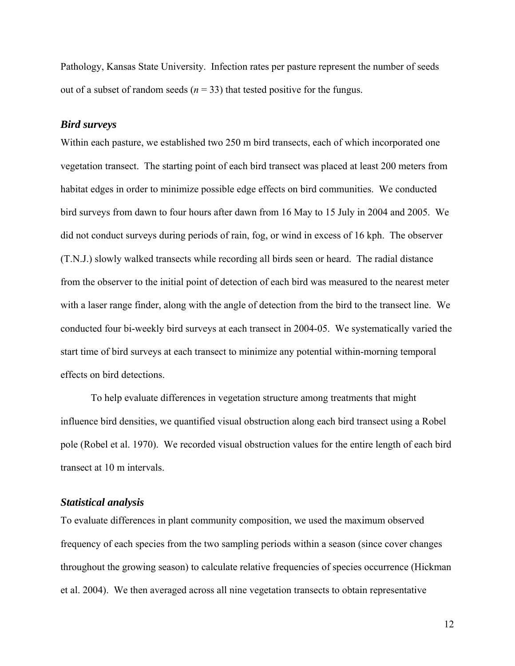<span id="page-21-0"></span>Pathology, Kansas State University. Infection rates per pasture represent the number of seeds out of a subset of random seeds ( $n = 33$ ) that tested positive for the fungus.

#### *Bird surveys*

Within each pasture, we established two 250 m bird transects, each of which incorporated one vegetation transect. The starting point of each bird transect was placed at least 200 meters from habitat edges in order to minimize possible edge effects on bird communities. We conducted bird surveys from dawn to four hours after dawn from 16 May to 15 July in 2004 and 2005. We did not conduct surveys during periods of rain, fog, or wind in excess of 16 kph. The observer (T.N.J.) slowly walked transects while recording all birds seen or heard. The radial distance from the observer to the initial point of detection of each bird was measured to the nearest meter with a laser range finder, along with the angle of detection from the bird to the transect line. We conducted four bi-weekly bird surveys at each transect in 2004-05. We systematically varied the start time of bird surveys at each transect to minimize any potential within-morning temporal effects on bird detections.

To help evaluate differences in vegetation structure among treatments that might influence bird densities, we quantified visual obstruction along each bird transect using a Robel pole (Robel et al. 1970). We recorded visual obstruction values for the entire length of each bird transect at 10 m intervals.

#### *Statistical analysis*

To evaluate differences in plant community composition, we used the maximum observed frequency of each species from the two sampling periods within a season (since cover changes throughout the growing season) to calculate relative frequencies of species occurrence (Hickman et al. 2004). We then averaged across all nine vegetation transects to obtain representative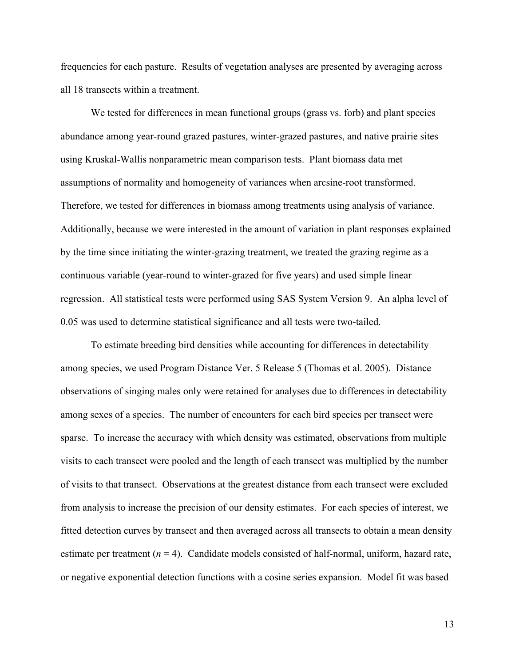frequencies for each pasture. Results of vegetation analyses are presented by averaging across all 18 transects within a treatment.

We tested for differences in mean functional groups (grass vs. forb) and plant species abundance among year-round grazed pastures, winter-grazed pastures, and native prairie sites using Kruskal-Wallis nonparametric mean comparison tests. Plant biomass data met assumptions of normality and homogeneity of variances when arcsine-root transformed. Therefore, we tested for differences in biomass among treatments using analysis of variance. Additionally, because we were interested in the amount of variation in plant responses explained by the time since initiating the winter-grazing treatment, we treated the grazing regime as a continuous variable (year-round to winter-grazed for five years) and used simple linear regression. All statistical tests were performed using SAS System Version 9. An alpha level of 0.05 was used to determine statistical significance and all tests were two-tailed.

To estimate breeding bird densities while accounting for differences in detectability among species, we used Program Distance Ver. 5 Release 5 (Thomas et al. 2005). Distance observations of singing males only were retained for analyses due to differences in detectability among sexes of a species. The number of encounters for each bird species per transect were sparse. To increase the accuracy with which density was estimated, observations from multiple visits to each transect were pooled and the length of each transect was multiplied by the number of visits to that transect. Observations at the greatest distance from each transect were excluded from analysis to increase the precision of our density estimates. For each species of interest, we fitted detection curves by transect and then averaged across all transects to obtain a mean density estimate per treatment  $(n = 4)$ . Candidate models consisted of half-normal, uniform, hazard rate, or negative exponential detection functions with a cosine series expansion. Model fit was based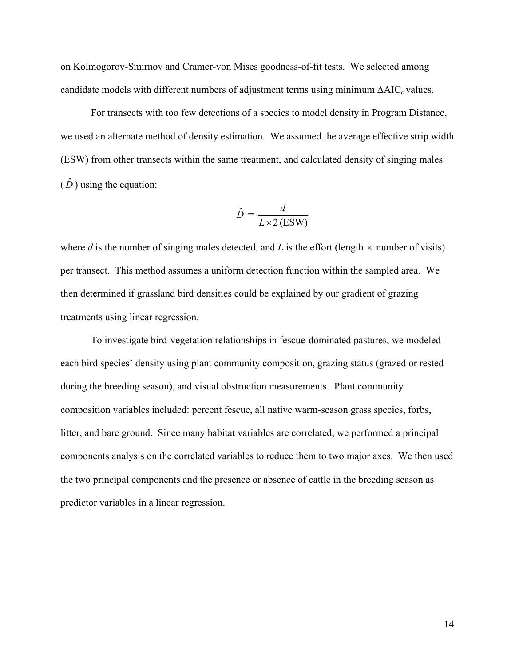on Kolmogorov-Smirnov and Cramer-von Mises goodness-of-fit tests. We selected among candidate models with different numbers of adjustment terms using minimum ΔAIC*c* values.

For transects with too few detections of a species to model density in Program Distance, we used an alternate method of density estimation. We assumed the average effective strip width (ESW) from other transects within the same treatment, and calculated density of singing males  $(\hat{D})$  using the equation:

$$
\hat{D} = \frac{d}{L \times 2 \text{ (ESW)}}
$$

where *d* is the number of singing males detected, and *L* is the effort (length  $\times$  number of visits) per transect. This method assumes a uniform detection function within the sampled area. We then determined if grassland bird densities could be explained by our gradient of grazing treatments using linear regression.

To investigate bird-vegetation relationships in fescue-dominated pastures, we modeled each bird species' density using plant community composition, grazing status (grazed or rested during the breeding season), and visual obstruction measurements. Plant community composition variables included: percent fescue, all native warm-season grass species, forbs, litter, and bare ground. Since many habitat variables are correlated, we performed a principal components analysis on the correlated variables to reduce them to two major axes. We then used the two principal components and the presence or absence of cattle in the breeding season as predictor variables in a linear regression.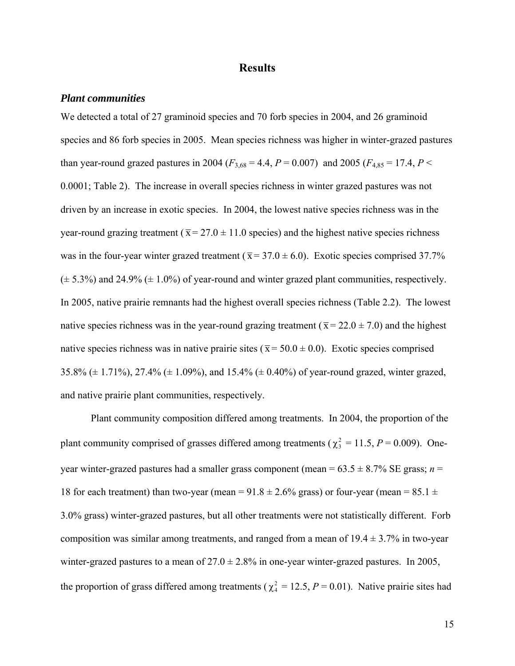#### **Results**

#### <span id="page-24-0"></span>*Plant communities*

We detected a total of 27 graminoid species and 70 forb species in 2004, and 26 graminoid species and 86 forb species in 2005. Mean species richness was higher in winter-grazed pastures than year-round grazed pastures in 2004 ( $F_{3,68} = 4.4$ ,  $P = 0.007$ ) and 2005 ( $F_{4,85} = 17.4$ ,  $P <$ 0.0001; Table 2). The increase in overall species richness in winter grazed pastures was not driven by an increase in exotic species. In 2004, the lowest native species richness was in the year-round grazing treatment ( $\bar{x} = 27.0 \pm 11.0$  species) and the highest native species richness was in the four-year winter grazed treatment ( $\bar{x} = 37.0 \pm 6.0$ ). Exotic species comprised 37.7%  $(\pm 5.3\%)$  and 24.9% ( $\pm 1.0\%$ ) of year-round and winter grazed plant communities, respectively. In 2005, native prairie remnants had the highest overall species richness (Table 2.2). The lowest native species richness was in the year-round grazing treatment ( $\bar{x} = 22.0 \pm 7.0$ ) and the highest native species richness was in native prairie sites ( $\bar{x}$  = 50.0  $\pm$  0.0). Exotic species comprised 35.8% (± 1.71%), 27.4% (± 1.09%), and 15.4% (± 0.40%) of year-round grazed, winter grazed, and native prairie plant communities, respectively.

Plant community composition differed among treatments. In 2004, the proportion of the plant community comprised of grasses differed among treatments ( $\chi^2$  = 11.5, *P* = 0.009). Oneyear winter-grazed pastures had a smaller grass component (mean =  $63.5 \pm 8.7\%$  SE grass; *n* = 18 for each treatment) than two-year (mean =  $91.8 \pm 2.6\%$  grass) or four-year (mean =  $85.1 \pm 1.6\%$ ) 3.0% grass) winter-grazed pastures, but all other treatments were not statistically different. Forb composition was similar among treatments, and ranged from a mean of  $19.4 \pm 3.7\%$  in two-year winter-grazed pastures to a mean of  $27.0 \pm 2.8\%$  in one-year winter-grazed pastures. In 2005, the proportion of grass differed among treatments ( $\chi^2 = 12.5$ ,  $P = 0.01$ ). Native prairie sites had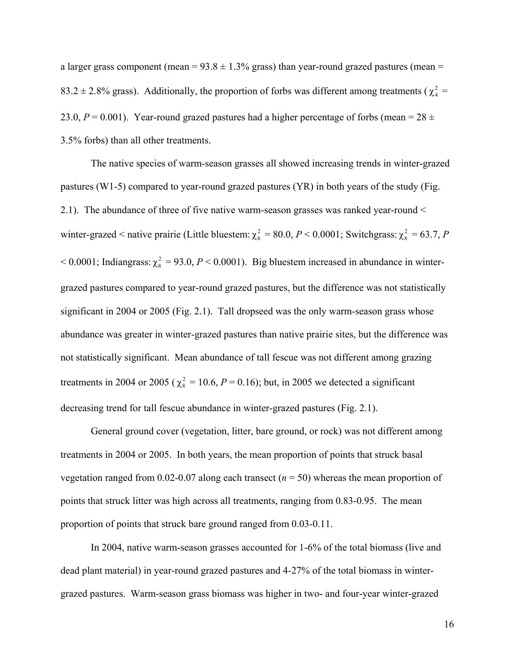a larger grass component (mean =  $93.8 \pm 1.3\%$  grass) than year-round grazed pastures (mean = 83.2  $\pm$  2.8% grass). Additionally, the proportion of forbs was different among treatments ( $\chi^2$  = 23.0,  $P = 0.001$ ). Year-round grazed pastures had a higher percentage of forbs (mean =  $28 \pm 1$ ) 3.5% forbs) than all other treatments.

The native species of warm-season grasses all showed increasing trends in winter-grazed pastures (W1-5) compared to year-round grazed pastures (YR) in both years of the study (Fig. 2.1). The abundance of three of five native warm-season grasses was ranked year-round < winter-grazed < native prairie (Little bluestem:  $\chi^2_s = 80.0, P \lt 0.0001$ ; Switchgrass:  $\chi^2_s = 63.7, P$  $<$  0.0001; Indiangrass:  $\chi^2$  = 93.0, *P* < 0.0001). Big bluestem increased in abundance in wintergrazed pastures compared to year-round grazed pastures, but the difference was not statistically significant in 2004 or 2005 (Fig. 2.1). Tall dropseed was the only warm-season grass whose abundance was greater in winter-grazed pastures than native prairie sites, but the difference was not statistically significant. Mean abundance of tall fescue was not different among grazing treatments in 2004 or 2005 ( $\chi^2$  = 10.6, *P* = 0.16); but, in 2005 we detected a significant decreasing trend for tall fescue abundance in winter-grazed pastures (Fig. 2.1).

General ground cover (vegetation, litter, bare ground, or rock) was not different among treatments in 2004 or 2005. In both years, the mean proportion of points that struck basal vegetation ranged from 0.02-0.07 along each transect (*n* = 50) whereas the mean proportion of points that struck litter was high across all treatments, ranging from 0.83-0.95. The mean proportion of points that struck bare ground ranged from 0.03-0.11.

In 2004, native warm-season grasses accounted for 1-6% of the total biomass (live and dead plant material) in year-round grazed pastures and 4-27% of the total biomass in wintergrazed pastures. Warm-season grass biomass was higher in two- and four-year winter-grazed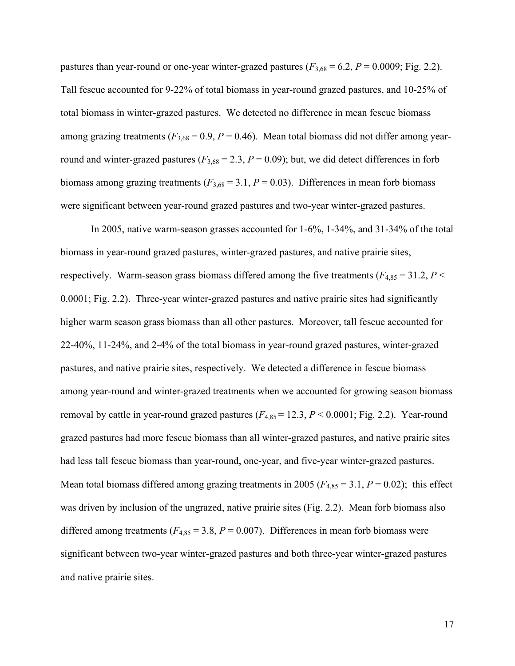pastures than year-round or one-year winter-grazed pastures  $(F_{3,68} = 6.2, P = 0.0009;$  Fig. 2.2). Tall fescue accounted for 9-22% of total biomass in year-round grazed pastures, and 10-25% of total biomass in winter-grazed pastures. We detected no difference in mean fescue biomass among grazing treatments  $(F_{3,68} = 0.9, P = 0.46)$ . Mean total biomass did not differ among yearround and winter-grazed pastures ( $F_{3,68} = 2.3$ ,  $P = 0.09$ ); but, we did detect differences in forb biomass among grazing treatments  $(F_{3,68} = 3.1, P = 0.03)$ . Differences in mean forb biomass were significant between year-round grazed pastures and two-year winter-grazed pastures.

In 2005, native warm-season grasses accounted for 1-6%, 1-34%, and 31-34% of the total biomass in year-round grazed pastures, winter-grazed pastures, and native prairie sites, respectively. Warm-season grass biomass differed among the five treatments ( $F_{4,85} = 31.2, P <$ 0.0001; Fig. 2.2). Three-year winter-grazed pastures and native prairie sites had significantly higher warm season grass biomass than all other pastures. Moreover, tall fescue accounted for 22-40%, 11-24%, and 2-4% of the total biomass in year-round grazed pastures, winter-grazed pastures, and native prairie sites, respectively. We detected a difference in fescue biomass among year-round and winter-grazed treatments when we accounted for growing season biomass removal by cattle in year-round grazed pastures  $(F_{4,85} = 12.3, P \le 0.0001;$  Fig. 2.2). Year-round grazed pastures had more fescue biomass than all winter-grazed pastures, and native prairie sites had less tall fescue biomass than year-round, one-year, and five-year winter-grazed pastures. Mean total biomass differed among grazing treatments in 2005 ( $F_{4,85} = 3.1$ ,  $P = 0.02$ ); this effect was driven by inclusion of the ungrazed, native prairie sites (Fig. 2.2). Mean forb biomass also differed among treatments  $(F_{4,85} = 3.8, P = 0.007)$ . Differences in mean forb biomass were significant between two-year winter-grazed pastures and both three-year winter-grazed pastures and native prairie sites.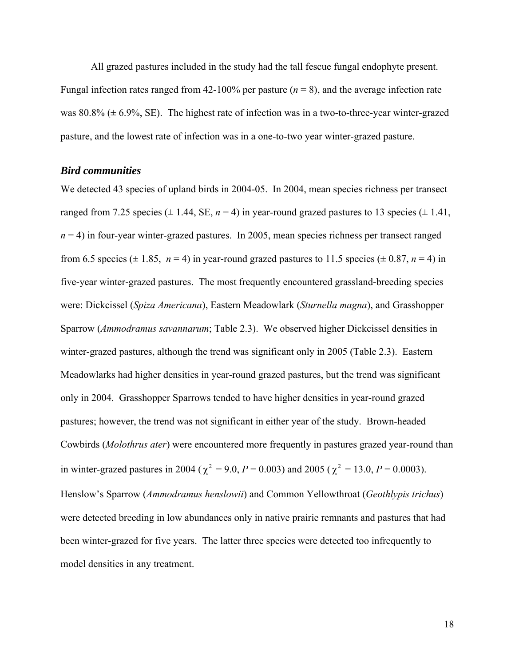<span id="page-27-0"></span>All grazed pastures included in the study had the tall fescue fungal endophyte present. Fungal infection rates ranged from 42-100% per pasture  $(n = 8)$ , and the average infection rate was  $80.8\%$  ( $\pm$  6.9%, SE). The highest rate of infection was in a two-to-three-year winter-grazed pasture, and the lowest rate of infection was in a one-to-two year winter-grazed pasture.

#### *Bird communities*

We detected 43 species of upland birds in 2004-05. In 2004, mean species richness per transect ranged from 7.25 species  $(\pm 1.44, \text{SE}, n = 4)$  in year-round grazed pastures to 13 species  $(\pm 1.41, \text{SE}, n = 4)$  $n = 4$ ) in four-year winter-grazed pastures. In 2005, mean species richness per transect ranged from 6.5 species ( $\pm$  1.85, *n* = 4) in year-round grazed pastures to 11.5 species ( $\pm$  0.87, *n* = 4) in five-year winter-grazed pastures. The most frequently encountered grassland-breeding species were: Dickcissel (*Spiza Americana*), Eastern Meadowlark (*Sturnella magna*), and Grasshopper Sparrow (*Ammodramus savannarum*; Table 2.3). We observed higher Dickcissel densities in winter-grazed pastures, although the trend was significant only in 2005 (Table 2.3). Eastern Meadowlarks had higher densities in year-round grazed pastures, but the trend was significant only in 2004. Grasshopper Sparrows tended to have higher densities in year-round grazed pastures; however, the trend was not significant in either year of the study. Brown-headed Cowbirds (*Molothrus ater*) were encountered more frequently in pastures grazed year-round than in winter-grazed pastures in 2004 ( $\chi^2 = 9.0$ ,  $P = 0.003$ ) and 2005 ( $\chi^2 = 13.0$ ,  $P = 0.0003$ ). Henslow's Sparrow (*Ammodramus henslowii*) and Common Yellowthroat (*Geothlypis trichus*) were detected breeding in low abundances only in native prairie remnants and pastures that had been winter-grazed for five years. The latter three species were detected too infrequently to model densities in any treatment.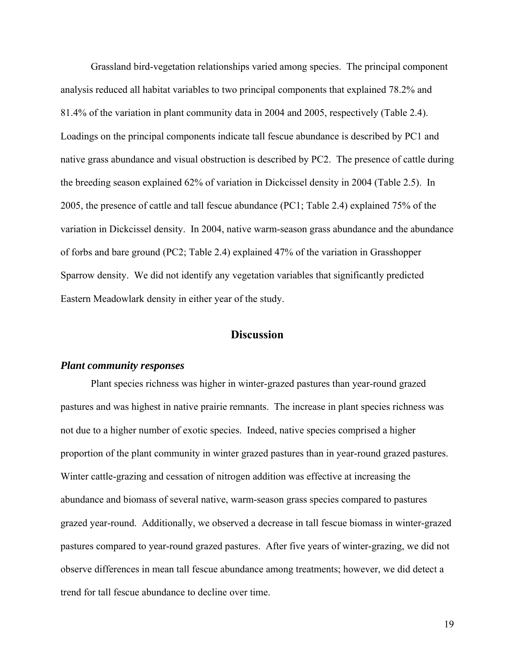<span id="page-28-0"></span>Grassland bird-vegetation relationships varied among species. The principal component analysis reduced all habitat variables to two principal components that explained 78.2% and 81.4% of the variation in plant community data in 2004 and 2005, respectively (Table 2.4). Loadings on the principal components indicate tall fescue abundance is described by PC1 and native grass abundance and visual obstruction is described by PC2. The presence of cattle during the breeding season explained 62% of variation in Dickcissel density in 2004 (Table 2.5). In 2005, the presence of cattle and tall fescue abundance (PC1; Table 2.4) explained 75% of the variation in Dickcissel density. In 2004, native warm-season grass abundance and the abundance of forbs and bare ground (PC2; Table 2.4) explained 47% of the variation in Grasshopper Sparrow density. We did not identify any vegetation variables that significantly predicted Eastern Meadowlark density in either year of the study.

#### **Discussion**

#### *Plant community responses*

Plant species richness was higher in winter-grazed pastures than year-round grazed pastures and was highest in native prairie remnants. The increase in plant species richness was not due to a higher number of exotic species. Indeed, native species comprised a higher proportion of the plant community in winter grazed pastures than in year-round grazed pastures. Winter cattle-grazing and cessation of nitrogen addition was effective at increasing the abundance and biomass of several native, warm-season grass species compared to pastures grazed year-round. Additionally, we observed a decrease in tall fescue biomass in winter-grazed pastures compared to year-round grazed pastures. After five years of winter-grazing, we did not observe differences in mean tall fescue abundance among treatments; however, we did detect a trend for tall fescue abundance to decline over time.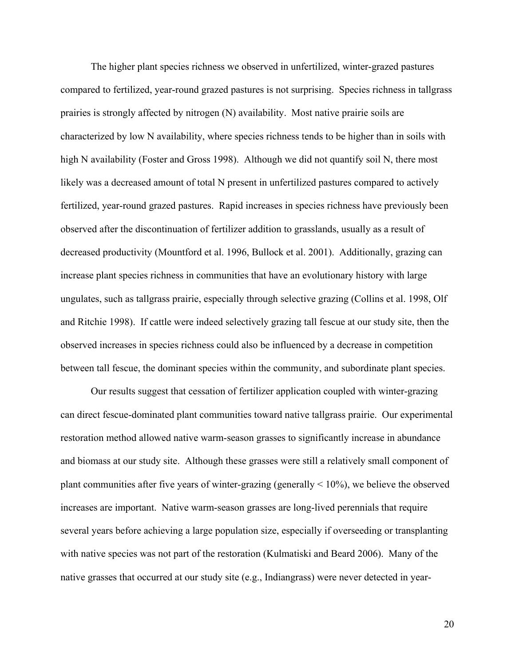The higher plant species richness we observed in unfertilized, winter-grazed pastures compared to fertilized, year-round grazed pastures is not surprising. Species richness in tallgrass prairies is strongly affected by nitrogen (N) availability. Most native prairie soils are characterized by low N availability, where species richness tends to be higher than in soils with high N availability (Foster and Gross 1998). Although we did not quantify soil N, there most likely was a decreased amount of total N present in unfertilized pastures compared to actively fertilized, year-round grazed pastures. Rapid increases in species richness have previously been observed after the discontinuation of fertilizer addition to grasslands, usually as a result of decreased productivity (Mountford et al. 1996, Bullock et al. 2001). Additionally, grazing can increase plant species richness in communities that have an evolutionary history with large ungulates, such as tallgrass prairie, especially through selective grazing (Collins et al. 1998, Olf and Ritchie 1998). If cattle were indeed selectively grazing tall fescue at our study site, then the observed increases in species richness could also be influenced by a decrease in competition between tall fescue, the dominant species within the community, and subordinate plant species.

Our results suggest that cessation of fertilizer application coupled with winter-grazing can direct fescue-dominated plant communities toward native tallgrass prairie. Our experimental restoration method allowed native warm-season grasses to significantly increase in abundance and biomass at our study site. Although these grasses were still a relatively small component of plant communities after five years of winter-grazing (generally  $\leq 10\%$ ), we believe the observed increases are important. Native warm-season grasses are long-lived perennials that require several years before achieving a large population size, especially if overseeding or transplanting with native species was not part of the restoration (Kulmatiski and Beard 2006). Many of the native grasses that occurred at our study site (e.g., Indiangrass) were never detected in year-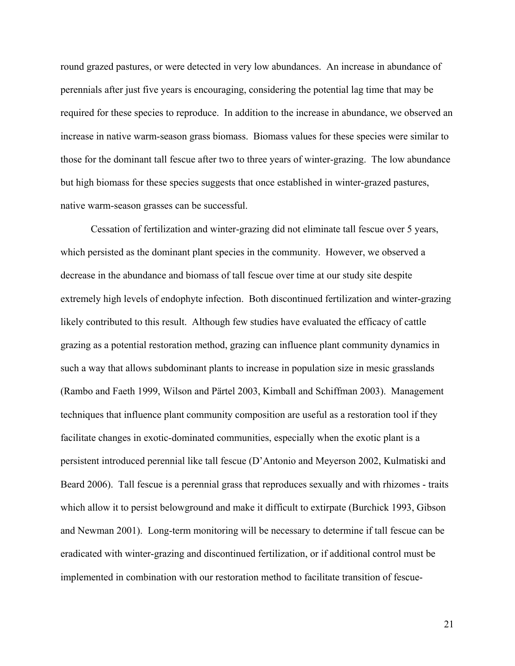round grazed pastures, or were detected in very low abundances. An increase in abundance of perennials after just five years is encouraging, considering the potential lag time that may be required for these species to reproduce. In addition to the increase in abundance, we observed an increase in native warm-season grass biomass. Biomass values for these species were similar to those for the dominant tall fescue after two to three years of winter-grazing. The low abundance but high biomass for these species suggests that once established in winter-grazed pastures, native warm-season grasses can be successful.

Cessation of fertilization and winter-grazing did not eliminate tall fescue over 5 years, which persisted as the dominant plant species in the community. However, we observed a decrease in the abundance and biomass of tall fescue over time at our study site despite extremely high levels of endophyte infection. Both discontinued fertilization and winter-grazing likely contributed to this result. Although few studies have evaluated the efficacy of cattle grazing as a potential restoration method, grazing can influence plant community dynamics in such a way that allows subdominant plants to increase in population size in mesic grasslands (Rambo and Faeth 1999, Wilson and Pärtel 2003, Kimball and Schiffman 2003). Management techniques that influence plant community composition are useful as a restoration tool if they facilitate changes in exotic-dominated communities, especially when the exotic plant is a persistent introduced perennial like tall fescue (D'Antonio and Meyerson 2002, Kulmatiski and Beard 2006). Tall fescue is a perennial grass that reproduces sexually and with rhizomes - traits which allow it to persist belowground and make it difficult to extirpate (Burchick 1993, Gibson and Newman 2001). Long-term monitoring will be necessary to determine if tall fescue can be eradicated with winter-grazing and discontinued fertilization, or if additional control must be implemented in combination with our restoration method to facilitate transition of fescue-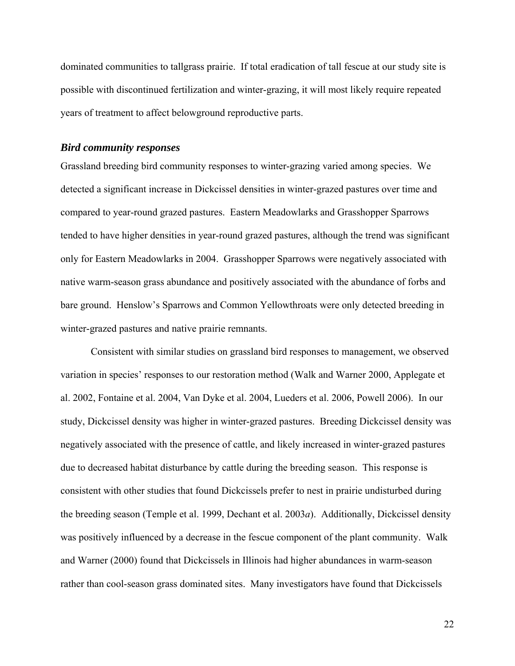<span id="page-31-0"></span>dominated communities to tallgrass prairie. If total eradication of tall fescue at our study site is possible with discontinued fertilization and winter-grazing, it will most likely require repeated years of treatment to affect belowground reproductive parts.

#### *Bird community responses*

Grassland breeding bird community responses to winter-grazing varied among species. We detected a significant increase in Dickcissel densities in winter-grazed pastures over time and compared to year-round grazed pastures. Eastern Meadowlarks and Grasshopper Sparrows tended to have higher densities in year-round grazed pastures, although the trend was significant only for Eastern Meadowlarks in 2004. Grasshopper Sparrows were negatively associated with native warm-season grass abundance and positively associated with the abundance of forbs and bare ground. Henslow's Sparrows and Common Yellowthroats were only detected breeding in winter-grazed pastures and native prairie remnants.

Consistent with similar studies on grassland bird responses to management, we observed variation in species' responses to our restoration method (Walk and Warner 2000, Applegate et al. 2002, Fontaine et al. 2004, Van Dyke et al. 2004, Lueders et al. 2006, Powell 2006). In our study, Dickcissel density was higher in winter-grazed pastures. Breeding Dickcissel density was negatively associated with the presence of cattle, and likely increased in winter-grazed pastures due to decreased habitat disturbance by cattle during the breeding season. This response is consistent with other studies that found Dickcissels prefer to nest in prairie undisturbed during the breeding season (Temple et al. 1999, Dechant et al. 2003*a*). Additionally, Dickcissel density was positively influenced by a decrease in the fescue component of the plant community. Walk and Warner (2000) found that Dickcissels in Illinois had higher abundances in warm-season rather than cool-season grass dominated sites. Many investigators have found that Dickcissels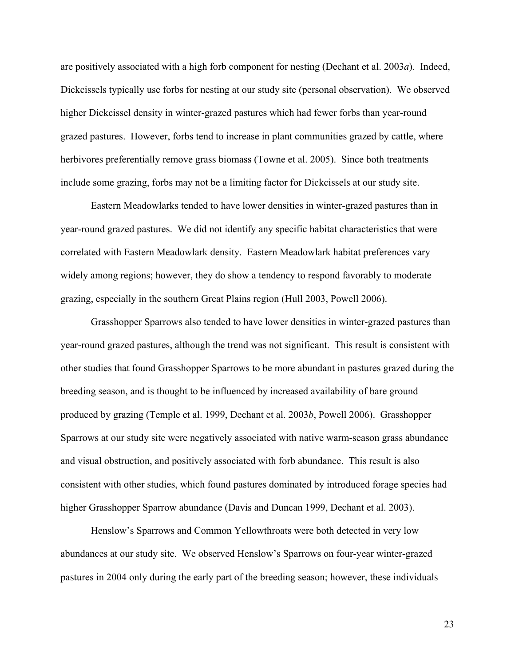are positively associated with a high forb component for nesting (Dechant et al. 2003*a*). Indeed, Dickcissels typically use forbs for nesting at our study site (personal observation). We observed higher Dickcissel density in winter-grazed pastures which had fewer forbs than year-round grazed pastures. However, forbs tend to increase in plant communities grazed by cattle, where herbivores preferentially remove grass biomass (Towne et al. 2005). Since both treatments include some grazing, forbs may not be a limiting factor for Dickcissels at our study site.

Eastern Meadowlarks tended to have lower densities in winter-grazed pastures than in year-round grazed pastures. We did not identify any specific habitat characteristics that were correlated with Eastern Meadowlark density. Eastern Meadowlark habitat preferences vary widely among regions; however, they do show a tendency to respond favorably to moderate grazing, especially in the southern Great Plains region (Hull 2003, Powell 2006).

Grasshopper Sparrows also tended to have lower densities in winter-grazed pastures than year-round grazed pastures, although the trend was not significant. This result is consistent with other studies that found Grasshopper Sparrows to be more abundant in pastures grazed during the breeding season, and is thought to be influenced by increased availability of bare ground produced by grazing (Temple et al. 1999, Dechant et al. 2003*b*, Powell 2006). Grasshopper Sparrows at our study site were negatively associated with native warm-season grass abundance and visual obstruction, and positively associated with forb abundance. This result is also consistent with other studies, which found pastures dominated by introduced forage species had higher Grasshopper Sparrow abundance (Davis and Duncan 1999, Dechant et al. 2003).

Henslow's Sparrows and Common Yellowthroats were both detected in very low abundances at our study site. We observed Henslow's Sparrows on four-year winter-grazed pastures in 2004 only during the early part of the breeding season; however, these individuals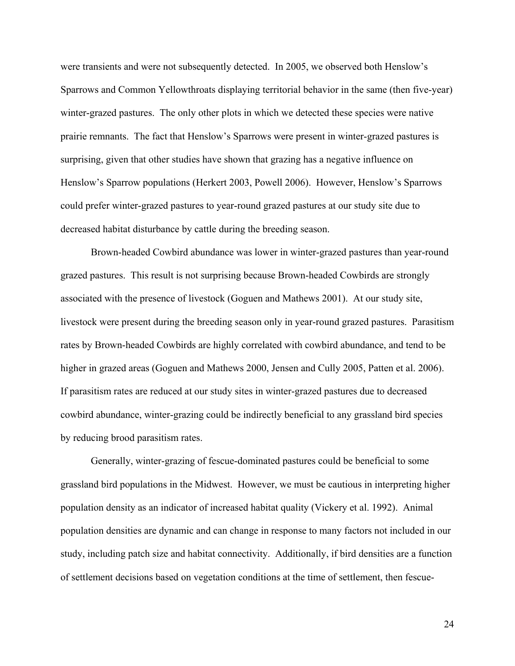were transients and were not subsequently detected. In 2005, we observed both Henslow's Sparrows and Common Yellowthroats displaying territorial behavior in the same (then five-year) winter-grazed pastures. The only other plots in which we detected these species were native prairie remnants. The fact that Henslow's Sparrows were present in winter-grazed pastures is surprising, given that other studies have shown that grazing has a negative influence on Henslow's Sparrow populations (Herkert 2003, Powell 2006). However, Henslow's Sparrows could prefer winter-grazed pastures to year-round grazed pastures at our study site due to decreased habitat disturbance by cattle during the breeding season.

Brown-headed Cowbird abundance was lower in winter-grazed pastures than year-round grazed pastures. This result is not surprising because Brown-headed Cowbirds are strongly associated with the presence of livestock (Goguen and Mathews 2001). At our study site, livestock were present during the breeding season only in year-round grazed pastures. Parasitism rates by Brown-headed Cowbirds are highly correlated with cowbird abundance, and tend to be higher in grazed areas (Goguen and Mathews 2000, Jensen and Cully 2005, Patten et al. 2006). If parasitism rates are reduced at our study sites in winter-grazed pastures due to decreased cowbird abundance, winter-grazing could be indirectly beneficial to any grassland bird species by reducing brood parasitism rates.

Generally, winter-grazing of fescue-dominated pastures could be beneficial to some grassland bird populations in the Midwest. However, we must be cautious in interpreting higher population density as an indicator of increased habitat quality (Vickery et al. 1992). Animal population densities are dynamic and can change in response to many factors not included in our study, including patch size and habitat connectivity. Additionally, if bird densities are a function of settlement decisions based on vegetation conditions at the time of settlement, then fescue-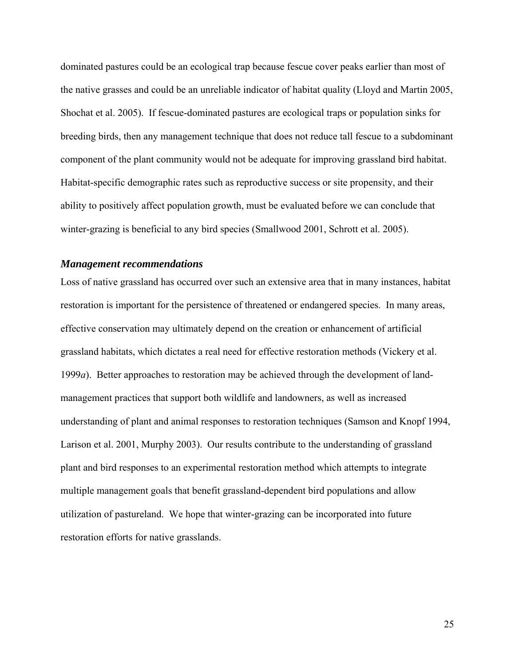<span id="page-34-0"></span>dominated pastures could be an ecological trap because fescue cover peaks earlier than most of the native grasses and could be an unreliable indicator of habitat quality (Lloyd and Martin 2005, Shochat et al. 2005). If fescue-dominated pastures are ecological traps or population sinks for breeding birds, then any management technique that does not reduce tall fescue to a subdominant component of the plant community would not be adequate for improving grassland bird habitat. Habitat-specific demographic rates such as reproductive success or site propensity, and their ability to positively affect population growth, must be evaluated before we can conclude that winter-grazing is beneficial to any bird species (Smallwood 2001, Schrott et al. 2005).

#### *Management recommendations*

Loss of native grassland has occurred over such an extensive area that in many instances, habitat restoration is important for the persistence of threatened or endangered species. In many areas, effective conservation may ultimately depend on the creation or enhancement of artificial grassland habitats, which dictates a real need for effective restoration methods (Vickery et al. 1999*a*). Better approaches to restoration may be achieved through the development of landmanagement practices that support both wildlife and landowners, as well as increased understanding of plant and animal responses to restoration techniques (Samson and Knopf 1994, Larison et al. 2001, Murphy 2003). Our results contribute to the understanding of grassland plant and bird responses to an experimental restoration method which attempts to integrate multiple management goals that benefit grassland-dependent bird populations and allow utilization of pastureland. We hope that winter-grazing can be incorporated into future restoration efforts for native grasslands.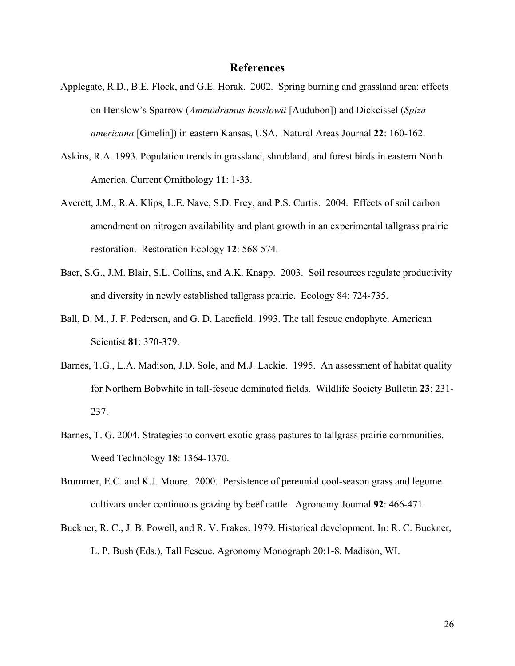#### **References**

- <span id="page-35-0"></span>Applegate, R.D., B.E. Flock, and G.E. Horak. 2002. Spring burning and grassland area: effects on Henslow's Sparrow (*Ammodramus henslowii* [Audubon]) and Dickcissel (*Spiza americana* [Gmelin]) in eastern Kansas, USA. Natural Areas Journal **22**: 160-162.
- Askins, R.A. 1993. Population trends in grassland, shrubland, and forest birds in eastern North America. Current Ornithology **11**: 1-33.
- Averett, J.M., R.A. Klips, L.E. Nave, S.D. Frey, and P.S. Curtis. 2004. Effects of soil carbon amendment on nitrogen availability and plant growth in an experimental tallgrass prairie restoration. Restoration Ecology **12**: 568-574.
- Baer, S.G., J.M. Blair, S.L. Collins, and A.K. Knapp. 2003. Soil resources regulate productivity and diversity in newly established tallgrass prairie. Ecology 84: 724-735.
- Ball, D. M., J. F. Pederson, and G. D. Lacefield. 1993. The tall fescue endophyte. American Scientist **81**: 370-379.
- Barnes, T.G., L.A. Madison, J.D. Sole, and M.J. Lackie. 1995. An assessment of habitat quality for Northern Bobwhite in tall-fescue dominated fields. Wildlife Society Bulletin **23**: 231- 237.
- Barnes, T. G. 2004. Strategies to convert exotic grass pastures to tallgrass prairie communities. Weed Technology **18**: 1364-1370.
- Brummer, E.C. and K.J. Moore. 2000. Persistence of perennial cool-season grass and legume cultivars under continuous grazing by beef cattle. Agronomy Journal **92**: 466-471.
- Buckner, R. C., J. B. Powell, and R. V. Frakes. 1979. Historical development. In: R. C. Buckner, L. P. Bush (Eds.), Tall Fescue. Agronomy Monograph 20:1-8. Madison, WI.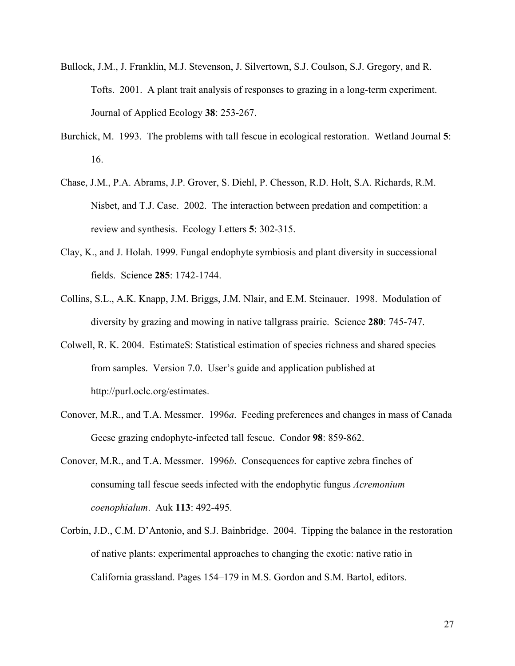- Bullock, J.M., J. Franklin, M.J. Stevenson, J. Silvertown, S.J. Coulson, S.J. Gregory, and R. Tofts. 2001. A plant trait analysis of responses to grazing in a long-term experiment. Journal of Applied Ecology **38**: 253-267.
- Burchick, M. 1993. The problems with tall fescue in ecological restoration. Wetland Journal **5**: 16.
- Chase, J.M., P.A. Abrams, J.P. Grover, S. Diehl, P. Chesson, R.D. Holt, S.A. Richards, R.M. Nisbet, and T.J. Case. 2002. The interaction between predation and competition: a review and synthesis. Ecology Letters **5**: 302-315.
- Clay, K., and J. Holah. 1999. Fungal endophyte symbiosis and plant diversity in successional fields. Science **285**: 1742-1744.
- Collins, S.L., A.K. Knapp, J.M. Briggs, J.M. Nlair, and E.M. Steinauer. 1998. Modulation of diversity by grazing and mowing in native tallgrass prairie. Science **280**: 745-747.
- Colwell, R. K. 2004. EstimateS: Statistical estimation of species richness and shared species from samples. Version 7.0. User's guide and application published at http://purl.oclc.org/estimates.
- Conover, M.R., and T.A. Messmer. 1996*a*. Feeding preferences and changes in mass of Canada Geese grazing endophyte-infected tall fescue. Condor **98**: 859-862.
- Conover, M.R., and T.A. Messmer. 1996*b*. Consequences for captive zebra finches of consuming tall fescue seeds infected with the endophytic fungus *Acremonium coenophialum*. Auk **113**: 492-495.
- Corbin, J.D., C.M. D'Antonio, and S.J. Bainbridge. 2004. Tipping the balance in the restoration of native plants: experimental approaches to changing the exotic: native ratio in California grassland. Pages 154–179 in M.S. Gordon and S.M. Bartol, editors.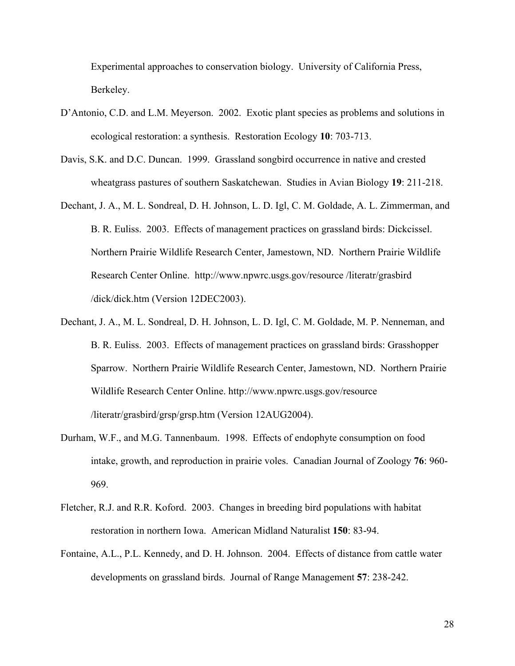Experimental approaches to conservation biology. University of California Press, Berkeley.

- D'Antonio, C.D. and L.M. Meyerson. 2002. Exotic plant species as problems and solutions in ecological restoration: a synthesis. Restoration Ecology **10**: 703-713.
- Davis, S.K. and D.C. Duncan. 1999. Grassland songbird occurrence in native and crested wheatgrass pastures of southern Saskatchewan. Studies in Avian Biology **19**: 211-218.
- Dechant, J. A., M. L. Sondreal, D. H. Johnson, L. D. Igl, C. M. Goldade, A. L. Zimmerman, and B. R. Euliss. 2003. Effects of management practices on grassland birds: Dickcissel. Northern Prairie Wildlife Research Center, Jamestown, ND. Northern Prairie Wildlife Research Center Online. http://www.npwrc.usgs.gov/resource /literatr/grasbird /dick/dick.htm (Version 12DEC2003).
- Dechant, J. A., M. L. Sondreal, D. H. Johnson, L. D. Igl, C. M. Goldade, M. P. Nenneman, and B. R. Euliss. 2003. Effects of management practices on grassland birds: Grasshopper Sparrow. Northern Prairie Wildlife Research Center, Jamestown, ND. Northern Prairie Wildlife Research Center Online. http://www.npwrc.usgs.gov/resource /literatr/grasbird/grsp/grsp.htm (Version 12AUG2004).
- Durham, W.F., and M.G. Tannenbaum. 1998. Effects of endophyte consumption on food intake, growth, and reproduction in prairie voles. Canadian Journal of Zoology **76**: 960- 969.
- Fletcher, R.J. and R.R. Koford. 2003. Changes in breeding bird populations with habitat restoration in northern Iowa. American Midland Naturalist **150**: 83-94.
- Fontaine, A.L., P.L. Kennedy, and D. H. Johnson. 2004. Effects of distance from cattle water developments on grassland birds. Journal of Range Management **57**: 238-242.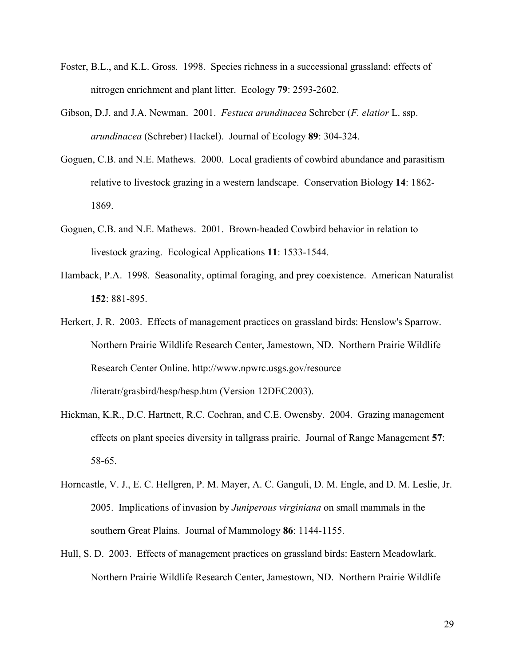- Foster, B.L., and K.L. Gross. 1998. Species richness in a successional grassland: effects of nitrogen enrichment and plant litter. Ecology **79**: 2593-2602.
- Gibson, D.J. and J.A. Newman. 2001. *Festuca arundinacea* Schreber (*F. elatior* L. ssp. *arundinacea* (Schreber) Hackel). Journal of Ecology **89**: 304-324.
- Goguen, C.B. and N.E. Mathews. 2000. Local gradients of cowbird abundance and parasitism relative to livestock grazing in a western landscape. Conservation Biology **14**: 1862- 1869.
- Goguen, C.B. and N.E. Mathews. 2001. Brown-headed Cowbird behavior in relation to livestock grazing. Ecological Applications **11**: 1533-1544.
- Hamback, P.A. 1998. Seasonality, optimal foraging, and prey coexistence. American Naturalist **152**: 881-895.
- Herkert, J. R. 2003. Effects of management practices on grassland birds: Henslow's Sparrow. Northern Prairie Wildlife Research Center, Jamestown, ND. Northern Prairie Wildlife Research Center Online. http://www.npwrc.usgs.gov/resource /literatr/grasbird/hesp/hesp.htm (Version 12DEC2003).
- Hickman, K.R., D.C. Hartnett, R.C. Cochran, and C.E. Owensby. 2004. Grazing management effects on plant species diversity in tallgrass prairie. Journal of Range Management **57**: 58-65.
- Horncastle, V. J., E. C. Hellgren, P. M. Mayer, A. C. Ganguli, D. M. Engle, and D. M. Leslie, Jr. 2005. Implications of invasion by *Juniperous virginiana* on small mammals in the southern Great Plains. Journal of Mammology **86**: 1144-1155.
- Hull, S. D. 2003. Effects of management practices on grassland birds: Eastern Meadowlark. Northern Prairie Wildlife Research Center, Jamestown, ND. Northern Prairie Wildlife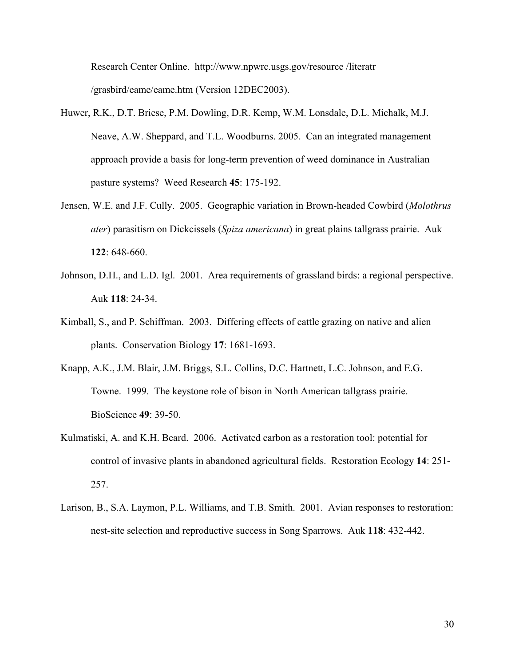Research Center Online. http://www.npwrc.usgs.gov/resource /literatr /grasbird/eame/eame.htm (Version 12DEC2003).

- Huwer, R.K., D.T. Briese, P.M. Dowling, D.R. Kemp, W.M. Lonsdale, D.L. Michalk, M.J. Neave, A.W. Sheppard, and T.L. Woodburns. 2005. Can an integrated management approach provide a basis for long-term prevention of weed dominance in Australian pasture systems? Weed Research **45**: 175-192.
- Jensen, W.E. and J.F. Cully. 2005. Geographic variation in Brown-headed Cowbird (*Molothrus ater*) parasitism on Dickcissels (*Spiza americana*) in great plains tallgrass prairie. Auk **122**: 648-660.
- Johnson, D.H., and L.D. Igl. 2001. Area requirements of grassland birds: a regional perspective. Auk **118**: 24-34.
- Kimball, S., and P. Schiffman. 2003. Differing effects of cattle grazing on native and alien plants. Conservation Biology **17**: 1681-1693.
- Knapp, A.K., J.M. Blair, J.M. Briggs, S.L. Collins, D.C. Hartnett, L.C. Johnson, and E.G. Towne. 1999. The keystone role of bison in North American tallgrass prairie. BioScience **49**: 39-50.
- Kulmatiski, A. and K.H. Beard. 2006. Activated carbon as a restoration tool: potential for control of invasive plants in abandoned agricultural fields. Restoration Ecology **14**: 251- 257.
- Larison, B., S.A. Laymon, P.L. Williams, and T.B. Smith. 2001. Avian responses to restoration: nest-site selection and reproductive success in Song Sparrows. Auk **118**: 432-442.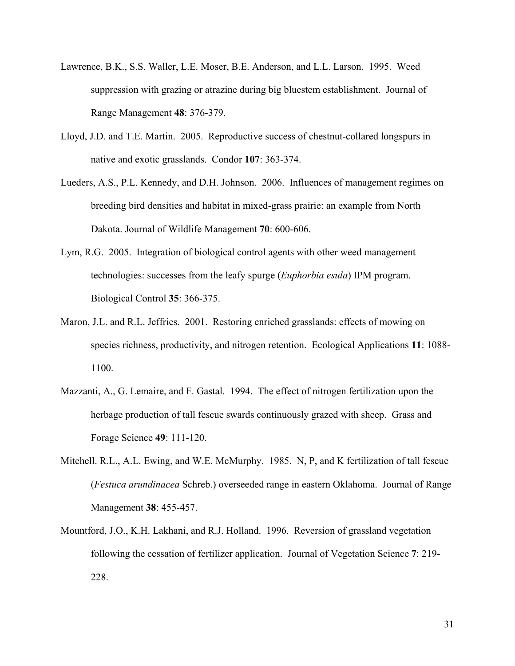- Lawrence, B.K., S.S. Waller, L.E. Moser, B.E. Anderson, and L.L. Larson. 1995. Weed suppression with grazing or atrazine during big bluestem establishment. Journal of Range Management **48**: 376-379.
- Lloyd, J.D. and T.E. Martin. 2005. Reproductive success of chestnut-collared longspurs in native and exotic grasslands. Condor **107**: 363-374.
- Lueders, A.S., P.L. Kennedy, and D.H. Johnson. 2006. Influences of management regimes on breeding bird densities and habitat in mixed-grass prairie: an example from North Dakota. Journal of Wildlife Management **70**: 600-606.
- Lym, R.G. 2005. Integration of biological control agents with other weed management technologies: successes from the leafy spurge (*Euphorbia esula*) IPM program. Biological Control **35**: 366-375.
- Maron, J.L. and R.L. Jeffries. 2001. Restoring enriched grasslands: effects of mowing on species richness, productivity, and nitrogen retention. Ecological Applications **11**: 1088- 1100.
- Mazzanti, A., G. Lemaire, and F. Gastal. 1994. The effect of nitrogen fertilization upon the herbage production of tall fescue swards continuously grazed with sheep. Grass and Forage Science **49**: 111-120.
- Mitchell. R.L., A.L. Ewing, and W.E. McMurphy. 1985. N, P, and K fertilization of tall fescue (*Festuca arundinacea* Schreb.) overseeded range in eastern Oklahoma. Journal of Range Management **38**: 455-457.
- Mountford, J.O., K.H. Lakhani, and R.J. Holland. 1996. Reversion of grassland vegetation following the cessation of fertilizer application. Journal of Vegetation Science **7**: 219- 228.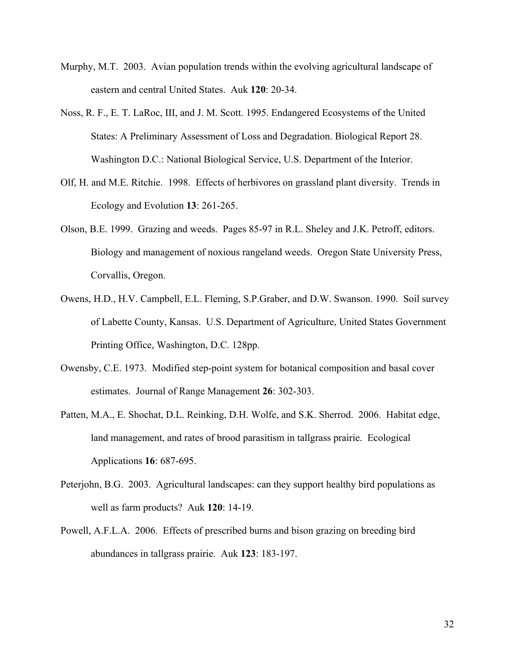- Murphy, M.T. 2003. Avian population trends within the evolving agricultural landscape of eastern and central United States. Auk **120**: 20-34.
- Noss, R. F., E. T. LaRoc, III, and J. M. Scott. 1995. Endangered Ecosystems of the United States: A Preliminary Assessment of Loss and Degradation. Biological Report 28. Washington D.C.: National Biological Service, U.S. Department of the Interior.
- Olf, H. and M.E. Ritchie. 1998. Effects of herbivores on grassland plant diversity. Trends in Ecology and Evolution **13**: 261-265.
- Olson, B.E. 1999. Grazing and weeds. Pages 85-97 in R.L. Sheley and J.K. Petroff, editors. Biology and management of noxious rangeland weeds. Oregon State University Press, Corvallis, Oregon.
- Owens, H.D., H.V. Campbell, E.L. Fleming, S.P.Graber, and D.W. Swanson. 1990. Soil survey of Labette County, Kansas. U.S. Department of Agriculture, United States Government Printing Office, Washington, D.C. 128pp.
- Owensby, C.E. 1973. Modified step-point system for botanical composition and basal cover estimates. Journal of Range Management **26**: 302-303.
- Patten, M.A., E. Shochat, D.L. Reinking, D.H. Wolfe, and S.K. Sherrod. 2006. Habitat edge, land management, and rates of brood parasitism in tallgrass prairie. Ecological Applications **16**: 687-695.
- Peterjohn, B.G. 2003. Agricultural landscapes: can they support healthy bird populations as well as farm products? Auk **120**: 14-19.
- Powell, A.F.L.A. 2006. Effects of prescribed burns and bison grazing on breeding bird abundances in tallgrass prairie. Auk **123**: 183-197.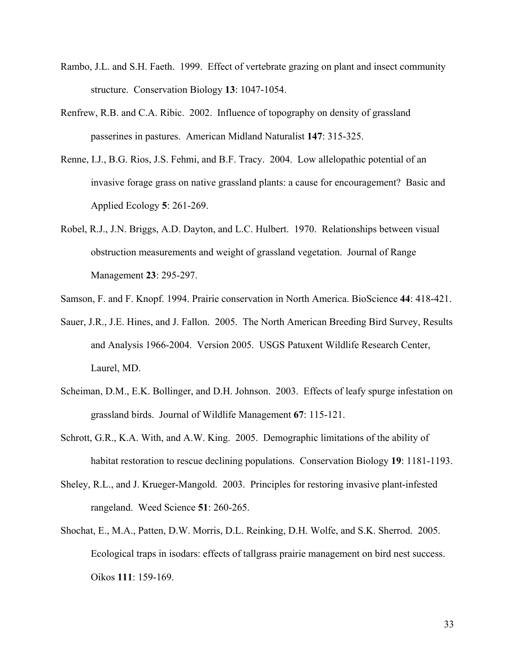- Rambo, J.L. and S.H. Faeth. 1999. Effect of vertebrate grazing on plant and insect community structure. Conservation Biology **13**: 1047-1054.
- Renfrew, R.B. and C.A. Ribic. 2002. Influence of topography on density of grassland passerines in pastures. American Midland Naturalist **147**: 315-325.
- Renne, I.J., B.G. Rios, J.S. Fehmi, and B.F. Tracy. 2004. Low allelopathic potential of an invasive forage grass on native grassland plants: a cause for encouragement? Basic and Applied Ecology **5**: 261-269.
- Robel, R.J., J.N. Briggs, A.D. Dayton, and L.C. Hulbert. 1970. Relationships between visual obstruction measurements and weight of grassland vegetation. Journal of Range Management **23**: 295-297.

Samson, F. and F. Knopf. 1994. Prairie conservation in North America. BioScience **44**: 418-421.

- Sauer, J.R., J.E. Hines, and J. Fallon. 2005. The North American Breeding Bird Survey, Results and Analysis 1966-2004. Version 2005. USGS Patuxent Wildlife Research Center, Laurel, MD.
- Scheiman, D.M., E.K. Bollinger, and D.H. Johnson. 2003. Effects of leafy spurge infestation on grassland birds. Journal of Wildlife Management **67**: 115-121.
- Schrott, G.R., K.A. With, and A.W. King. 2005. Demographic limitations of the ability of habitat restoration to rescue declining populations. Conservation Biology **19**: 1181-1193.
- Sheley, R.L., and J. Krueger-Mangold. 2003. Principles for restoring invasive plant-infested rangeland. Weed Science **51**: 260-265.
- Shochat, E., M.A., Patten, D.W. Morris, D.L. Reinking, D.H. Wolfe, and S.K. Sherrod. 2005. Ecological traps in isodars: effects of tallgrass prairie management on bird nest success. Oikos **111**: 159-169.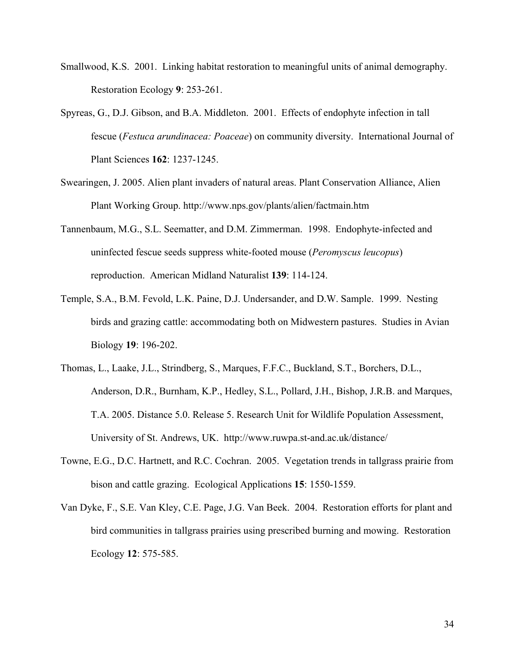- Smallwood, K.S. 2001. Linking habitat restoration to meaningful units of animal demography. Restoration Ecology **9**: 253-261.
- Spyreas, G., D.J. Gibson, and B.A. Middleton. 2001. Effects of endophyte infection in tall fescue (*Festuca arundinacea: Poaceae*) on community diversity. International Journal of Plant Sciences **162**: 1237-1245.
- Swearingen, J. 2005. Alien plant invaders of natural areas. Plant Conservation Alliance, Alien Plant Working Group. http://www.nps.gov/plants/alien/factmain.htm
- Tannenbaum, M.G., S.L. Seematter, and D.M. Zimmerman. 1998. Endophyte-infected and uninfected fescue seeds suppress white-footed mouse (*Peromyscus leucopus*) reproduction. American Midland Naturalist **139**: 114-124.
- Temple, S.A., B.M. Fevold, L.K. Paine, D.J. Undersander, and D.W. Sample. 1999. Nesting birds and grazing cattle: accommodating both on Midwestern pastures. Studies in Avian Biology **19**: 196-202.
- Thomas, L., Laake, J.L., Strindberg, S., Marques, F.F.C., Buckland, S.T., Borchers, D.L., Anderson, D.R., Burnham, K.P., Hedley, S.L., Pollard, J.H., Bishop, J.R.B. and Marques, T.A. 2005. Distance 5.0. Release 5. Research Unit for Wildlife Population Assessment, University of St. Andrews, UK. http://www.ruwpa.st-and.ac.uk/distance/
- Towne, E.G., D.C. Hartnett, and R.C. Cochran. 2005. Vegetation trends in tallgrass prairie from bison and cattle grazing. Ecological Applications **15**: 1550-1559.
- Van Dyke, F., S.E. Van Kley, C.E. Page, J.G. Van Beek. 2004. Restoration efforts for plant and bird communities in tallgrass prairies using prescribed burning and mowing. Restoration Ecology **12**: 575-585.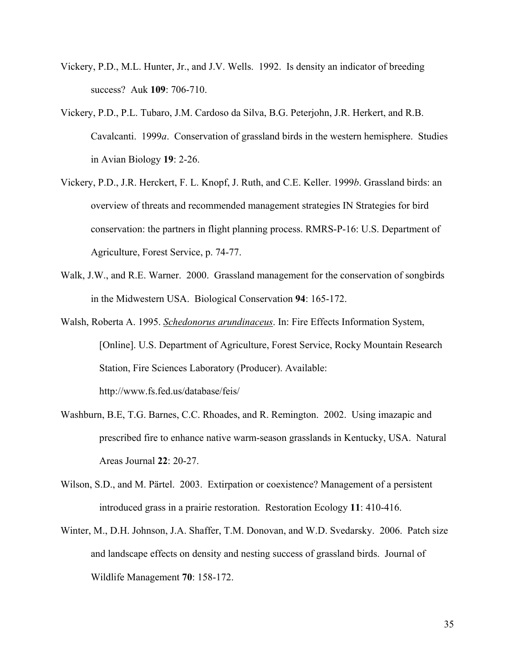- Vickery, P.D., M.L. Hunter, Jr., and J.V. Wells. 1992. Is density an indicator of breeding success? Auk **109**: 706-710.
- Vickery, P.D., P.L. Tubaro, J.M. Cardoso da Silva, B.G. Peterjohn, J.R. Herkert, and R.B. Cavalcanti. 1999*a*. Conservation of grassland birds in the western hemisphere. Studies in Avian Biology **19**: 2-26.
- Vickery, P.D., J.R. Herckert, F. L. Knopf, J. Ruth, and C.E. Keller. 1999*b*. Grassland birds: an overview of threats and recommended management strategies IN Strategies for bird conservation: the partners in flight planning process. RMRS-P-16: U.S. Department of Agriculture, Forest Service, p. 74-77.
- Walk, J.W., and R.E. Warner. 2000. Grassland management for the conservation of songbirds in the Midwestern USA. Biological Conservation **94**: 165-172.
- Walsh, Roberta A. 1995. *Schedonorus arundinaceus*. In: Fire Effects Information System, [Online]. U.S. Department of Agriculture, Forest Service, Rocky Mountain Research Station, Fire Sciences Laboratory (Producer). Available: http://www.fs.fed.us/database/feis/
- Washburn, B.E, T.G. Barnes, C.C. Rhoades, and R. Remington. 2002. Using imazapic and prescribed fire to enhance native warm-season grasslands in Kentucky, USA. Natural Areas Journal **22**: 20-27.
- Wilson, S.D., and M. Pärtel. 2003. Extirpation or coexistence? Management of a persistent introduced grass in a prairie restoration. Restoration Ecology **11**: 410-416.
- Winter, M., D.H. Johnson, J.A. Shaffer, T.M. Donovan, and W.D. Svedarsky. 2006. Patch size and landscape effects on density and nesting success of grassland birds. Journal of Wildlife Management **70**: 158-172.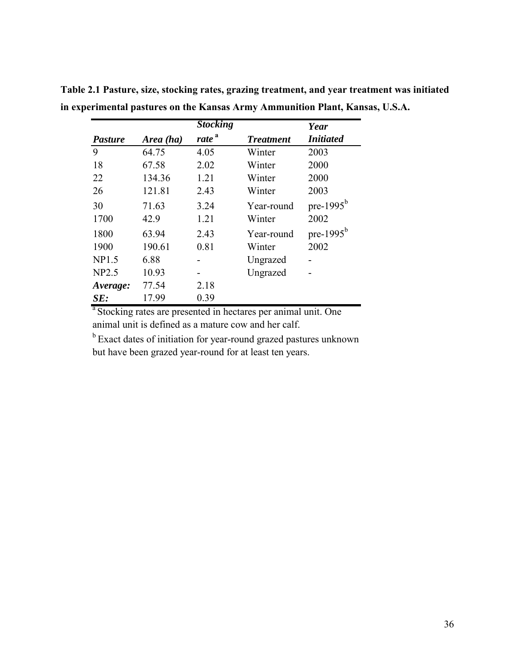|                |           | <b>Stocking</b>   |                  | Year             |
|----------------|-----------|-------------------|------------------|------------------|
| <b>Pasture</b> | Area (ha) | rate <sup>a</sup> | <b>Treatment</b> | <b>Initiated</b> |
| 9              | 64.75     | 4.05              | Winter           | 2003             |
| 18             | 67.58     | 2.02              | Winter           | 2000             |
| 22             | 134.36    | 1.21              | Winter           | 2000             |
| 26             | 121.81    | 2.43              | Winter           | 2003             |
| 30             | 71.63     | 3.24              | Year-round       | pre-1995 $b$     |
| 1700           | 42.9      | 1.21              | Winter           | 2002             |
| 1800           | 63.94     | 2.43              | Year-round       | pre-1995 $b$     |
| 1900           | 190.61    | 0.81              | Winter           | 2002             |
| NP1.5          | 6.88      |                   | Ungrazed         |                  |
| <b>NP2.5</b>   | 10.93     |                   | Ungrazed         |                  |
| Average:       | 77.54     | 2.18              |                  |                  |
| SE:            | 17.99     | 0.39              |                  |                  |

**Table 2.1 Pasture, size, stocking rates, grazing treatment, and year treatment was initiated in experimental pastures on the Kansas Army Ammunition Plant, Kansas, U.S.A.** 

<sup>a</sup> Stocking rates are presented in hectares per animal unit. One animal unit is defined as a mature cow and her calf.

<sup>b</sup> Exact dates of initiation for year-round grazed pastures unknown but have been grazed year-round for at least ten years.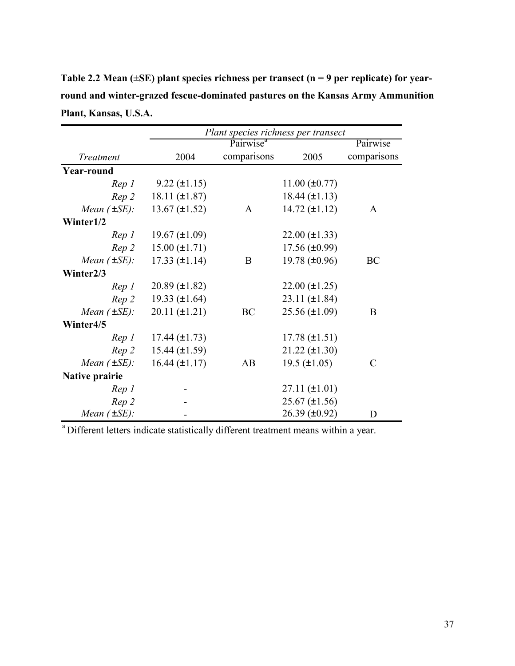**Table 2.2 Mean (±SE) plant species richness per transect (n = 9 per replicate) for yearround and winter-grazed fescue-dominated pastures on the Kansas Army Ammunition Plant, Kansas, U.S.A.** 

|                       | Plant species richness per transect |                       |                       |               |
|-----------------------|-------------------------------------|-----------------------|-----------------------|---------------|
|                       |                                     | Pairwise <sup>a</sup> |                       | Pairwise      |
| Treatment             | 2004                                | comparisons           | 2005                  | comparisons   |
| <b>Year-round</b>     |                                     |                       |                       |               |
| Rep 1                 | $9.22 (\pm 1.15)$                   |                       | $11.00 (\pm 0.77)$    |               |
| Rep 2                 | $18.11 (\pm 1.87)$                  |                       | $18.44 (\pm 1.13)$    |               |
| Mean $(\pm SE)$ :     | $13.67 (\pm 1.52)$                  | A                     | $14.72 (\pm 1.12)$    | $\mathsf{A}$  |
| Winter1/2             |                                     |                       |                       |               |
| Rep 1                 | $19.67 \ (\pm 1.09)$                |                       | $22.00 \ (\pm 1.33)$  |               |
| Rep 2                 | $15.00 (\pm 1.71)$                  |                       | $17.56 \, (\pm 0.99)$ |               |
| Mean $(\pm SE)$ :     | $17.33 (\pm 1.14)$                  | B                     | 19.78 $(\pm 0.96)$    | BC            |
| Winter2/3             |                                     |                       |                       |               |
| Rep 1                 | $20.89 \ (\pm 1.82)$                |                       | $22.00 (\pm 1.25)$    |               |
| Rep 2                 | 19.33 $(\pm 1.64)$                  |                       | $23.11 (\pm 1.84)$    |               |
| Mean $(\pm SE)$ :     | $20.11 (\pm 1.21)$                  | BC                    | $25.56 \, (\pm 1.09)$ | B             |
| Winter4/5             |                                     |                       |                       |               |
| Rep 1                 | 17.44 $(\pm 1.73)$                  |                       | $17.78 (\pm 1.51)$    |               |
| Rep 2                 | $15.44 (\pm 1.59)$                  |                       | $21.22 (\pm 1.30)$    |               |
| Mean $(\pm SE)$ :     | $16.44 (\pm 1.17)$                  | AB                    | $19.5 (\pm 1.05)$     | $\mathcal{C}$ |
| <b>Native prairie</b> |                                     |                       |                       |               |
| Rep 1                 |                                     |                       | $27.11 (\pm 1.01)$    |               |
| Rep 2                 |                                     |                       | $25.67 \ (\pm 1.56)$  |               |
| Mean $(\pm SE)$ :     |                                     |                       | $26.39 \, (\pm 0.92)$ | D             |

a Different letters indicate statistically different treatment means within a year.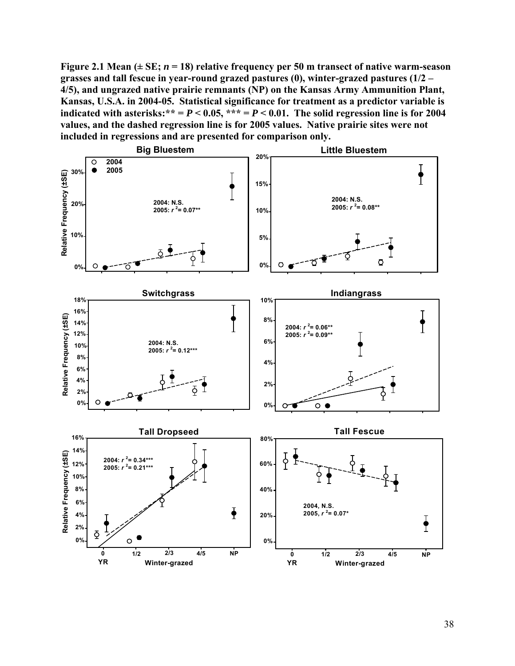Figure 2.1 Mean  $(\pm SE; n = 18)$  relative frequency per 50 m transect of native warm-season **grasses and tall fescue in year-round grazed pastures (0), winter-grazed pastures (1/2 – 4/5), and ungrazed native prairie remnants (NP) on the Kansas Army Ammunition Plant, Kansas, U.S.A. in 2004-05. Statistical significance for treatment as a predictor variable is**  indicated with asterisks:\*\* =  $P < 0.05$ , \*\*\* =  $P < 0.01$ . The solid regression line is for 2004 **values, and the dashed regression line is for 2005 values. Native prairie sites were not included in regressions and are presented for comparison only.** 

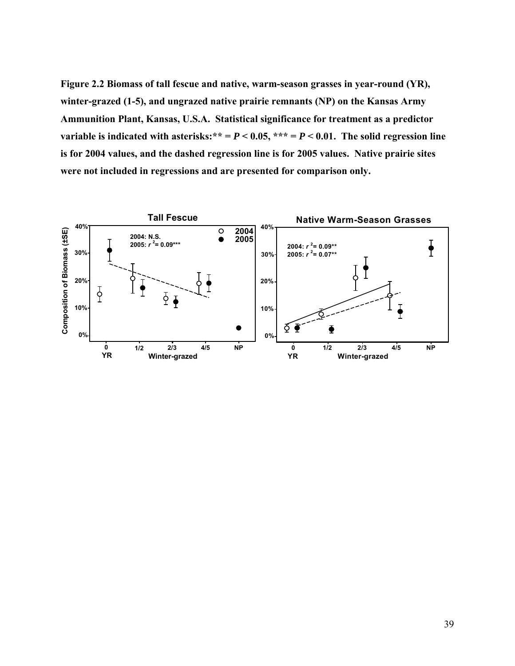**Figure 2.2 Biomass of tall fescue and native, warm-season grasses in year-round (YR), winter-grazed (1-5), and ungrazed native prairie remnants (NP) on the Kansas Army Ammunition Plant, Kansas, U.S.A. Statistical significance for treatment as a predictor variable is indicated with asterisks:**\*\* =  $P$  < 0.05, \*\*\* =  $P$  < 0.01. The solid regression line **is for 2004 values, and the dashed regression line is for 2005 values. Native prairie sites were not included in regressions and are presented for comparison only.** 

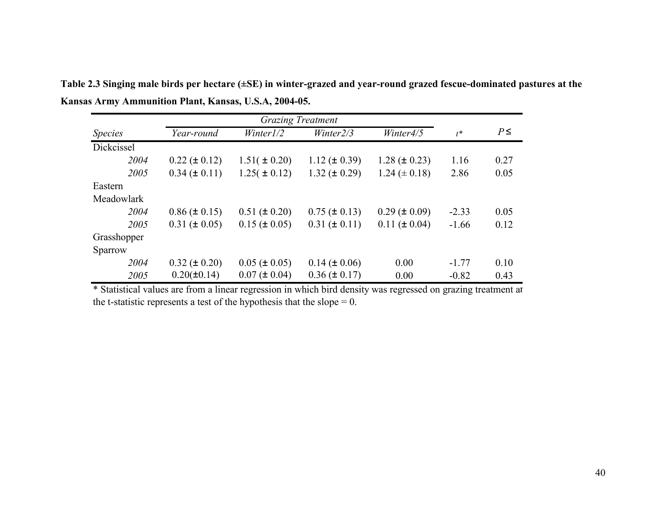|                | <b>Grazing Treatment</b> |                   |                     |                     |         |          |
|----------------|--------------------------|-------------------|---------------------|---------------------|---------|----------|
| <b>Species</b> | Year-round               | Winter1/2         | Winter2/3           | Winter4/5           | $t^*$   | $P \leq$ |
| Dickcissel     |                          |                   |                     |                     |         |          |
| 2004           | $0.22 (\pm 0.12)$        | $1.51(\pm 0.20)$  | $1.12 \ (\pm 0.39)$ | $1.28 (\pm 0.23)$   | 1.16    | 0.27     |
| 2005           | $0.34 \ (\pm 0.11)$      | $1.25(\pm 0.12)$  | $1.32 (\pm 0.29)$   | $1.24 (\pm 0.18)$   | 2.86    | 0.05     |
| Eastern        |                          |                   |                     |                     |         |          |
| Meadowlark     |                          |                   |                     |                     |         |          |
| 2004           | $0.86 (\pm 0.15)$        | $0.51 (\pm 0.20)$ | $0.75 (\pm 0.13)$   | $0.29 \ (\pm 0.09)$ | $-2.33$ | 0.05     |
| 2005           | $0.31 (\pm 0.05)$        | $0.15 (\pm 0.05)$ | $0.31 (\pm 0.11)$   | $0.11 (\pm 0.04)$   | $-1.66$ | 0.12     |
| Grasshopper    |                          |                   |                     |                     |         |          |
| Sparrow        |                          |                   |                     |                     |         |          |
| 2004           | $0.32 (\pm 0.20)$        | $0.05 (\pm 0.05)$ | $0.14 (\pm 0.06)$   | 0.00                | $-1.77$ | 0.10     |
| 2005           | $0.20(\pm 0.14)$         | $0.07 (\pm 0.04)$ | $0.36 (\pm 0.17)$   | 0.00                | $-0.82$ | 0.43     |

**Table 2.3 Singing male birds per hectare (±SE) in winter-grazed and year-round grazed fescue-dominated pastures at the Kansas Army Ammunition Plant, Kansas, U.S.A, 2004-05.** 

\* Statistical values are from a linear regression in which bird density was regressed on grazing treatment an the t-statistic represents a test of the hypothesis that the slope  $= 0$ .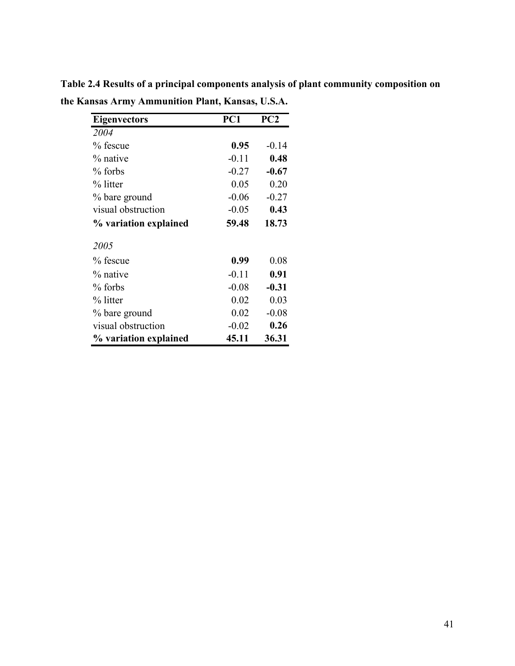| <b>Eigenvectors</b>   | PC1     | PC2     |
|-----------------------|---------|---------|
| 2004                  |         |         |
| % fescue              | 0.95    | $-0.14$ |
| % native              | $-0.11$ | 0.48    |
| $%$ forbs             | $-0.27$ | $-0.67$ |
| % litter              | 0.05    | 0.20    |
| % bare ground         | $-0.06$ | $-0.27$ |
| visual obstruction    | $-0.05$ | 0.43    |
| % variation explained | 59.48   | 18.73   |
| 2005                  |         |         |
| % fescue              | 0.99    | 0.08    |
| % native              | $-0.11$ | 0.91    |
| $%$ forbs             | $-0.08$ | $-0.31$ |
| % litter              | 0.02    | 0.03    |
| % bare ground         | 0.02    | $-0.08$ |
| visual obstruction    | $-0.02$ | 0.26    |
| % variation explained | 45.11   | 36.31   |

**Table 2.4 Results of a principal components analysis of plant community composition on the Kansas Army Ammunition Plant, Kansas, U.S.A.**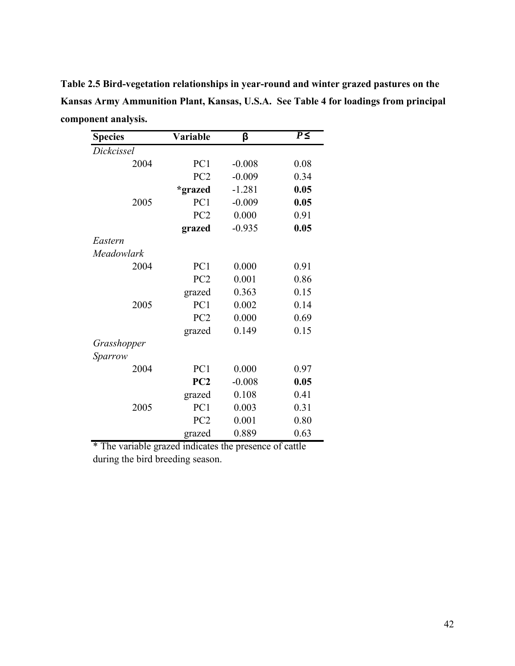**Table 2.5 Bird-vegetation relationships in year-round and winter grazed pastures on the Kansas Army Ammunition Plant, Kansas, U.S.A. See Table 4 for loadings from principal component analysis.** 

| <b>Species</b> | <b>Variable</b> | β        | $P \leq$ |
|----------------|-----------------|----------|----------|
| Dickcissel     |                 |          |          |
| 2004           | PC1             | $-0.008$ | 0.08     |
|                | PC <sub>2</sub> | $-0.009$ | 0.34     |
|                | *grazed         | $-1.281$ | 0.05     |
| 2005           | PC1             | $-0.009$ | 0.05     |
|                | PC <sub>2</sub> | 0.000    | 0.91     |
|                | grazed          | $-0.935$ | 0.05     |
| Eastern        |                 |          |          |
| Meadowlark     |                 |          |          |
| 2004           | PC1             | 0.000    | 0.91     |
|                | PC <sub>2</sub> | 0.001    | 0.86     |
|                | grazed          | 0.363    | 0.15     |
| 2005           | PC <sub>1</sub> | 0.002    | 0.14     |
|                | PC <sub>2</sub> | 0.000    | 0.69     |
|                | grazed          | 0.149    | 0.15     |
| Grasshopper    |                 |          |          |
| Sparrow        |                 |          |          |
| 2004           | PC1             | 0.000    | 0.97     |
|                | PC <sub>2</sub> | $-0.008$ | 0.05     |
|                | grazed          | 0.108    | 0.41     |
| 2005           | PC1             | 0.003    | 0.31     |
|                | PC <sub>2</sub> | 0.001    | 0.80     |
|                | grazed          | 0.889    | 0.63     |

\* The variable grazed indicates the presence of cattle during the bird breeding season.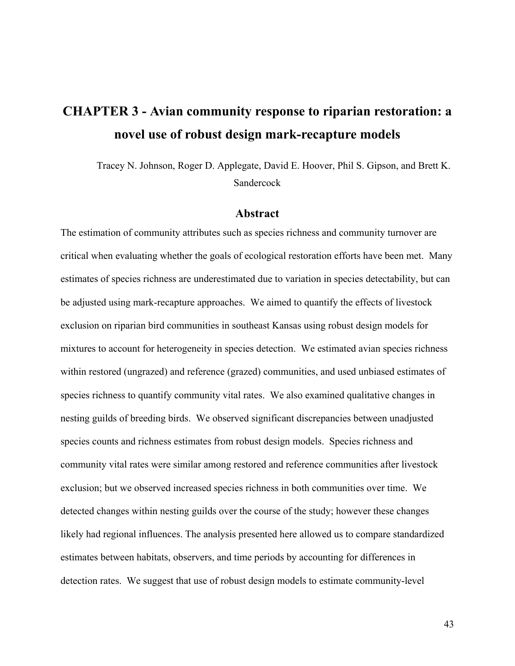# **CHAPTER 3 - Avian community response to riparian restoration: a novel use of robust design mark-recapture models**

 Tracey N. Johnson, Roger D. Applegate, David E. Hoover, Phil S. Gipson, and Brett K. Sandercock

#### **Abstract**

The estimation of community attributes such as species richness and community turnover are critical when evaluating whether the goals of ecological restoration efforts have been met. Many estimates of species richness are underestimated due to variation in species detectability, but can be adjusted using mark-recapture approaches. We aimed to quantify the effects of livestock exclusion on riparian bird communities in southeast Kansas using robust design models for mixtures to account for heterogeneity in species detection. We estimated avian species richness within restored (ungrazed) and reference (grazed) communities, and used unbiased estimates of species richness to quantify community vital rates. We also examined qualitative changes in nesting guilds of breeding birds. We observed significant discrepancies between unadjusted species counts and richness estimates from robust design models. Species richness and community vital rates were similar among restored and reference communities after livestock exclusion; but we observed increased species richness in both communities over time. We detected changes within nesting guilds over the course of the study; however these changes likely had regional influences. The analysis presented here allowed us to compare standardized estimates between habitats, observers, and time periods by accounting for differences in detection rates. We suggest that use of robust design models to estimate community-level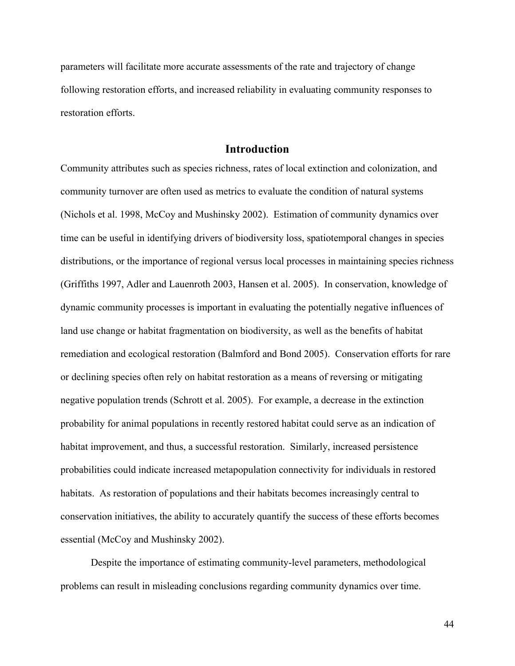parameters will facilitate more accurate assessments of the rate and trajectory of change following restoration efforts, and increased reliability in evaluating community responses to restoration efforts.

## **Introduction**

Community attributes such as species richness, rates of local extinction and colonization, and community turnover are often used as metrics to evaluate the condition of natural systems (Nichols et al. 1998, McCoy and Mushinsky 2002). Estimation of community dynamics over time can be useful in identifying drivers of biodiversity loss, spatiotemporal changes in species distributions, or the importance of regional versus local processes in maintaining species richness (Griffiths 1997, Adler and Lauenroth 2003, Hansen et al. 2005). In conservation, knowledge of dynamic community processes is important in evaluating the potentially negative influences of land use change or habitat fragmentation on biodiversity, as well as the benefits of habitat remediation and ecological restoration (Balmford and Bond 2005). Conservation efforts for rare or declining species often rely on habitat restoration as a means of reversing or mitigating negative population trends (Schrott et al. 2005). For example, a decrease in the extinction probability for animal populations in recently restored habitat could serve as an indication of habitat improvement, and thus, a successful restoration. Similarly, increased persistence probabilities could indicate increased metapopulation connectivity for individuals in restored habitats. As restoration of populations and their habitats becomes increasingly central to conservation initiatives, the ability to accurately quantify the success of these efforts becomes essential (McCoy and Mushinsky 2002).

Despite the importance of estimating community-level parameters, methodological problems can result in misleading conclusions regarding community dynamics over time.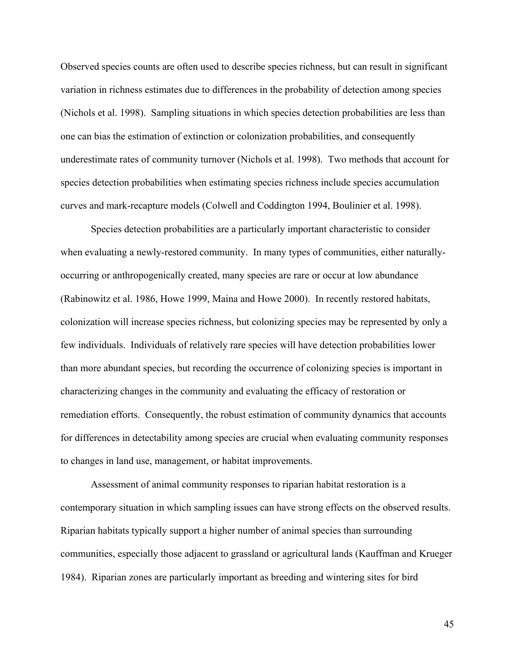Observed species counts are often used to describe species richness, but can result in significant variation in richness estimates due to differences in the probability of detection among species (Nichols et al. 1998). Sampling situations in which species detection probabilities are less than one can bias the estimation of extinction or colonization probabilities, and consequently underestimate rates of community turnover (Nichols et al. 1998). Two methods that account for species detection probabilities when estimating species richness include species accumulation curves and mark-recapture models (Colwell and Coddington 1994, Boulinier et al. 1998).

Species detection probabilities are a particularly important characteristic to consider when evaluating a newly-restored community. In many types of communities, either naturallyoccurring or anthropogenically created, many species are rare or occur at low abundance (Rabinowitz et al. 1986, Howe 1999, Maina and Howe 2000). In recently restored habitats, colonization will increase species richness, but colonizing species may be represented by only a few individuals. Individuals of relatively rare species will have detection probabilities lower than more abundant species, but recording the occurrence of colonizing species is important in characterizing changes in the community and evaluating the efficacy of restoration or remediation efforts. Consequently, the robust estimation of community dynamics that accounts for differences in detectability among species are crucial when evaluating community responses to changes in land use, management, or habitat improvements.

Assessment of animal community responses to riparian habitat restoration is a contemporary situation in which sampling issues can have strong effects on the observed results. Riparian habitats typically support a higher number of animal species than surrounding communities, especially those adjacent to grassland or agricultural lands (Kauffman and Krueger 1984). Riparian zones are particularly important as breeding and wintering sites for bird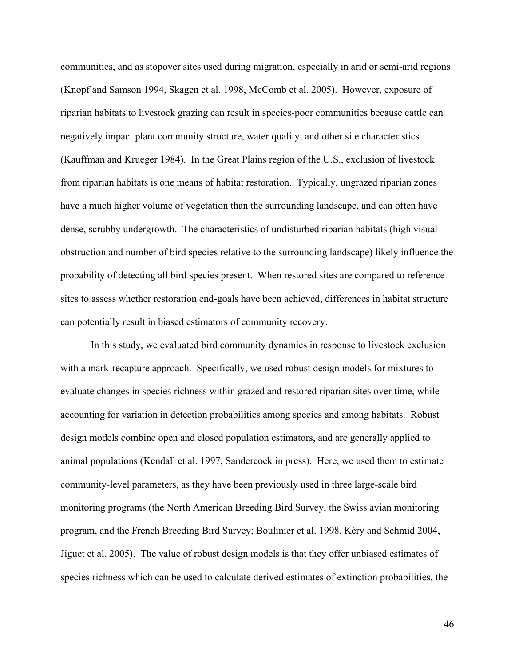communities, and as stopover sites used during migration, especially in arid or semi-arid regions (Knopf and Samson 1994, Skagen et al. 1998, McComb et al. 2005). However, exposure of riparian habitats to livestock grazing can result in species-poor communities because cattle can negatively impact plant community structure, water quality, and other site characteristics (Kauffman and Krueger 1984). In the Great Plains region of the U.S., exclusion of livestock from riparian habitats is one means of habitat restoration. Typically, ungrazed riparian zones have a much higher volume of vegetation than the surrounding landscape, and can often have dense, scrubby undergrowth. The characteristics of undisturbed riparian habitats (high visual obstruction and number of bird species relative to the surrounding landscape) likely influence the probability of detecting all bird species present. When restored sites are compared to reference sites to assess whether restoration end-goals have been achieved, differences in habitat structure can potentially result in biased estimators of community recovery.

In this study, we evaluated bird community dynamics in response to livestock exclusion with a mark-recapture approach. Specifically, we used robust design models for mixtures to evaluate changes in species richness within grazed and restored riparian sites over time, while accounting for variation in detection probabilities among species and among habitats. Robust design models combine open and closed population estimators, and are generally applied to animal populations (Kendall et al. 1997, Sandercock in press). Here, we used them to estimate community-level parameters, as they have been previously used in three large-scale bird monitoring programs (the North American Breeding Bird Survey, the Swiss avian monitoring program, and the French Breeding Bird Survey; Boulinier et al. 1998, Kéry and Schmid 2004, Jiguet et al. 2005). The value of robust design models is that they offer unbiased estimates of species richness which can be used to calculate derived estimates of extinction probabilities, the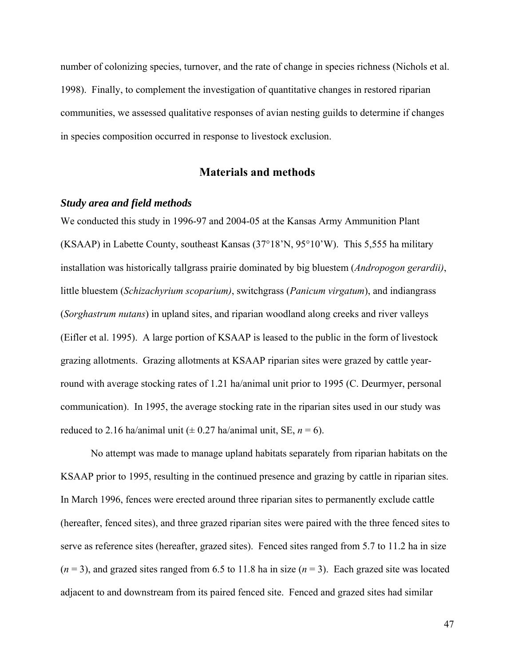number of colonizing species, turnover, and the rate of change in species richness (Nichols et al. 1998). Finally, to complement the investigation of quantitative changes in restored riparian communities, we assessed qualitative responses of avian nesting guilds to determine if changes in species composition occurred in response to livestock exclusion.

# **Materials and methods**

## *Study area and field methods*

We conducted this study in 1996-97 and 2004-05 at the Kansas Army Ammunition Plant (KSAAP) in Labette County, southeast Kansas (37°18'N, 95°10'W). This 5,555 ha military installation was historically tallgrass prairie dominated by big bluestem (*Andropogon gerardii)*, little bluestem (*Schizachyrium scoparium)*, switchgrass (*Panicum virgatum*), and indiangrass (*Sorghastrum nutans*) in upland sites, and riparian woodland along creeks and river valleys (Eifler et al. 1995). A large portion of KSAAP is leased to the public in the form of livestock grazing allotments. Grazing allotments at KSAAP riparian sites were grazed by cattle yearround with average stocking rates of 1.21 ha/animal unit prior to 1995 (C. Deurmyer, personal communication). In 1995, the average stocking rate in the riparian sites used in our study was reduced to 2.16 ha/animal unit ( $\pm$  0.27 ha/animal unit, SE,  $n = 6$ ).

No attempt was made to manage upland habitats separately from riparian habitats on the KSAAP prior to 1995, resulting in the continued presence and grazing by cattle in riparian sites. In March 1996, fences were erected around three riparian sites to permanently exclude cattle (hereafter, fenced sites), and three grazed riparian sites were paired with the three fenced sites to serve as reference sites (hereafter, grazed sites). Fenced sites ranged from 5.7 to 11.2 ha in size  $(n = 3)$ , and grazed sites ranged from 6.5 to 11.8 ha in size  $(n = 3)$ . Each grazed site was located adjacent to and downstream from its paired fenced site. Fenced and grazed sites had similar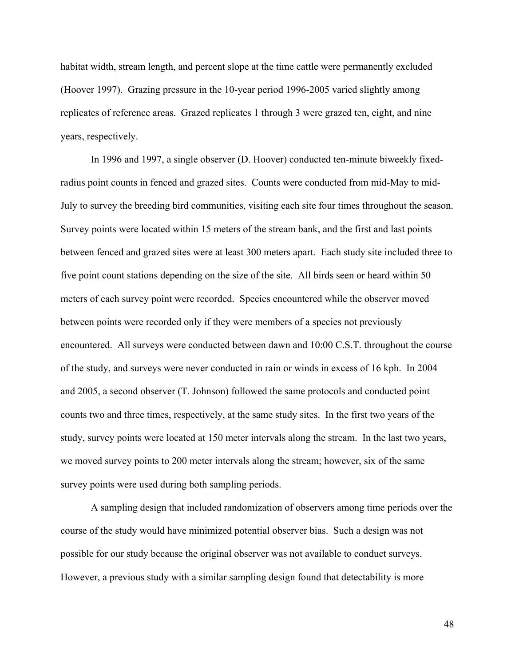habitat width, stream length, and percent slope at the time cattle were permanently excluded (Hoover 1997). Grazing pressure in the 10-year period 1996-2005 varied slightly among replicates of reference areas. Grazed replicates 1 through 3 were grazed ten, eight, and nine years, respectively.

In 1996 and 1997, a single observer (D. Hoover) conducted ten-minute biweekly fixedradius point counts in fenced and grazed sites. Counts were conducted from mid-May to mid-July to survey the breeding bird communities, visiting each site four times throughout the season. Survey points were located within 15 meters of the stream bank, and the first and last points between fenced and grazed sites were at least 300 meters apart. Each study site included three to five point count stations depending on the size of the site. All birds seen or heard within 50 meters of each survey point were recorded. Species encountered while the observer moved between points were recorded only if they were members of a species not previously encountered. All surveys were conducted between dawn and 10:00 C.S.T. throughout the course of the study, and surveys were never conducted in rain or winds in excess of 16 kph. In 2004 and 2005, a second observer (T. Johnson) followed the same protocols and conducted point counts two and three times, respectively, at the same study sites. In the first two years of the study, survey points were located at 150 meter intervals along the stream. In the last two years, we moved survey points to 200 meter intervals along the stream; however, six of the same survey points were used during both sampling periods.

A sampling design that included randomization of observers among time periods over the course of the study would have minimized potential observer bias. Such a design was not possible for our study because the original observer was not available to conduct surveys. However, a previous study with a similar sampling design found that detectability is more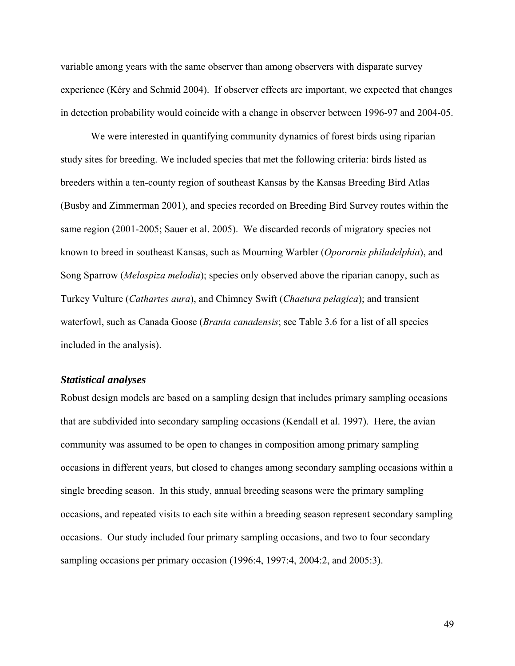variable among years with the same observer than among observers with disparate survey experience (Kéry and Schmid 2004). If observer effects are important, we expected that changes in detection probability would coincide with a change in observer between 1996-97 and 2004-05.

We were interested in quantifying community dynamics of forest birds using riparian study sites for breeding. We included species that met the following criteria: birds listed as breeders within a ten-county region of southeast Kansas by the Kansas Breeding Bird Atlas (Busby and Zimmerman 2001), and species recorded on Breeding Bird Survey routes within the same region (2001-2005; Sauer et al. 2005). We discarded records of migratory species not known to breed in southeast Kansas, such as Mourning Warbler (*Oporornis philadelphia*), and Song Sparrow (*Melospiza melodia*); species only observed above the riparian canopy, such as Turkey Vulture (*Cathartes aura*), and Chimney Swift (*Chaetura pelagica*); and transient waterfowl, such as Canada Goose (*Branta canadensis*; see Table 3.6 for a list of all species included in the analysis).

## *Statistical analyses*

Robust design models are based on a sampling design that includes primary sampling occasions that are subdivided into secondary sampling occasions (Kendall et al. 1997). Here, the avian community was assumed to be open to changes in composition among primary sampling occasions in different years, but closed to changes among secondary sampling occasions within a single breeding season. In this study, annual breeding seasons were the primary sampling occasions, and repeated visits to each site within a breeding season represent secondary sampling occasions. Our study included four primary sampling occasions, and two to four secondary sampling occasions per primary occasion (1996:4, 1997:4, 2004:2, and 2005:3).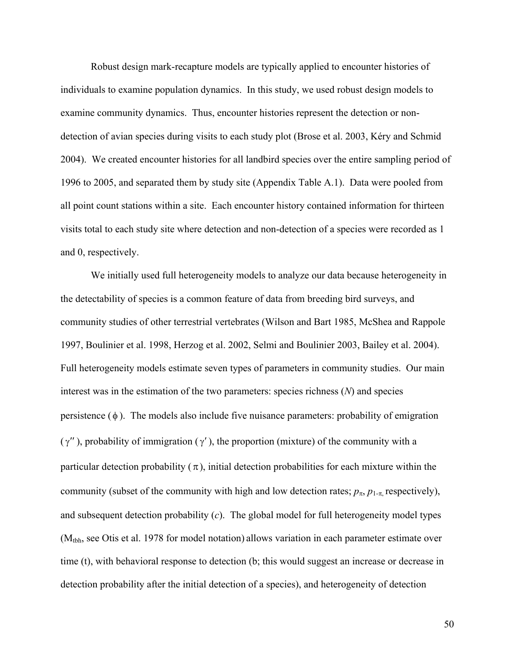Robust design mark-recapture models are typically applied to encounter histories of individuals to examine population dynamics. In this study, we used robust design models to examine community dynamics. Thus, encounter histories represent the detection or nondetection of avian species during visits to each study plot (Brose et al. 2003, Kéry and Schmid 2004). We created encounter histories for all landbird species over the entire sampling period of 1996 to 2005, and separated them by study site (Appendix Table A.1). Data were pooled from all point count stations within a site. Each encounter history contained information for thirteen visits total to each study site where detection and non-detection of a species were recorded as 1 and 0, respectively.

We initially used full heterogeneity models to analyze our data because heterogeneity in the detectability of species is a common feature of data from breeding bird surveys, and community studies of other terrestrial vertebrates (Wilson and Bart 1985, McShea and Rappole 1997, Boulinier et al. 1998, Herzog et al. 2002, Selmi and Boulinier 2003, Bailey et al. 2004). Full heterogeneity models estimate seven types of parameters in community studies. Our main interest was in the estimation of the two parameters: species richness (*N*) and species persistence  $(\phi)$ . The models also include five nuisance parameters: probability of emigration ( $γ'$ ), probability of immigration ( $γ'$ ), the proportion (mixture) of the community with a particular detection probability  $(\pi)$ , initial detection probabilities for each mixture within the community (subset of the community with high and low detection rates;  $p_{\pi}$ ,  $p_{1-\pi}$ , respectively), and subsequent detection probability (*c*). The global model for full heterogeneity model types (Mtbh, see Otis et al. 1978 for model notation) allows variation in each parameter estimate over time (t), with behavioral response to detection (b; this would suggest an increase or decrease in detection probability after the initial detection of a species), and heterogeneity of detection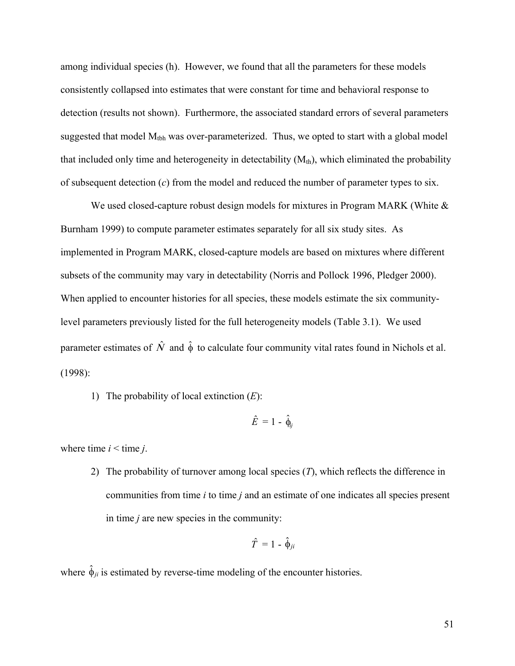among individual species (h). However, we found that all the parameters for these models consistently collapsed into estimates that were constant for time and behavioral response to detection (results not shown). Furthermore, the associated standard errors of several parameters suggested that model  $M_{\text{tbh}}$  was over-parameterized. Thus, we opted to start with a global model that included only time and heterogeneity in detectability  $(M<sub>th</sub>)$ , which eliminated the probability of subsequent detection (*c*) from the model and reduced the number of parameter types to six.

We used closed-capture robust design models for mixtures in Program MARK (White  $\&$ Burnham 1999) to compute parameter estimates separately for all six study sites. As implemented in Program MARK, closed-capture models are based on mixtures where different subsets of the community may vary in detectability (Norris and Pollock 1996, Pledger 2000). When applied to encounter histories for all species, these models estimate the six communitylevel parameters previously listed for the full heterogeneity models (Table 3.1). We used parameter estimates of  $\hat{N}$  and  $\hat{\phi}$  to calculate four community vital rates found in Nichols et al. (1998):

1) The probability of local extinction (*E*):

$$
\hat{E} = 1 - \hat{\phi}_{ij}
$$

where time  $i \leq t$  ime  $j$ .

2) The probability of turnover among local species (*T*), which reflects the difference in communities from time *i* to time *j* and an estimate of one indicates all species present in time *j* are new species in the community:

$$
\hat{T} = 1 - \hat{\phi}_{ji}
$$

where  $\hat{\phi}_{ji}$  is estimated by reverse-time modeling of the encounter histories.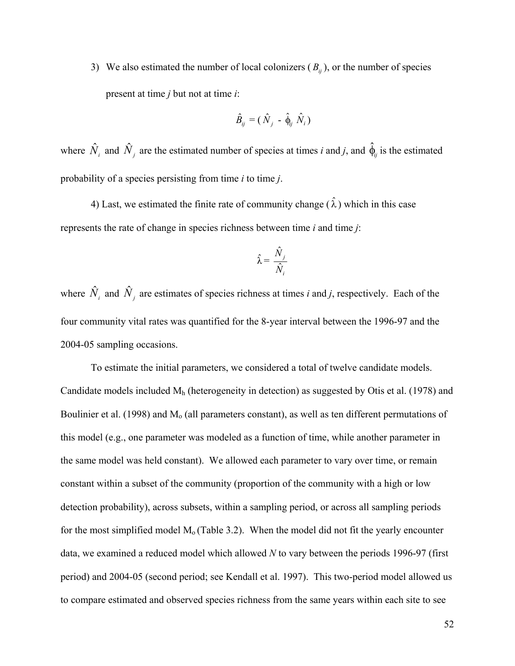3) We also estimated the number of local colonizers ( *Βij* ), or the number of species present at time *j* but not at time *i*:

$$
\hat{B}_{ij} = (\hat{N}_{j} - \hat{\phi}_{ij} \hat{N}_{i})
$$

where  $\hat{N}_i$  and  $\hat{N}_j$  are the estimated number of species at times *i* and *j*, and  $\hat{\phi}_j$  is the estimated probability of a species persisting from time *i* to time *j*.

4) Last, we estimated the finite rate of community change  $(\hat{\lambda})$  which in this case represents the rate of change in species richness between time *i* and time *j*:

$$
\hat{\lambda} = \frac{\hat{N}_j}{\hat{N}_i}
$$

where  $\hat{N}_i$  and  $\hat{N}_j$  are estimates of species richness at times *i* and *j*, respectively. Each of the four community vital rates was quantified for the 8-year interval between the 1996-97 and the 2004-05 sampling occasions.

To estimate the initial parameters, we considered a total of twelve candidate models. Candidate models included  $M_h$  (heterogeneity in detection) as suggested by Otis et al. (1978) and Boulinier et al. (1998) and  $M<sub>o</sub>$  (all parameters constant), as well as ten different permutations of this model (e.g., one parameter was modeled as a function of time, while another parameter in the same model was held constant). We allowed each parameter to vary over time, or remain constant within a subset of the community (proportion of the community with a high or low detection probability), across subsets, within a sampling period, or across all sampling periods for the most simplified model  $M<sub>o</sub>$  (Table 3.2). When the model did not fit the yearly encounter data, we examined a reduced model which allowed *N* to vary between the periods 1996-97 (first period) and 2004-05 (second period; see Kendall et al. 1997). This two-period model allowed us to compare estimated and observed species richness from the same years within each site to see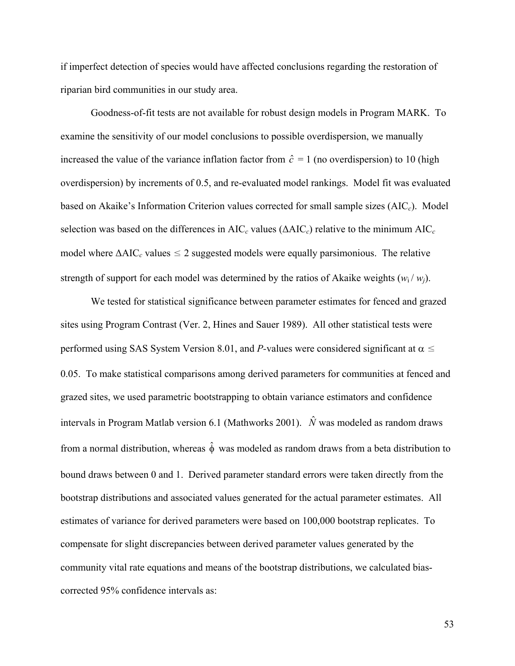if imperfect detection of species would have affected conclusions regarding the restoration of riparian bird communities in our study area.

Goodness-of-fit tests are not available for robust design models in Program MARK. To examine the sensitivity of our model conclusions to possible overdispersion, we manually increased the value of the variance inflation factor from  $\hat{c} = 1$  (no overdispersion) to 10 (high overdispersion) by increments of 0.5, and re-evaluated model rankings. Model fit was evaluated based on Akaike's Information Criterion values corrected for small sample sizes (AIC *<sup>c</sup>*). Model selection was based on the differences in AIC*c* values (ΔAIC*c*) relative to the minimum AIC*<sup>c</sup>* model where  $\Delta AIC_c$  values  $\leq 2$  suggested models were equally parsimonious. The relative strength of support for each model was determined by the ratios of Akaike weights  $(w_i / w_i)$ .

We tested for statistical significance between parameter estimates for fenced and grazed sites using Program Contrast (Ver. 2, Hines and Sauer 1989). All other statistical tests were performed using SAS System Version 8.01, and *P*-values were considered significant at  $\alpha \leq$ 0.05. To make statistical comparisons among derived parameters for communities at fenced and grazed sites, we used parametric bootstrapping to obtain variance estimators and confidence intervals in Program Matlab version 6.1 (Mathworks 2001).  $\hat{N}$  was modeled as random draws from a normal distribution, whereas  $\hat{\phi}$  was modeled as random draws from a beta distribution to bound draws between 0 and 1. Derived parameter standard errors were taken directly from the bootstrap distributions and associated values generated for the actual parameter estimates. All estimates of variance for derived parameters were based on 100,000 bootstrap replicates. To compensate for slight discrepancies between derived parameter values generated by the community vital rate equations and means of the bootstrap distributions, we calculated biascorrected 95% confidence intervals as: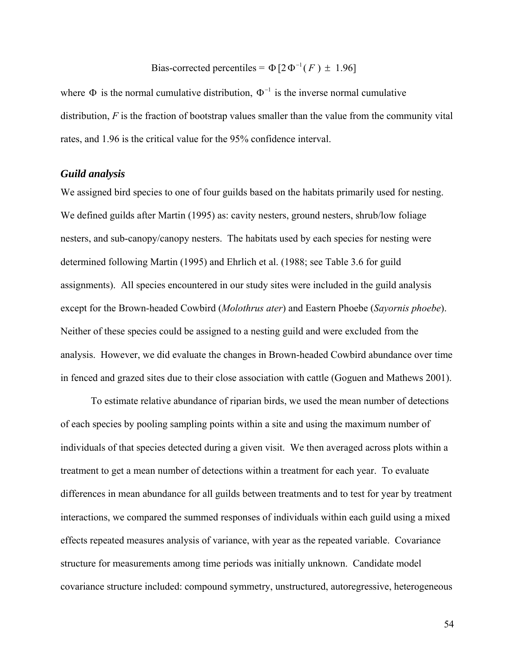#### Bias-corrected percentiles =  $\Phi$  [2 $\Phi^{-1}(F) \pm 1.96$ ]

where  $\Phi$  is the normal cumulative distribution,  $\Phi^{-1}$  is the inverse normal cumulative distribution, *F* is the fraction of bootstrap values smaller than the value from the community vital rates, and 1.96 is the critical value for the 95% confidence interval.

## *Guild analysis*

We assigned bird species to one of four guilds based on the habitats primarily used for nesting. We defined guilds after Martin (1995) as: cavity nesters, ground nesters, shrub/low foliage nesters, and sub-canopy/canopy nesters. The habitats used by each species for nesting were determined following Martin (1995) and Ehrlich et al. (1988; see Table 3.6 for guild assignments). All species encountered in our study sites were included in the guild analysis except for the Brown-headed Cowbird (*Molothrus ater*) and Eastern Phoebe (*Sayornis phoebe*). Neither of these species could be assigned to a nesting guild and were excluded from the analysis. However, we did evaluate the changes in Brown-headed Cowbird abundance over time in fenced and grazed sites due to their close association with cattle (Goguen and Mathews 2001).

To estimate relative abundance of riparian birds, we used the mean number of detections of each species by pooling sampling points within a site and using the maximum number of individuals of that species detected during a given visit. We then averaged across plots within a treatment to get a mean number of detections within a treatment for each year. To evaluate differences in mean abundance for all guilds between treatments and to test for year by treatment interactions, we compared the summed responses of individuals within each guild using a mixed effects repeated measures analysis of variance, with year as the repeated variable. Covariance structure for measurements among time periods was initially unknown. Candidate model covariance structure included: compound symmetry, unstructured, autoregressive, heterogeneous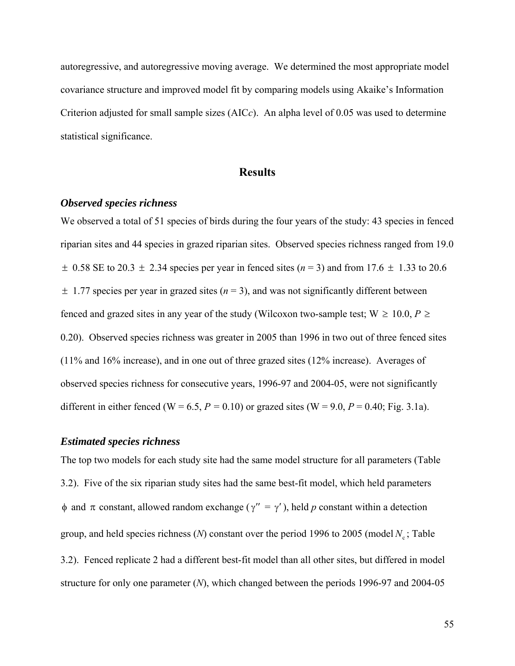autoregressive, and autoregressive moving average. We determined the most appropriate model covariance structure and improved model fit by comparing models using Akaike's Information Criterion adjusted for small sample sizes (AIC*c*). An alpha level of 0.05 was used to determine statistical significance.

## **Results**

#### *Observed species richness*

We observed a total of 51 species of birds during the four years of the study: 43 species in fenced riparian sites and 44 species in grazed riparian sites. Observed species richness ranged from 19.0  $\pm$  0.58 SE to 20.3  $\pm$  2.34 species per year in fenced sites ( $n = 3$ ) and from 17.6  $\pm$  1.33 to 20.6  $\pm$  1.77 species per year in grazed sites ( $n = 3$ ), and was not significantly different between fenced and grazed sites in any year of the study (Wilcoxon two-sample test;  $W \ge 10.0$ ,  $P \ge$ 0.20). Observed species richness was greater in 2005 than 1996 in two out of three fenced sites (11% and 16% increase), and in one out of three grazed sites (12% increase). Averages of observed species richness for consecutive years, 1996-97 and 2004-05, were not significantly different in either fenced (W = 6.5,  $P = 0.10$ ) or grazed sites (W = 9.0,  $P = 0.40$ ; Fig. 3.1a).

#### *Estimated species richness*

The top two models for each study site had the same model structure for all parameters (Table 3.2). Five of the six riparian study sites had the same best-fit model, which held parameters φ and π constant, allowed random exchange ( γ′′ = γ′), held *p* constant within a detection group, and held species richness ( $N$ ) constant over the period 1996 to 2005 (model  $N_c$ ; Table 3.2). Fenced replicate 2 had a different best-fit model than all other sites, but differed in model structure for only one parameter (*N*), which changed between the periods 1996-97 and 2004-05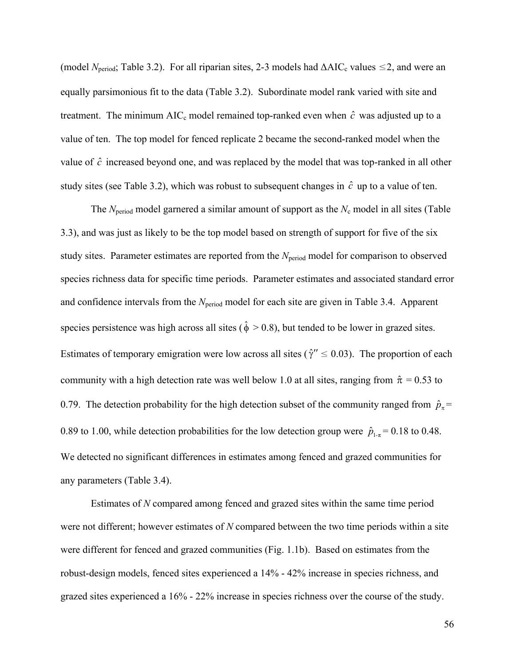(model  $N_{\text{period}}$ ; Table 3.2). For all riparian sites, 2-3 models had  $\Delta AIC_{c}$  values  $\leq 2$ , and were an equally parsimonious fit to the data (Table 3.2). Subordinate model rank varied with site and treatment. The minimum AIC<sub>c</sub> model remained top-ranked even when  $\hat{c}$  was adjusted up to a value of ten. The top model for fenced replicate 2 became the second-ranked model when the value of  $\hat{c}$  increased beyond one, and was replaced by the model that was top-ranked in all other study sites (see Table 3.2), which was robust to subsequent changes in  $\hat{c}$  up to a value of ten.

The  $N_{\text{period}}$  model garnered a similar amount of support as the  $N_{\text{c}}$  model in all sites (Table 3.3), and was just as likely to be the top model based on strength of support for five of the six study sites. Parameter estimates are reported from the *N*<sub>period</sub> model for comparison to observed species richness data for specific time periods. Parameter estimates and associated standard error and confidence intervals from the *N*<sub>period</sub> model for each site are given in Table 3.4. Apparent species persistence was high across all sites ( $\hat{\phi} > 0.8$ ), but tended to be lower in grazed sites. Estimates of temporary emigration were low across all sites ( $\hat{\gamma}$ "  $\leq$  0.03). The proportion of each community with a high detection rate was well below 1.0 at all sites, ranging from  $\hat{\pi} = 0.53$  to 0.79. The detection probability for the high detection subset of the community ranged from  $\hat{p}_{\pi}$  = 0.89 to 1.00, while detection probabilities for the low detection group were  $\hat{p}_{1-\pi} = 0.18$  to 0.48. We detected no significant differences in estimates among fenced and grazed communities for any parameters (Table 3.4).

Estimates of *N* compared among fenced and grazed sites within the same time period were not different; however estimates of *N* compared between the two time periods within a site were different for fenced and grazed communities (Fig. 1.1b). Based on estimates from the robust-design models, fenced sites experienced a 14% - 42% increase in species richness, and grazed sites experienced a 16% - 22% increase in species richness over the course of the study.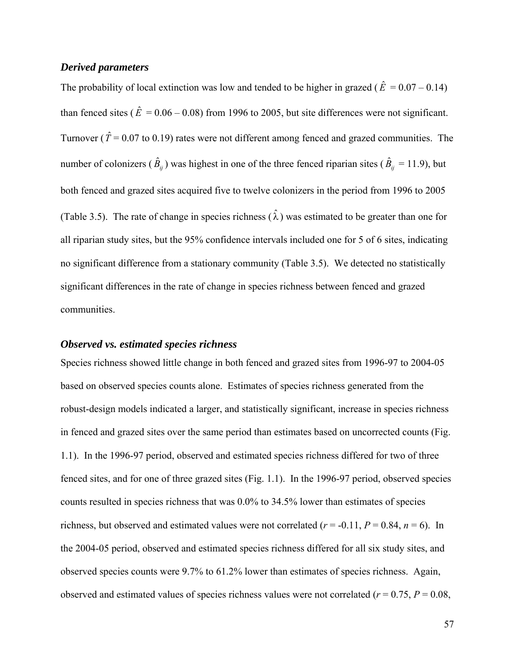## *Derived parameters*

The probability of local extinction was low and tended to be higher in grazed ( $\hat{E} = 0.07 - 0.14$ ) than fenced sites ( $\hat{E} = 0.06 - 0.08$ ) from 1996 to 2005, but site differences were not significant. Turnover ( $\hat{T} = 0.07$  to 0.19) rates were not different among fenced and grazed communities. The number of colonizers ( $\hat{B}_{ij}$ ) was highest in one of the three fenced riparian sites ( $\hat{B}_{ij} = 11.9$ ), but both fenced and grazed sites acquired five to twelve colonizers in the period from 1996 to 2005 (Table 3.5). The rate of change in species richness  $(\hat{\lambda})$  was estimated to be greater than one for all riparian study sites, but the 95% confidence intervals included one for 5 of 6 sites, indicating no significant difference from a stationary community (Table 3.5). We detected no statistically significant differences in the rate of change in species richness between fenced and grazed communities.

## *Observed vs. estimated species richness*

Species richness showed little change in both fenced and grazed sites from 1996-97 to 2004-05 based on observed species counts alone. Estimates of species richness generated from the robust-design models indicated a larger, and statistically significant, increase in species richness in fenced and grazed sites over the same period than estimates based on uncorrected counts (Fig. 1.1). In the 1996-97 period, observed and estimated species richness differed for two of three fenced sites, and for one of three grazed sites (Fig. 1.1). In the 1996-97 period, observed species counts resulted in species richness that was 0.0% to 34.5% lower than estimates of species richness, but observed and estimated values were not correlated  $(r = -0.11, P = 0.84, n = 6)$ . In the 2004-05 period, observed and estimated species richness differed for all six study sites, and observed species counts were 9.7% to 61.2% lower than estimates of species richness. Again, observed and estimated values of species richness values were not correlated ( $r = 0.75$ ,  $P = 0.08$ ,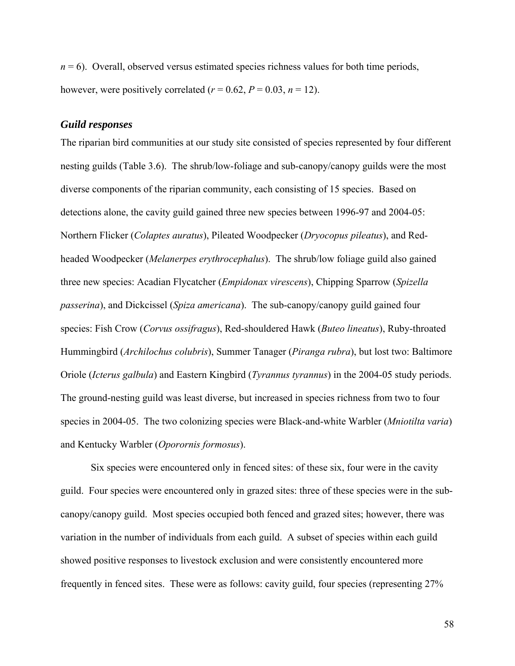$n = 6$ ). Overall, observed versus estimated species richness values for both time periods, however, were positively correlated ( $r = 0.62$ ,  $P = 0.03$ ,  $n = 12$ ).

## *Guild responses*

The riparian bird communities at our study site consisted of species represented by four different nesting guilds (Table 3.6). The shrub/low-foliage and sub-canopy/canopy guilds were the most diverse components of the riparian community, each consisting of 15 species. Based on detections alone, the cavity guild gained three new species between 1996-97 and 2004-05: Northern Flicker (*Colaptes auratus*), Pileated Woodpecker (*Dryocopus pileatus*), and Redheaded Woodpecker (*Melanerpes erythrocephalus*). The shrub/low foliage guild also gained three new species: Acadian Flycatcher (*Empidonax virescens*), Chipping Sparrow (*Spizella passerina*), and Dickcissel (*Spiza americana*). The sub-canopy/canopy guild gained four species: Fish Crow (*Corvus ossifragus*), Red-shouldered Hawk (*Buteo lineatus*), Ruby-throated Hummingbird (*Archilochus colubris*), Summer Tanager (*Piranga rubra*), but lost two: Baltimore Oriole (*Icterus galbula*) and Eastern Kingbird (*Tyrannus tyrannus*) in the 2004-05 study periods. The ground-nesting guild was least diverse, but increased in species richness from two to four species in 2004-05. The two colonizing species were Black-and-white Warbler (*Mniotilta varia*) and Kentucky Warbler (*Oporornis formosus*).

Six species were encountered only in fenced sites: of these six, four were in the cavity guild. Four species were encountered only in grazed sites: three of these species were in the subcanopy/canopy guild. Most species occupied both fenced and grazed sites; however, there was variation in the number of individuals from each guild. A subset of species within each guild showed positive responses to livestock exclusion and were consistently encountered more frequently in fenced sites. These were as follows: cavity guild, four species (representing 27%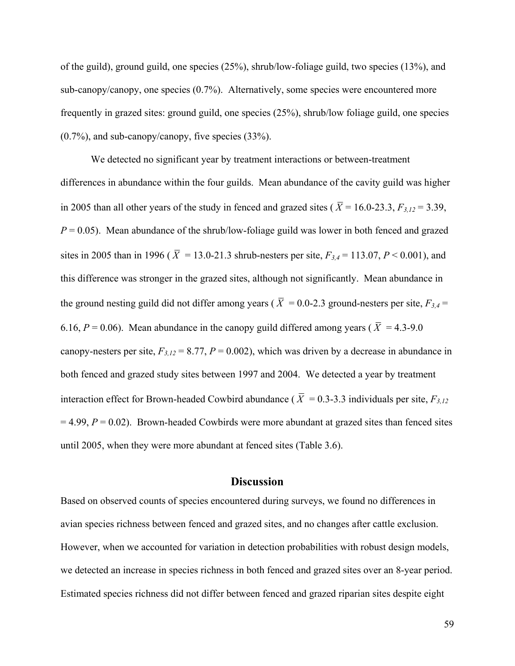of the guild), ground guild, one species (25%), shrub/low-foliage guild, two species (13%), and sub-canopy/canopy, one species (0.7%). Alternatively, some species were encountered more frequently in grazed sites: ground guild, one species (25%), shrub/low foliage guild, one species (0.7%), and sub-canopy/canopy, five species (33%).

We detected no significant year by treatment interactions or between-treatment differences in abundance within the four guilds. Mean abundance of the cavity guild was higher in 2005 than all other years of the study in fenced and grazed sites ( $\overline{X}$  = 16.0-23.3,  $F_{3,12}$  = 3.39,  $P = 0.05$ ). Mean abundance of the shrub/low-foliage guild was lower in both fenced and grazed sites in 2005 than in 1996 ( $\overline{X}$  = 13.0-21.3 shrub-nesters per site,  $F_{3,4}$  = 113.07, *P* < 0.001), and this difference was stronger in the grazed sites, although not significantly. Mean abundance in the ground nesting guild did not differ among years ( $\overline{X} = 0.0$ -2.3 ground-nesters per site,  $F_{3,4} =$ 6.16,  $P = 0.06$ ). Mean abundance in the canopy guild differed among years ( $\overline{X} = 4.3$ -9.0 canopy-nesters per site,  $F_{3,12} = 8.77$ ,  $P = 0.002$ ), which was driven by a decrease in abundance in both fenced and grazed study sites between 1997 and 2004. We detected a year by treatment interaction effect for Brown-headed Cowbird abundance ( $\overline{X} = 0.3$ -3.3 individuals per site,  $F_{3,12}$ )  $= 4.99, P = 0.02$ ). Brown-headed Cowbirds were more abundant at grazed sites than fenced sites until 2005, when they were more abundant at fenced sites (Table 3.6).

# **Discussion**

Based on observed counts of species encountered during surveys, we found no differences in avian species richness between fenced and grazed sites, and no changes after cattle exclusion. However, when we accounted for variation in detection probabilities with robust design models, we detected an increase in species richness in both fenced and grazed sites over an 8-year period. Estimated species richness did not differ between fenced and grazed riparian sites despite eight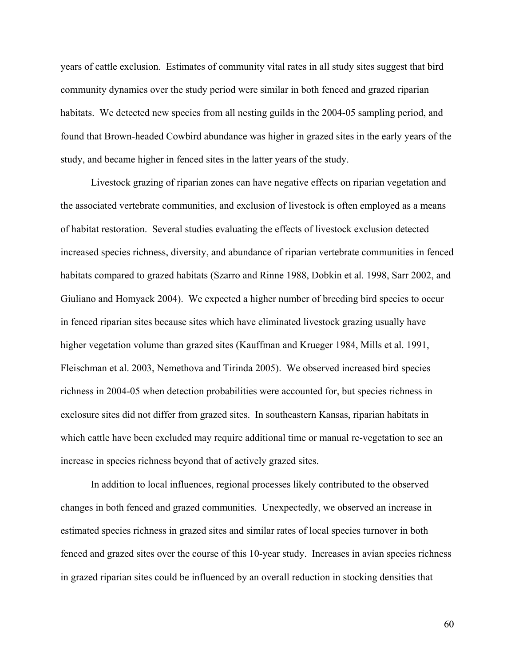years of cattle exclusion. Estimates of community vital rates in all study sites suggest that bird community dynamics over the study period were similar in both fenced and grazed riparian habitats. We detected new species from all nesting guilds in the 2004-05 sampling period, and found that Brown-headed Cowbird abundance was higher in grazed sites in the early years of the study, and became higher in fenced sites in the latter years of the study.

Livestock grazing of riparian zones can have negative effects on riparian vegetation and the associated vertebrate communities, and exclusion of livestock is often employed as a means of habitat restoration. Several studies evaluating the effects of livestock exclusion detected increased species richness, diversity, and abundance of riparian vertebrate communities in fenced habitats compared to grazed habitats (Szarro and Rinne 1988, Dobkin et al. 1998, Sarr 2002, and Giuliano and Homyack 2004). We expected a higher number of breeding bird species to occur in fenced riparian sites because sites which have eliminated livestock grazing usually have higher vegetation volume than grazed sites (Kauffman and Krueger 1984, Mills et al. 1991, Fleischman et al. 2003, Nemethova and Tirinda 2005). We observed increased bird species richness in 2004-05 when detection probabilities were accounted for, but species richness in exclosure sites did not differ from grazed sites. In southeastern Kansas, riparian habitats in which cattle have been excluded may require additional time or manual re-vegetation to see an increase in species richness beyond that of actively grazed sites.

In addition to local influences, regional processes likely contributed to the observed changes in both fenced and grazed communities. Unexpectedly, we observed an increase in estimated species richness in grazed sites and similar rates of local species turnover in both fenced and grazed sites over the course of this 10-year study. Increases in avian species richness in grazed riparian sites could be influenced by an overall reduction in stocking densities that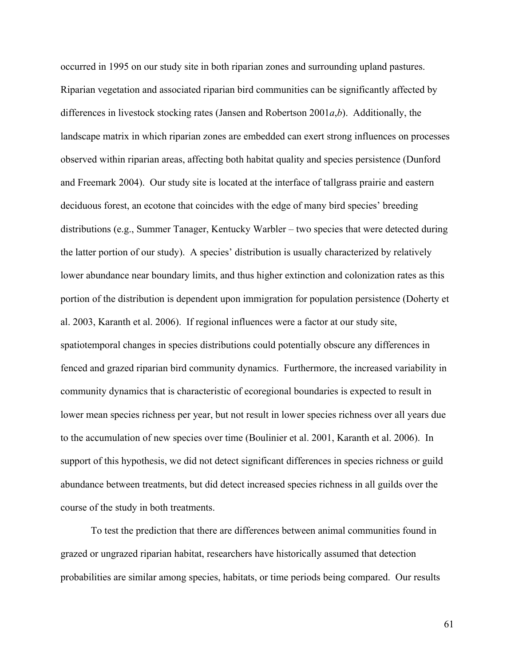occurred in 1995 on our study site in both riparian zones and surrounding upland pastures. Riparian vegetation and associated riparian bird communities can be significantly affected by differences in livestock stocking rates (Jansen and Robertson 2001*a*,*b*). Additionally, the landscape matrix in which riparian zones are embedded can exert strong influences on processes observed within riparian areas, affecting both habitat quality and species persistence (Dunford and Freemark 2004). Our study site is located at the interface of tallgrass prairie and eastern deciduous forest, an ecotone that coincides with the edge of many bird species' breeding distributions (e.g., Summer Tanager, Kentucky Warbler – two species that were detected during the latter portion of our study). A species' distribution is usually characterized by relatively lower abundance near boundary limits, and thus higher extinction and colonization rates as this portion of the distribution is dependent upon immigration for population persistence (Doherty et al. 2003, Karanth et al. 2006). If regional influences were a factor at our study site, spatiotemporal changes in species distributions could potentially obscure any differences in fenced and grazed riparian bird community dynamics. Furthermore, the increased variability in community dynamics that is characteristic of ecoregional boundaries is expected to result in lower mean species richness per year, but not result in lower species richness over all years due to the accumulation of new species over time (Boulinier et al. 2001, Karanth et al. 2006). In support of this hypothesis, we did not detect significant differences in species richness or guild abundance between treatments, but did detect increased species richness in all guilds over the course of the study in both treatments.

To test the prediction that there are differences between animal communities found in grazed or ungrazed riparian habitat, researchers have historically assumed that detection probabilities are similar among species, habitats, or time periods being compared. Our results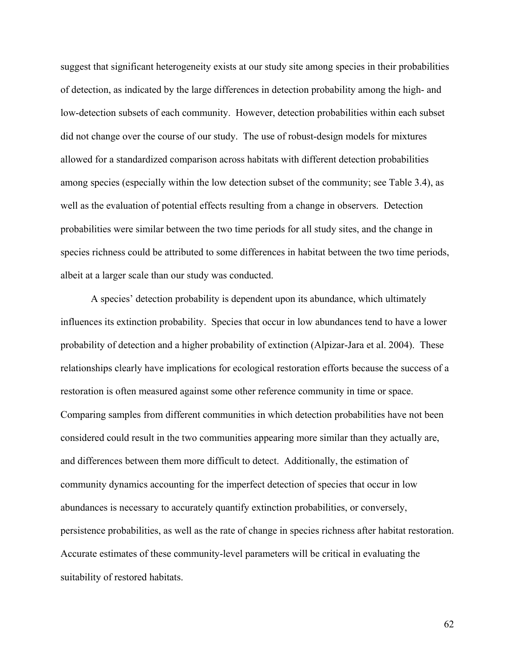suggest that significant heterogeneity exists at our study site among species in their probabilities of detection, as indicated by the large differences in detection probability among the high- and low-detection subsets of each community. However, detection probabilities within each subset did not change over the course of our study. The use of robust-design models for mixtures allowed for a standardized comparison across habitats with different detection probabilities among species (especially within the low detection subset of the community; see Table 3.4), as well as the evaluation of potential effects resulting from a change in observers. Detection probabilities were similar between the two time periods for all study sites, and the change in species richness could be attributed to some differences in habitat between the two time periods, albeit at a larger scale than our study was conducted.

A species' detection probability is dependent upon its abundance, which ultimately influences its extinction probability. Species that occur in low abundances tend to have a lower probability of detection and a higher probability of extinction (Alpizar-Jara et al. 2004). These relationships clearly have implications for ecological restoration efforts because the success of a restoration is often measured against some other reference community in time or space. Comparing samples from different communities in which detection probabilities have not been considered could result in the two communities appearing more similar than they actually are, and differences between them more difficult to detect. Additionally, the estimation of community dynamics accounting for the imperfect detection of species that occur in low abundances is necessary to accurately quantify extinction probabilities, or conversely, persistence probabilities, as well as the rate of change in species richness after habitat restoration. Accurate estimates of these community-level parameters will be critical in evaluating the suitability of restored habitats.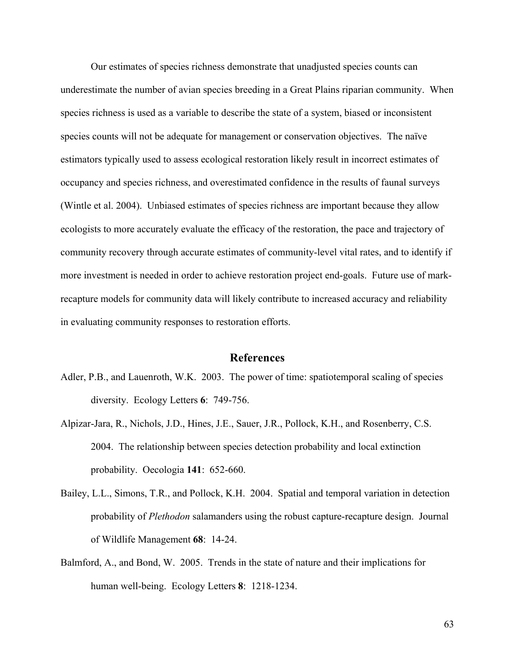Our estimates of species richness demonstrate that unadjusted species counts can underestimate the number of avian species breeding in a Great Plains riparian community. When species richness is used as a variable to describe the state of a system, biased or inconsistent species counts will not be adequate for management or conservation objectives. The naïve estimators typically used to assess ecological restoration likely result in incorrect estimates of occupancy and species richness, and overestimated confidence in the results of faunal surveys (Wintle et al. 2004). Unbiased estimates of species richness are important because they allow ecologists to more accurately evaluate the efficacy of the restoration, the pace and trajectory of community recovery through accurate estimates of community-level vital rates, and to identify if more investment is needed in order to achieve restoration project end-goals. Future use of markrecapture models for community data will likely contribute to increased accuracy and reliability in evaluating community responses to restoration efforts.

## **References**

- Adler, P.B., and Lauenroth, W.K. 2003. The power of time: spatiotemporal scaling of species diversity. Ecology Letters **6**: 749-756.
- Alpizar-Jara, R., Nichols, J.D., Hines, J.E., Sauer, J.R., Pollock, K.H., and Rosenberry, C.S. 2004. The relationship between species detection probability and local extinction probability. Oecologia **141**: 652-660.
- Bailey, L.L., Simons, T.R., and Pollock, K.H. 2004. Spatial and temporal variation in detection probability of *Plethodon* salamanders using the robust capture-recapture design. Journal of Wildlife Management **68**: 14-24.
- Balmford, A., and Bond, W. 2005. Trends in the state of nature and their implications for human well-being. Ecology Letters **8**: 1218-1234.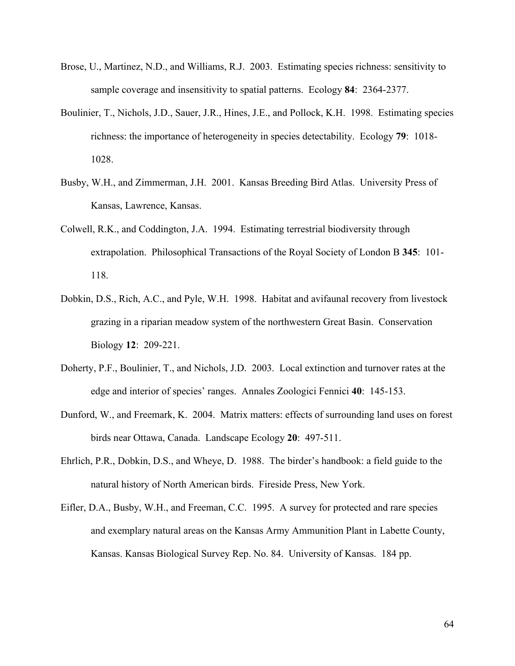- Brose, U., Martinez, N.D., and Williams, R.J. 2003. Estimating species richness: sensitivity to sample coverage and insensitivity to spatial patterns. Ecology **84**: 2364-2377.
- Boulinier, T., Nichols, J.D., Sauer, J.R., Hines, J.E., and Pollock, K.H. 1998. Estimating species richness: the importance of heterogeneity in species detectability. Ecology **79**: 1018- 1028.
- Busby, W.H., and Zimmerman, J.H. 2001. Kansas Breeding Bird Atlas. University Press of Kansas, Lawrence, Kansas.
- Colwell, R.K., and Coddington, J.A. 1994. Estimating terrestrial biodiversity through extrapolation. Philosophical Transactions of the Royal Society of London B **345**: 101- 118.
- Dobkin, D.S., Rich, A.C., and Pyle, W.H. 1998. Habitat and avifaunal recovery from livestock grazing in a riparian meadow system of the northwestern Great Basin. Conservation Biology **12**: 209-221.
- Doherty, P.F., Boulinier, T., and Nichols, J.D. 2003. Local extinction and turnover rates at the edge and interior of species' ranges. Annales Zoologici Fennici **40**: 145-153.
- Dunford, W., and Freemark, K. 2004. Matrix matters: effects of surrounding land uses on forest birds near Ottawa, Canada. Landscape Ecology **20**: 497-511.
- Ehrlich, P.R., Dobkin, D.S., and Wheye, D. 1988. The birder's handbook: a field guide to the natural history of North American birds. Fireside Press, New York.
- Eifler, D.A., Busby, W.H., and Freeman, C.C. 1995. A survey for protected and rare species and exemplary natural areas on the Kansas Army Ammunition Plant in Labette County, Kansas. Kansas Biological Survey Rep. No. 84. University of Kansas. 184 pp.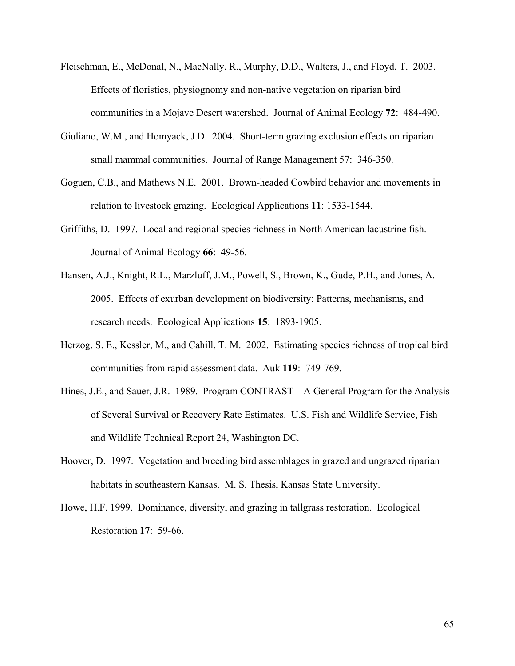- Fleischman, E., McDonal, N., MacNally, R., Murphy, D.D., Walters, J., and Floyd, T. 2003. Effects of floristics, physiognomy and non-native vegetation on riparian bird communities in a Mojave Desert watershed. Journal of Animal Ecology **72**: 484-490.
- Giuliano, W.M., and Homyack, J.D. 2004. Short-term grazing exclusion effects on riparian small mammal communities. Journal of Range Management 57: 346-350.
- Goguen, C.B., and Mathews N.E. 2001. Brown-headed Cowbird behavior and movements in relation to livestock grazing. Ecological Applications **11**: 1533-1544.
- Griffiths, D. 1997. Local and regional species richness in North American lacustrine fish. Journal of Animal Ecology **66**: 49-56.
- Hansen, A.J., Knight, R.L., Marzluff, J.M., Powell, S., Brown, K., Gude, P.H., and Jones, A. 2005. Effects of exurban development on biodiversity: Patterns, mechanisms, and research needs. Ecological Applications **15**: 1893-1905.
- Herzog, S. E., Kessler, M., and Cahill, T. M. 2002. Estimating species richness of tropical bird communities from rapid assessment data. Auk **119**: 749-769.
- Hines, J.E., and Sauer, J.R. 1989. Program CONTRAST A General Program for the Analysis of Several Survival or Recovery Rate Estimates. U.S. Fish and Wildlife Service, Fish and Wildlife Technical Report 24, Washington DC.
- Hoover, D. 1997. Vegetation and breeding bird assemblages in grazed and ungrazed riparian habitats in southeastern Kansas. M. S. Thesis, Kansas State University.
- Howe, H.F. 1999. Dominance, diversity, and grazing in tallgrass restoration. Ecological Restoration **17**: 59-66.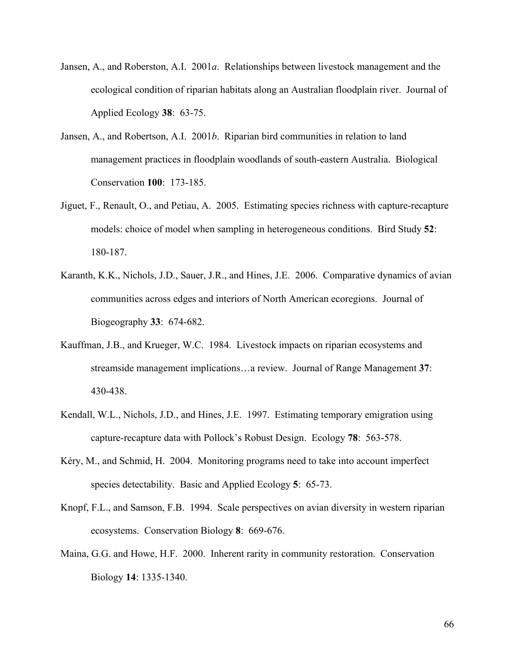- Jansen, A., and Roberston, A.I. 2001*a*. Relationships between livestock management and the ecological condition of riparian habitats along an Australian floodplain river. Journal of Applied Ecology **38**: 63-75.
- Jansen, A., and Robertson, A.I. 2001*b*. Riparian bird communities in relation to land management practices in floodplain woodlands of south-eastern Australia. Biological Conservation **100**: 173-185.
- Jiguet, F., Renault, O., and Petiau, A. 2005. Estimating species richness with capture-recapture models: choice of model when sampling in heterogeneous conditions. Bird Study **52**: 180-187.
- Karanth, K.K., Nichols, J.D., Sauer, J.R., and Hines, J.E. 2006. Comparative dynamics of avian communities across edges and interiors of North American ecoregions. Journal of Biogeography **33**: 674-682.
- Kauffman, J.B., and Krueger, W.C. 1984. Livestock impacts on riparian ecosystems and streamside management implications…a review. Journal of Range Management **37**: 430-438.
- Kendall, W.L., Nichols, J.D., and Hines, J.E. 1997. Estimating temporary emigration using capture-recapture data with Pollock's Robust Design. Ecology **78**: 563-578.
- Kéry, M., and Schmid, H. 2004. Monitoring programs need to take into account imperfect species detectability. Basic and Applied Ecology **5**: 65-73.
- Knopf, F.L., and Samson, F.B. 1994. Scale perspectives on avian diversity in western riparian ecosystems. Conservation Biology **8**: 669-676.
- Maina, G.G. and Howe, H.F. 2000. Inherent rarity in community restoration. Conservation Biology **14**: 1335-1340.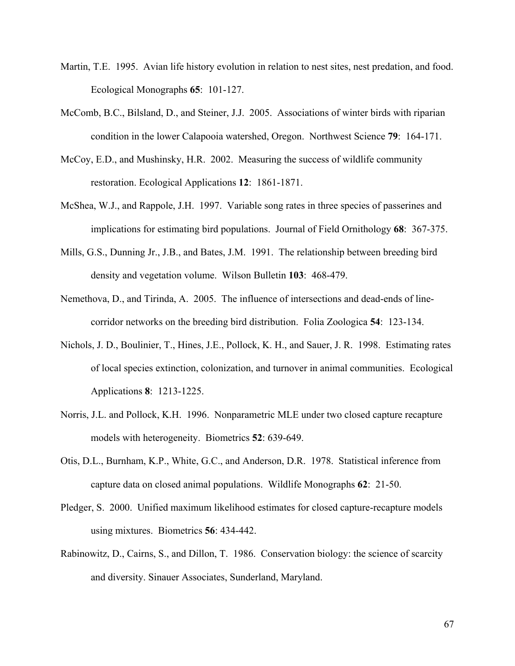- Martin, T.E. 1995. Avian life history evolution in relation to nest sites, nest predation, and food. Ecological Monographs **65**: 101-127.
- McComb, B.C., Bilsland, D., and Steiner, J.J. 2005. Associations of winter birds with riparian condition in the lower Calapooia watershed, Oregon. Northwest Science **79**: 164-171.
- McCoy, E.D., and Mushinsky, H.R. 2002. Measuring the success of wildlife community restoration. Ecological Applications **12**: 1861-1871.
- McShea, W.J., and Rappole, J.H. 1997. Variable song rates in three species of passerines and implications for estimating bird populations. Journal of Field Ornithology **68**: 367-375.
- Mills, G.S., Dunning Jr., J.B., and Bates, J.M. 1991. The relationship between breeding bird density and vegetation volume. Wilson Bulletin **103**: 468-479.
- Nemethova, D., and Tirinda, A. 2005. The influence of intersections and dead-ends of linecorridor networks on the breeding bird distribution. Folia Zoologica **54**: 123-134.
- Nichols, J. D., Boulinier, T., Hines, J.E., Pollock, K. H., and Sauer, J. R. 1998. Estimating rates of local species extinction, colonization, and turnover in animal communities. Ecological Applications **8**: 1213-1225.
- Norris, J.L. and Pollock, K.H. 1996. Nonparametric MLE under two closed capture recapture models with heterogeneity. Biometrics **52**: 639-649.
- Otis, D.L., Burnham, K.P., White, G.C., and Anderson, D.R. 1978. Statistical inference from capture data on closed animal populations. Wildlife Monographs **62**: 21-50.
- Pledger, S. 2000. Unified maximum likelihood estimates for closed capture-recapture models using mixtures. Biometrics **56**: 434-442.
- Rabinowitz, D., Cairns, S., and Dillon, T. 1986. Conservation biology: the science of scarcity and diversity. Sinauer Associates, Sunderland, Maryland.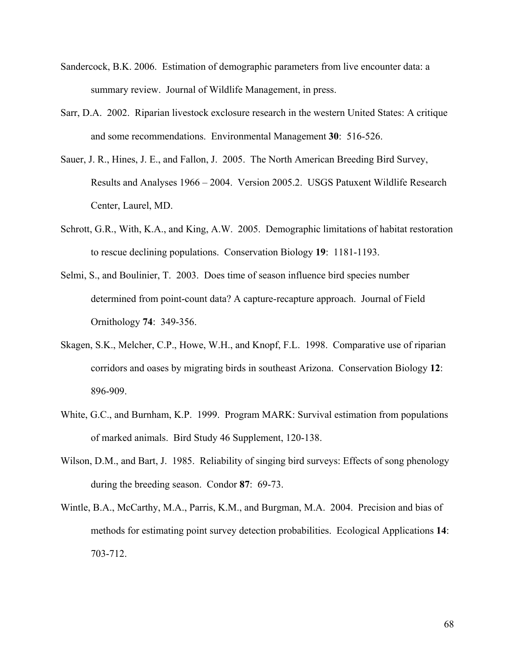- Sandercock, B.K. 2006. Estimation of demographic parameters from live encounter data: a summary review. Journal of Wildlife Management, in press.
- Sarr, D.A. 2002. Riparian livestock exclosure research in the western United States: A critique and some recommendations. Environmental Management **30**: 516-526.
- Sauer, J. R., Hines, J. E., and Fallon, J. 2005. The North American Breeding Bird Survey, Results and Analyses 1966 – 2004. Version 2005.2. USGS Patuxent Wildlife Research Center, Laurel, MD.
- Schrott, G.R., With, K.A., and King, A.W. 2005. Demographic limitations of habitat restoration to rescue declining populations. Conservation Biology **19**: 1181-1193.
- Selmi, S., and Boulinier, T. 2003. Does time of season influence bird species number determined from point-count data? A capture-recapture approach. Journal of Field Ornithology **74**: 349-356.
- Skagen, S.K., Melcher, C.P., Howe, W.H., and Knopf, F.L. 1998. Comparative use of riparian corridors and oases by migrating birds in southeast Arizona. Conservation Biology **12**: 896-909.
- White, G.C., and Burnham, K.P. 1999. Program MARK: Survival estimation from populations of marked animals. Bird Study 46 Supplement, 120-138.
- Wilson, D.M., and Bart, J. 1985. Reliability of singing bird surveys: Effects of song phenology during the breeding season. Condor **87**: 69-73.
- Wintle, B.A., McCarthy, M.A., Parris, K.M., and Burgman, M.A. 2004. Precision and bias of methods for estimating point survey detection probabilities. Ecological Applications **14**: 703-712.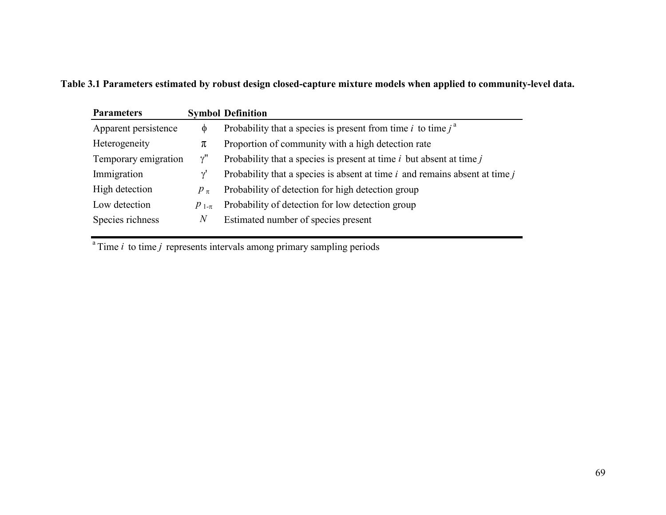**Table 3.1 Parameters estimated by robust design closed-capture mixture models when applied to community-level data.** 

| <b>Parameters</b>    |                  | <b>Symbol Definition</b>                                                        |
|----------------------|------------------|---------------------------------------------------------------------------------|
| Apparent persistence | $\Phi$           | Probability that a species is present from time i to time $i^a$                 |
| Heterogeneity        | π                | Proportion of community with a high detection rate                              |
| Temporary emigration | $\gamma$ "       | Probability that a species is present at time $i$ but absent at time $j$        |
| Immigration          | $\gamma$         | Probability that a species is absent at time $i$ and remains absent at time $j$ |
| High detection       | $p_{\pi}$        | Probability of detection for high detection group                               |
| Low detection        | $p_{1-\pi}$      | Probability of detection for low detection group                                |
| Species richness     | $\boldsymbol{N}$ | Estimated number of species present                                             |

 $^{\circ}$ Time *i* to time *j* represents intervals among primary sampling periods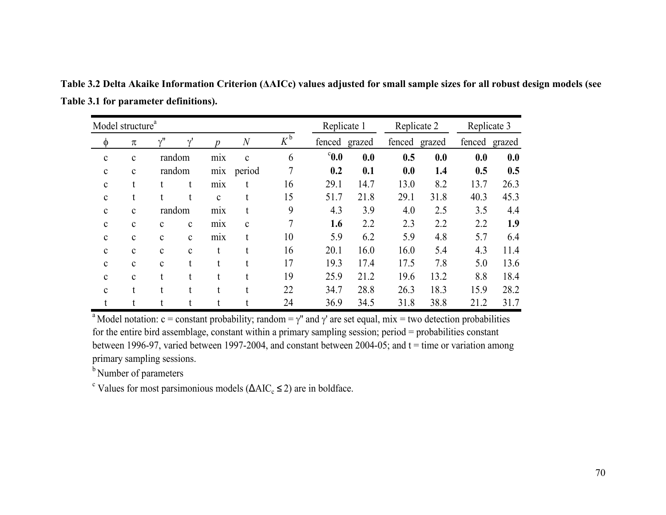|              | Model structure <sup>a</sup> |              |              |                 |                  |                    |                | Replicate 1 |               | Replicate 2 |      | Replicate 3   |  |
|--------------|------------------------------|--------------|--------------|-----------------|------------------|--------------------|----------------|-------------|---------------|-------------|------|---------------|--|
| φ            | π                            | v''          | $\gamma$     | p               | $\boldsymbol{N}$ | $K^{\mathfrak{b}}$ | fenced grazed  |             | fenced grazed |             |      | fenced grazed |  |
| $\mathbf c$  | $\mathbf c$                  | random       |              | mix             | $\mathbf c$      | 6                  | $^{\circ}$ 0.0 | 0.0         | 0.5           | 0.0         | 0.0  | 0.0           |  |
| $\mathbf c$  | $\mathbf c$                  | random       |              | mix             | period           | 7                  | 0.2            | 0.1         | 0.0           | 1.4         | 0.5  | 0.5           |  |
| $\mathbf c$  | t                            | t            | t            | mix             |                  | 16                 | 29.1           | 14.7        | 13.0          | 8.2         | 13.7 | 26.3          |  |
| $\mathbf c$  | t                            | t            | t            | $\mathbf c$     | t                | 15                 | 51.7           | 21.8        | 29.1          | 31.8        | 40.3 | 45.3          |  |
| $\mathbf c$  | $\mathbf c$                  | random       |              | mix             |                  | 9                  | 4.3            | 3.9         | 4.0           | 2.5         | 3.5  | 4.4           |  |
| $\mathbf{c}$ | $\mathbf{c}$                 | $\mathbf{c}$ | $\mathbf c$  | m <sub>1X</sub> | $\mathbf c$      | 7                  | 1.6            | 2.2         | 2.3           | 2.2         | 2.2  | 1.9           |  |
| $\mathbf c$  | $\mathbf c$                  | $\mathbf c$  | $\mathbf C$  | mix             | t                | 10                 | 5.9            | 6.2         | 5.9           | 4.8         | 5.7  | 6.4           |  |
| $\mathbf c$  | $\mathbf c$                  | $\mathbf c$  | $\mathbf{C}$ | t               | t                | 16                 | 20.1           | 16.0        | 16.0          | 5.4         | 4.3  | 11.4          |  |
| $\mathbf c$  | $\mathbf c$                  | $\mathbf c$  | t            | t               |                  | 17                 | 19.3           | 17.4        | 17.5          | 7.8         | 5.0  | 13.6          |  |
| $\mathbf{c}$ | $\mathbf{c}$                 | t            |              | t               | $\mathbf{t}$     | 19                 | 25.9           | 21.2        | 19.6          | 13.2        | 8.8  | 18.4          |  |
| $\mathbf{c}$ | t                            | t            | t            |                 |                  | 22                 | 34.7           | 28.8        | 26.3          | 18.3        | 15.9 | 28.2          |  |
| t            |                              | t            |              |                 |                  | 24                 | 36.9           | 34.5        | 31.8          | 38.8        | 21.2 | 31.7          |  |

**Table 3.2 Delta Akaike Information Criterion (ΔAICc) values adjusted for small sample sizes for all robust design models (see Table 3.1 for parameter definitions).** 

<sup>a</sup> Model notation: c = constant probability; random =  $\gamma$ " and  $\gamma$ ' are set equal, mix = two detection probabilities for the entire bird assemblage, constant within a primary sampling session; period = probabilities constant between 1996-97, varied between 1997-2004, and constant between 2004-05; and  $t =$  time or variation among primary sampling sessions.

<sup>b</sup> Number of parameters

<sup>c</sup> Values for most parsimonious models ( $\Delta AIC_c \leq 2$ ) are in boldface.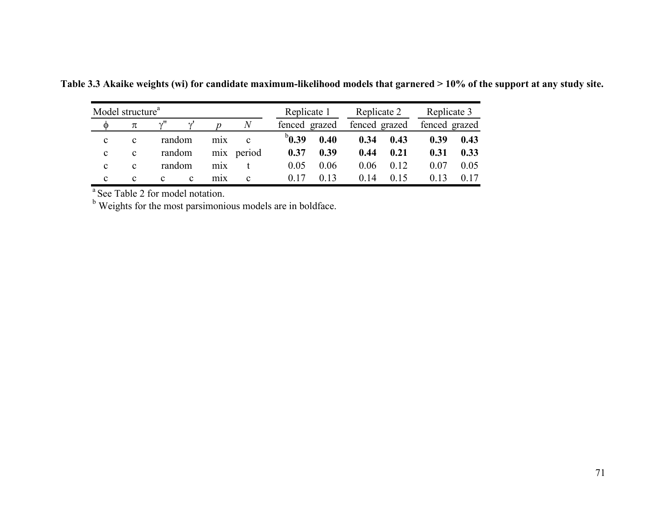| Model structure <sup>a</sup> |             |              |        |                  |                | Replicate 1   |      | Replicate 2   |      | Replicate 3 |               |
|------------------------------|-------------|--------------|--------|------------------|----------------|---------------|------|---------------|------|-------------|---------------|
| O                            | π           |              |        |                  | $\overline{N}$ | fenced grazed |      | fenced grazed |      |             | fenced grazed |
| C                            | c           | random       |        | m <sub>1</sub> x | c              | $b_{0.39}$    | 0.40 | 0.34          | 0.43 | 0.39        | 0.43          |
| C                            | $\mathbf c$ |              | random | m <sub>1</sub> x | period         | 0.37          | 0.39 | 0.44          | 0.21 | 0.31        | 0.33          |
| C                            | c           | random       |        | m <sub>1</sub> x |                | 0.05          | 0.06 | 0.06          | 0.12 | 0.07        | 0.05          |
| C                            | c           | $\mathbf{c}$ | c      | m <sub>1</sub> x | C              |               | 0 13 | 0.14          |      |             |               |

**Table 3.3 Akaike weights (wi) for candidate maximum-likelihood models that garnered > 10% of the support at any study site.** 

<sup>a</sup> See Table 2 for model notation.

<sup>b</sup> Weights for the most parsimonious models are in boldface.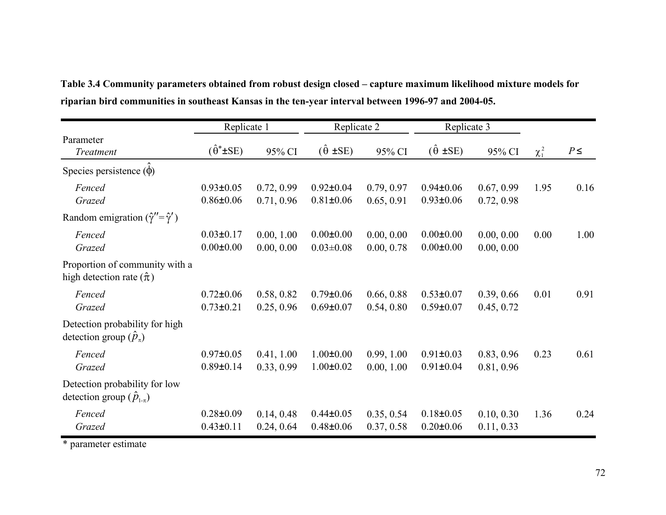|                                                                     | Replicate 1                        |                          | Replicate 2                        |                          | Replicate 3                        |                          |            |          |
|---------------------------------------------------------------------|------------------------------------|--------------------------|------------------------------------|--------------------------|------------------------------------|--------------------------|------------|----------|
| Parameter<br><b>Treatment</b>                                       | $(\hat{\theta}^* \pm SE)$          | 95% CI                   | $(\hat{\theta} \pm SE)$            | 95% CI                   | $(\hat{\theta} \pm SE)$            | 95% CI                   | $\chi_1^2$ | $P \leq$ |
| Species persistence $(\phi)$                                        |                                    |                          |                                    |                          |                                    |                          |            |          |
| Fenced<br>Grazed                                                    | $0.93 \pm 0.05$<br>$0.86 \pm 0.06$ | 0.72, 0.99<br>0.71, 0.96 | $0.92 \pm 0.04$<br>$0.81 \pm 0.06$ | 0.79, 0.97<br>0.65, 0.91 | $0.94 \pm 0.06$<br>$0.93 \pm 0.06$ | 0.67, 0.99<br>0.72, 0.98 | 1.95       | 0.16     |
| Random emigration $(\hat{\gamma}'' = \hat{\gamma}')$                |                                    |                          |                                    |                          |                                    |                          |            |          |
| Fenced<br>Grazed                                                    | $0.03 \pm 0.17$<br>$0.00 \pm 0.00$ | 0.00, 1.00<br>0.00, 0.00 | $0.00 \pm 0.00$<br>$0.03 \pm 0.08$ | 0.00, 0.00<br>0.00, 0.78 | $0.00 \pm 0.00$<br>$0.00 \pm 0.00$ | 0.00, 0.00<br>0.00, 0.00 | 0.00       | 1.00     |
| Proportion of community with a<br>high detection rate $(\hat{\pi})$ |                                    |                          |                                    |                          |                                    |                          |            |          |
| Fenced<br>Grazed                                                    | $0.72 \pm 0.06$<br>$0.73 \pm 0.21$ | 0.58, 0.82<br>0.25, 0.96 | $0.79 \pm 0.06$<br>$0.69 \pm 0.07$ | 0.66, 0.88<br>0.54, 0.80 | $0.53 \pm 0.07$<br>$0.59 \pm 0.07$ | 0.39, 0.66<br>0.45, 0.72 | 0.01       | 0.91     |
| Detection probability for high<br>detection group $(\hat{p}_n)$     |                                    |                          |                                    |                          |                                    |                          |            |          |
| Fenced<br>Grazed                                                    | $0.97 \pm 0.05$<br>$0.89 \pm 0.14$ | 0.41, 1.00<br>0.33, 0.99 | $1.00 \pm 0.00$<br>$1.00 \pm 0.02$ | 0.99, 1.00<br>0.00, 1.00 | $0.91 \pm 0.03$<br>$0.91 \pm 0.04$ | 0.83, 0.96<br>0.81, 0.96 | 0.23       | 0.61     |
| Detection probability for low<br>detection group $(\hat{p}_{1\pi})$ |                                    |                          |                                    |                          |                                    |                          |            |          |
| Fenced<br>Grazed                                                    | $0.28 \pm 0.09$<br>$0.43 \pm 0.11$ | 0.14, 0.48<br>0.24, 0.64 | $0.44 \pm 0.05$<br>$0.48 + 0.06$   | 0.35, 0.54<br>0.37, 0.58 | $0.18 \pm 0.05$<br>$0.20 \pm 0.06$ | 0.10, 0.30<br>0.11, 0.33 | 1.36       | 0.24     |

**Table 3.4 Community parameters obtained from robust design closed – capture maximum likelihood mixture models for riparian bird communities in southeast Kansas in the ten-year interval between 1996-97 and 2004-05.** 

\* parameter estimate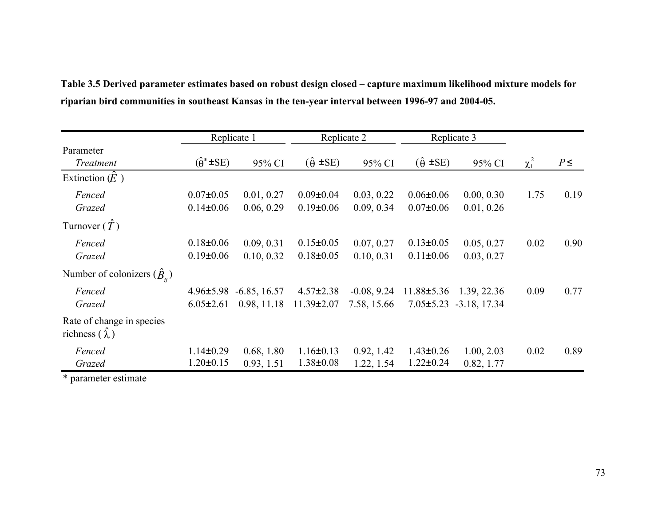|                                                   |                                    | Replicate 1                   |                                     | Replicate 2                  |                                    | Replicate 3                                            |            |          |
|---------------------------------------------------|------------------------------------|-------------------------------|-------------------------------------|------------------------------|------------------------------------|--------------------------------------------------------|------------|----------|
| Parameter<br>Treatment                            | $(\hat{\theta}^* \pm SE)$          | 95% CI                        | $(\hat{\theta} \pm SE)$             | 95% CI                       | $(\hat{\theta} \pm SE)$            | 95% CI                                                 | $\chi_1^2$ | $P \leq$ |
| Extinction $(E)$                                  |                                    |                               |                                     |                              |                                    |                                                        |            |          |
| Fenced<br>Grazed                                  | $0.07 \pm 0.05$<br>$0.14 \pm 0.06$ | 0.01, 0.27<br>0.06, 0.29      | $0.09 \pm 0.04$<br>$0.19 \pm 0.06$  | 0.03, 0.22<br>0.09, 0.34     | $0.06 \pm 0.06$<br>$0.07 \pm 0.06$ | 0.00, 0.30<br>0.01, 0.26                               | 1.75       | 0.19     |
| Turnover $(T)$                                    |                                    |                               |                                     |                              |                                    |                                                        |            |          |
| Fenced<br>Grazed                                  | $0.18 \pm 0.06$<br>$0.19 \pm 0.06$ | 0.09, 0.31<br>0.10, 0.32      | $0.15 \pm 0.05$<br>$0.18 \pm 0.05$  | 0.07, 0.27<br>0.10, 0.31     | $0.13 \pm 0.05$<br>$0.11 \pm 0.06$ | 0.05, 0.27<br>0.03, 0.27                               | 0.02       | 0.90     |
| Number of colonizers $(\hat{B}_{n})$              |                                    |                               |                                     |                              |                                    |                                                        |            |          |
| Fenced<br>Grazed                                  | $4.96 \pm 5.98$<br>$6.05 \pm 2.61$ | $-6.85, 16.57$<br>0.98, 11.18 | $4.57 \pm 2.38$<br>$11.39 \pm 2.07$ | $-0.08, 9.24$<br>7.58, 15.66 |                                    | 11.88±5.36 1.39, 22.36<br>$7.05 \pm 5.23$ -3.18, 17.34 | 0.09       | 0.77     |
| Rate of change in species<br>richness $(\lambda)$ |                                    |                               |                                     |                              |                                    |                                                        |            |          |
| Fenced<br>Grazed                                  | $1.14 \pm 0.29$<br>$1.20 \pm 0.15$ | 0.68, 1.80<br>0.93, 1.51      | $1.16 \pm 0.13$<br>$1.38 \pm 0.08$  | 0.92, 1.42<br>1.22, 1.54     | $1.43 \pm 0.26$<br>$1.22 \pm 0.24$ | 1.00, 2.03<br>0.82, 1.77                               | 0.02       | 0.89     |

**Table 3.5 Derived parameter estimates based on robust design closed – capture maximum likelihood mixture models for riparian bird communities in southeast Kansas in the ten-year interval between 1996-97 and 2004-05.** 

\* parameter estimate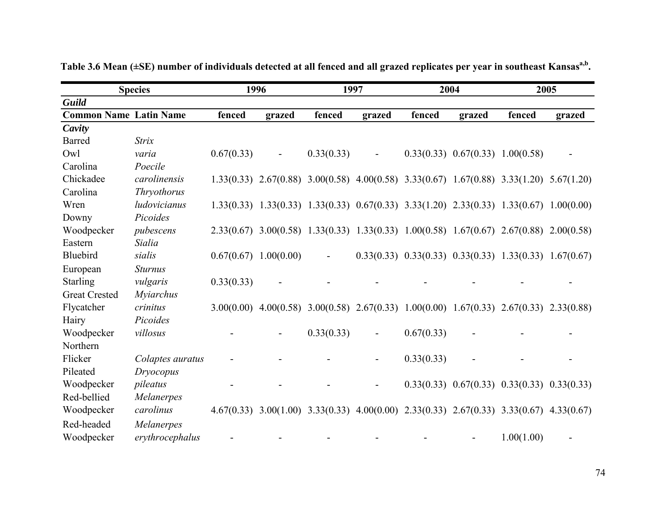|                               | <b>Species</b>   |            | 1996                    |            | 1997                     | 2004                                                                                                    |                                        | 2005                                                |        |
|-------------------------------|------------------|------------|-------------------------|------------|--------------------------|---------------------------------------------------------------------------------------------------------|----------------------------------------|-----------------------------------------------------|--------|
| <b>Guild</b>                  |                  |            |                         |            |                          |                                                                                                         |                                        |                                                     |        |
| <b>Common Name Latin Name</b> |                  | fenced     | grazed                  | fenced     | grazed                   | fenced                                                                                                  | grazed                                 | fenced                                              | grazed |
| Cavity                        |                  |            |                         |            |                          |                                                                                                         |                                        |                                                     |        |
| Barred                        | <b>Strix</b>     |            |                         |            |                          |                                                                                                         |                                        |                                                     |        |
| Owl                           | varia            | 0.67(0.33) |                         | 0.33(0.33) |                          |                                                                                                         | $0.33(0.33)$ $0.67(0.33)$ $1.00(0.58)$ |                                                     |        |
| Carolina                      | Poecile          |            |                         |            |                          |                                                                                                         |                                        |                                                     |        |
| Chickadee                     | carolinensis     |            |                         |            |                          | $1.33(0.33)$ $2.67(0.88)$ $3.00(0.58)$ $4.00(0.58)$ $3.33(0.67)$ $1.67(0.88)$ $3.33(1.20)$ $5.67(1.20)$ |                                        |                                                     |        |
| Carolina                      | Thryothorus      |            |                         |            |                          |                                                                                                         |                                        |                                                     |        |
| Wren                          | ludovicianus     |            |                         |            |                          | 1.33(0.33) 1.33(0.33) 1.33(0.33) 0.67(0.33) 3.33(1.20) 2.33(0.33) 1.33(0.67) 1.00(0.00)                 |                                        |                                                     |        |
| Downy                         | Picoides         |            |                         |            |                          |                                                                                                         |                                        |                                                     |        |
| Woodpecker                    | pubescens        |            |                         |            |                          | 2.33(0.67) 3.00(0.58) 1.33(0.33) 1.33(0.33) 1.00(0.58) 1.67(0.67) 2.67(0.88) 2.00(0.58)                 |                                        |                                                     |        |
| Eastern                       | Sialia           |            |                         |            |                          |                                                                                                         |                                        |                                                     |        |
| Bluebird                      | sialis           |            | $0.67(0.67)$ 1.00(0.00) |            |                          | $0.33(0.33)$ $0.33(0.33)$ $0.33(0.33)$ $1.33(0.33)$ $1.67(0.67)$                                        |                                        |                                                     |        |
| European                      | <b>Sturnus</b>   |            |                         |            |                          |                                                                                                         |                                        |                                                     |        |
| <b>Starling</b>               | vulgaris         | 0.33(0.33) | $\blacksquare$          |            |                          |                                                                                                         |                                        |                                                     |        |
| <b>Great Crested</b>          | <b>Myiarchus</b> |            |                         |            |                          |                                                                                                         |                                        |                                                     |        |
| Flycatcher                    | crinitus         |            |                         |            |                          | 3.00(0.00) 4.00(0.58) 3.00(0.58) 2.67(0.33) 1.00(0.00) 1.67(0.33) 2.67(0.33) 2.33(0.88)                 |                                        |                                                     |        |
| Hairy                         | Picoides         |            |                         |            |                          |                                                                                                         |                                        |                                                     |        |
| Woodpecker                    | villosus         |            |                         | 0.33(0.33) | $\overline{\phantom{0}}$ | 0.67(0.33)                                                                                              |                                        |                                                     |        |
| Northern                      |                  |            |                         |            |                          |                                                                                                         |                                        |                                                     |        |
| Flicker                       | Colaptes auratus |            |                         |            | $\overline{\phantom{0}}$ | 0.33(0.33)                                                                                              |                                        |                                                     |        |
| Pileated                      | Dryocopus        |            |                         |            |                          |                                                                                                         |                                        |                                                     |        |
| Woodpecker                    | pileatus         |            |                         |            |                          |                                                                                                         |                                        | $0.33(0.33)$ $0.67(0.33)$ $0.33(0.33)$ $0.33(0.33)$ |        |
| Red-bellied                   | Melanerpes       |            |                         |            |                          |                                                                                                         |                                        |                                                     |        |
| Woodpecker                    | carolinus        |            |                         |            |                          | $4.67(0.33)$ $3.00(1.00)$ $3.33(0.33)$ $4.00(0.00)$ $2.33(0.33)$ $2.67(0.33)$ $3.33(0.67)$ $4.33(0.67)$ |                                        |                                                     |        |
| Red-headed                    | Melanerpes       |            |                         |            |                          |                                                                                                         |                                        |                                                     |        |
| Woodpecker                    | erythrocephalus  |            |                         |            |                          |                                                                                                         |                                        | 1.00(1.00)                                          |        |

**Table 3.6 Mean (±SE) number of individuals detected at all fenced and all grazed replicates per year in southeast Kansasa,b.**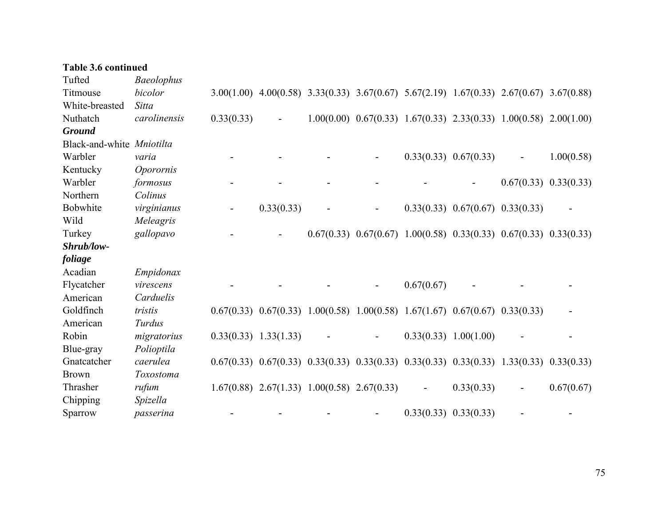| <b>Table 3.6 continued</b> |                   |            |                                                                                                         |  |                              |                                        |                          |                                                                               |
|----------------------------|-------------------|------------|---------------------------------------------------------------------------------------------------------|--|------------------------------|----------------------------------------|--------------------------|-------------------------------------------------------------------------------|
| Tufted                     | <b>Baeolophus</b> |            |                                                                                                         |  |                              |                                        |                          |                                                                               |
| Titmouse                   | bicolor           |            | $3.00(1.00)$ $4.00(0.58)$ $3.33(0.33)$ $3.67(0.67)$ $5.67(2.19)$ $1.67(0.33)$ $2.67(0.67)$ $3.67(0.88)$ |  |                              |                                        |                          |                                                                               |
| White-breasted             | <b>Sitta</b>      |            |                                                                                                         |  |                              |                                        |                          |                                                                               |
| Nuthatch                   | carolinensis      | 0.33(0.33) |                                                                                                         |  |                              |                                        |                          | $1.00(0.00)$ $0.67(0.33)$ $1.67(0.33)$ $2.33(0.33)$ $1.00(0.58)$ $2.00(1.00)$ |
| <b>Ground</b>              |                   |            |                                                                                                         |  |                              |                                        |                          |                                                                               |
| Black-and-white Mniotilta  |                   |            |                                                                                                         |  |                              |                                        |                          |                                                                               |
| Warbler                    | varia             |            |                                                                                                         |  |                              | $0.33(0.33)$ $0.67(0.33)$              | $\overline{\phantom{a}}$ | 1.00(0.58)                                                                    |
| Kentucky                   | Oporornis         |            |                                                                                                         |  |                              |                                        |                          |                                                                               |
| Warbler                    | formosus          |            |                                                                                                         |  |                              |                                        |                          | $0.67(0.33)$ $0.33(0.33)$                                                     |
| Northern                   | Colinus           |            |                                                                                                         |  |                              |                                        |                          |                                                                               |
| Bobwhite                   | virginianus       |            | 0.33(0.33)                                                                                              |  |                              | $0.33(0.33)$ $0.67(0.67)$ $0.33(0.33)$ |                          |                                                                               |
| Wild                       | Meleagris         |            |                                                                                                         |  |                              |                                        |                          |                                                                               |
| Turkey                     | gallopavo         |            |                                                                                                         |  |                              |                                        |                          | $0.67(0.33)$ $0.67(0.67)$ $1.00(0.58)$ $0.33(0.33)$ $0.67(0.33)$ $0.33(0.33)$ |
| Shrub/low-                 |                   |            |                                                                                                         |  |                              |                                        |                          |                                                                               |
| foliage                    |                   |            |                                                                                                         |  |                              |                                        |                          |                                                                               |
| Acadian                    | Empidonax         |            |                                                                                                         |  |                              |                                        |                          |                                                                               |
| Flycatcher                 | virescens         |            |                                                                                                         |  | 0.67(0.67)                   |                                        |                          |                                                                               |
| American                   | Carduelis         |            |                                                                                                         |  |                              |                                        |                          |                                                                               |
| Goldfinch                  | tristis           |            | $0.67(0.33)$ $0.67(0.33)$ $1.00(0.58)$ $1.00(0.58)$ $1.67(1.67)$ $0.67(0.67)$ $0.33(0.33)$              |  |                              |                                        |                          |                                                                               |
| American                   | Turdus            |            |                                                                                                         |  |                              |                                        |                          |                                                                               |
| Robin                      | migratorius       |            | $0.33(0.33)$ 1.33(1.33)                                                                                 |  |                              | $0.33(0.33)$ 1.00(1.00)                |                          |                                                                               |
| Blue-gray                  | Polioptila        |            |                                                                                                         |  |                              |                                        |                          |                                                                               |
| Gnatcatcher                | caerulea          |            | $0.67(0.33)$ $0.67(0.33)$ $0.33(0.33)$ $0.33(0.33)$ $0.33(0.33)$ $0.33(0.33)$ $1.33(0.33)$ $0.33(0.33)$ |  |                              |                                        |                          |                                                                               |
| <b>Brown</b>               | Toxostoma         |            |                                                                                                         |  |                              |                                        |                          |                                                                               |
| Thrasher                   | rufum             |            | $1.67(0.88)$ $2.67(1.33)$ $1.00(0.58)$ $2.67(0.33)$                                                     |  | $\qquad \qquad \blacksquare$ | 0.33(0.33)                             |                          | 0.67(0.67)                                                                    |
| Chipping                   | Spizella          |            |                                                                                                         |  |                              |                                        |                          |                                                                               |
| Sparrow                    | passerina         |            |                                                                                                         |  |                              | $0.33(0.33)$ $0.33(0.33)$              |                          |                                                                               |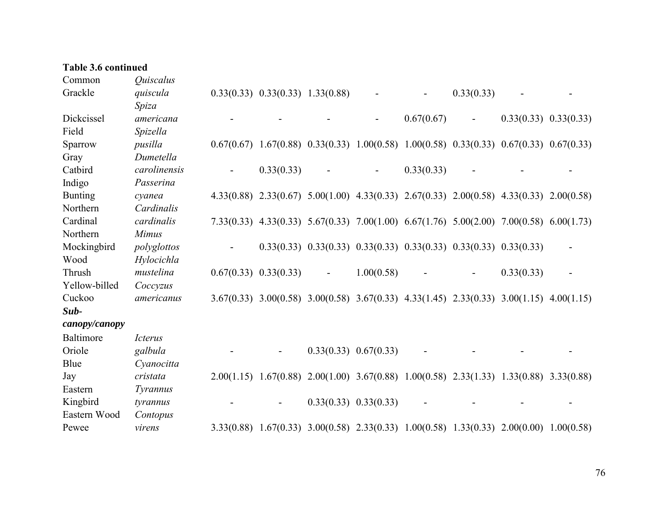## **Table 3.6 continued**

| Common         | Quiscalus                    |                                                                                                         |                |                                                                               |            |            |            |                           |
|----------------|------------------------------|---------------------------------------------------------------------------------------------------------|----------------|-------------------------------------------------------------------------------|------------|------------|------------|---------------------------|
| Grackle        | quiscula                     | $0.33(0.33)$ $0.33(0.33)$ $1.33(0.88)$                                                                  |                |                                                                               |            | 0.33(0.33) |            |                           |
|                | Spiza                        |                                                                                                         |                |                                                                               |            |            |            |                           |
| Dickcissel     | americana                    |                                                                                                         |                |                                                                               | 0.67(0.67) |            |            | $0.33(0.33)$ $0.33(0.33)$ |
| Field          | Spizella                     |                                                                                                         |                |                                                                               |            |            |            |                           |
| Sparrow        | pusilla                      | $0.67(0.67)$ $1.67(0.88)$ $0.33(0.33)$ $1.00(0.58)$ $1.00(0.58)$ $0.33(0.33)$ $0.67(0.33)$ $0.67(0.33)$ |                |                                                                               |            |            |            |                           |
| Gray           | Dumetella                    |                                                                                                         |                |                                                                               |            |            |            |                           |
| Catbird        | carolinensis                 | 0.33(0.33)                                                                                              |                | $\blacksquare$                                                                | 0.33(0.33) |            |            |                           |
| Indigo         | Passerina                    |                                                                                                         |                |                                                                               |            |            |            |                           |
| <b>Bunting</b> | cyanea                       | 4.33(0.88) 2.33(0.67) 5.00(1.00) 4.33(0.33) 2.67(0.33) 2.00(0.58) 4.33(0.33) 2.00(0.58)                 |                |                                                                               |            |            |            |                           |
| Northern       | Cardinalis                   |                                                                                                         |                |                                                                               |            |            |            |                           |
| Cardinal       | cardinalis                   | 7.33(0.33) 4.33(0.33) 5.67(0.33) 7.00(1.00) 6.67(1.76) 5.00(2.00) 7.00(0.58) 6.00(1.73)                 |                |                                                                               |            |            |            |                           |
| Northern       | <b>Mimus</b>                 |                                                                                                         |                |                                                                               |            |            |            |                           |
| Mockingbird    | polyglottos                  |                                                                                                         |                | $0.33(0.33)$ $0.33(0.33)$ $0.33(0.33)$ $0.33(0.33)$ $0.33(0.33)$ $0.33(0.33)$ |            |            |            |                           |
| Wood           | Hylocichla                   |                                                                                                         |                |                                                                               |            |            |            |                           |
| Thrush         | mustelina                    | $0.67(0.33)$ $0.33(0.33)$                                                                               | $\blacksquare$ | 1.00(0.58)                                                                    |            |            | 0.33(0.33) |                           |
| Yellow-billed  | Coccyzus                     |                                                                                                         |                |                                                                               |            |            |            |                           |
| Cuckoo         | americanus                   | 3.67(0.33) 3.00(0.58) 3.00(0.58) 3.67(0.33) 4.33(1.45) 2.33(0.33) 3.00(1.15) 4.00(1.15)                 |                |                                                                               |            |            |            |                           |
| Sub-           |                              |                                                                                                         |                |                                                                               |            |            |            |                           |
| canopy/canopy  |                              |                                                                                                         |                |                                                                               |            |            |            |                           |
| Baltimore      | <i><u><b>Icterus</b></u></i> |                                                                                                         |                |                                                                               |            |            |            |                           |
| Oriole         | galbula                      |                                                                                                         |                | $0.33(0.33)$ $0.67(0.33)$                                                     |            |            |            |                           |
| Blue           | Cyanocitta                   |                                                                                                         |                |                                                                               |            |            |            |                           |
| Jay            | cristata                     | 2.00(1.15) 1.67(0.88) 2.00(1.00) 3.67(0.88) 1.00(0.58) 2.33(1.33) 1.33(0.88) 3.33(0.88)                 |                |                                                                               |            |            |            |                           |
| Eastern        | Tyrannus                     |                                                                                                         |                |                                                                               |            |            |            |                           |
| Kingbird       | tyrannus                     |                                                                                                         |                | $0.33(0.33)$ $0.33(0.33)$                                                     |            |            |            |                           |
| Eastern Wood   | Contopus                     |                                                                                                         |                |                                                                               |            |            |            |                           |
| Pewee          | virens                       | 3.33(0.88) 1.67(0.33) 3.00(0.58) 2.33(0.33) 1.00(0.58) 1.33(0.33) 2.00(0.00) 1.00(0.58)                 |                |                                                                               |            |            |            |                           |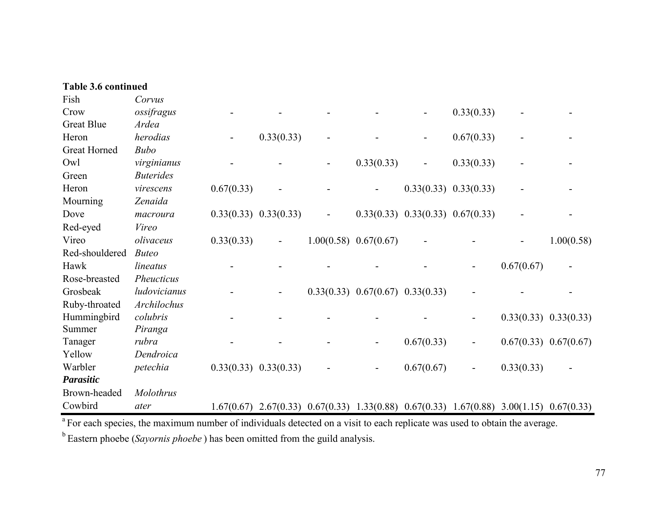| <b>Table 3.6 continued</b> |                  |            |                           |                                        |                                        |                                                                                            |            |                           |
|----------------------------|------------------|------------|---------------------------|----------------------------------------|----------------------------------------|--------------------------------------------------------------------------------------------|------------|---------------------------|
| Fish                       | Corvus           |            |                           |                                        |                                        |                                                                                            |            |                           |
| Crow                       | ossifragus       |            |                           |                                        |                                        | 0.33(0.33)                                                                                 |            |                           |
| <b>Great Blue</b>          | Ardea            |            |                           |                                        |                                        |                                                                                            |            |                           |
| Heron                      | herodias         |            | 0.33(0.33)                |                                        |                                        | 0.67(0.33)                                                                                 |            |                           |
| <b>Great Horned</b>        | <b>Bubo</b>      |            |                           |                                        |                                        |                                                                                            |            |                           |
| Owl                        | virginianus      |            |                           | 0.33(0.33)                             | $\overline{\phantom{a}}$               | 0.33(0.33)                                                                                 |            |                           |
| Green                      | <b>Buterides</b> |            |                           |                                        |                                        |                                                                                            |            |                           |
| Heron                      | virescens        | 0.67(0.33) |                           | $\overline{\phantom{0}}$               |                                        | $0.33(0.33)$ $0.33(0.33)$                                                                  |            |                           |
| Mourning                   | Zenaida          |            |                           |                                        |                                        |                                                                                            |            |                           |
| Dove                       | macroura         |            | $0.33(0.33)$ $0.33(0.33)$ |                                        | $0.33(0.33)$ $0.33(0.33)$ $0.67(0.33)$ |                                                                                            |            |                           |
| Red-eyed                   | Vireo            |            |                           |                                        |                                        |                                                                                            |            |                           |
| Vireo                      | olivaceus        | 0.33(0.33) |                           | $1.00(0.58)$ 0.67(0.67)                |                                        |                                                                                            |            | 1.00(0.58)                |
| Red-shouldered             | <b>Buteo</b>     |            |                           |                                        |                                        |                                                                                            |            |                           |
| Hawk                       | lineatus         |            |                           |                                        |                                        |                                                                                            | 0.67(0.67) |                           |
| Rose-breasted              | Pheucticus       |            |                           |                                        |                                        |                                                                                            |            |                           |
| Grosbeak                   | ludovicianus     |            |                           | $0.33(0.33)$ $0.67(0.67)$ $0.33(0.33)$ |                                        |                                                                                            |            |                           |
| Ruby-throated              | Archilochus      |            |                           |                                        |                                        |                                                                                            |            |                           |
| Hummingbird                | colubris         |            |                           |                                        |                                        |                                                                                            |            | $0.33(0.33)$ $0.33(0.33)$ |
| Summer                     | Piranga          |            |                           |                                        |                                        |                                                                                            |            |                           |
| Tanager                    | rubra            |            |                           | $\overline{\phantom{0}}$               | 0.67(0.33)                             | -                                                                                          |            | $0.67(0.33)$ $0.67(0.67)$ |
| Yellow                     | Dendroica        |            |                           |                                        |                                        |                                                                                            |            |                           |
| Warbler                    | petechia         |            | $0.33(0.33)$ $0.33(0.33)$ | $\overline{\phantom{a}}$               | 0.67(0.67)                             | $\qquad \qquad \blacksquare$                                                               | 0.33(0.33) |                           |
| Parasitic                  |                  |            |                           |                                        |                                        |                                                                                            |            |                           |
| Brown-headed               | Molothrus        |            |                           |                                        |                                        |                                                                                            |            |                           |
| Cowbird                    | ater             | 1.67(0.67) |                           |                                        |                                        | $2.67(0.33)$ $0.67(0.33)$ $1.33(0.88)$ $0.67(0.33)$ $1.67(0.88)$ $3.00(1.15)$ $0.67(0.33)$ |            |                           |

<sup>a</sup> For each species, the maximum number of individuals detected on a visit to each replicate was used to obtain the average.

b Eastern phoebe (*Sayornis phoebe* ) has been omitted from the guild analysis.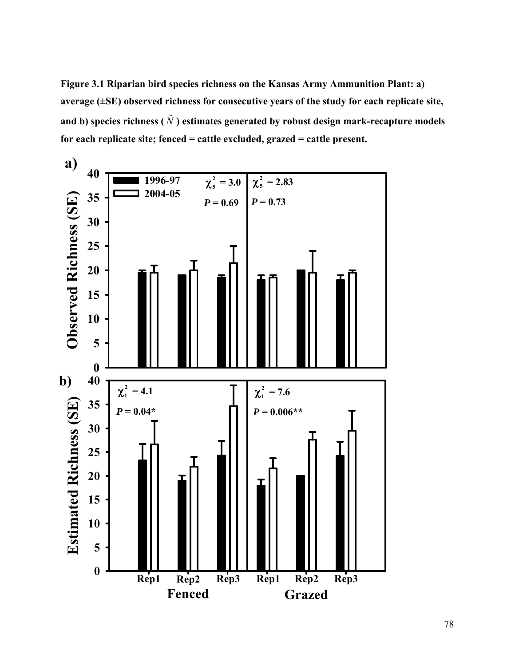**Figure 3.1 Riparian bird species richness on the Kansas Army Ammunition Plant: a) average (±SE) observed richness for consecutive years of the study for each replicate site,**  and b) species richness (  $\hat{N}$  ) estimates generated by robust design mark-recapture models **for each replicate site; fenced = cattle excluded, grazed = cattle present.** 

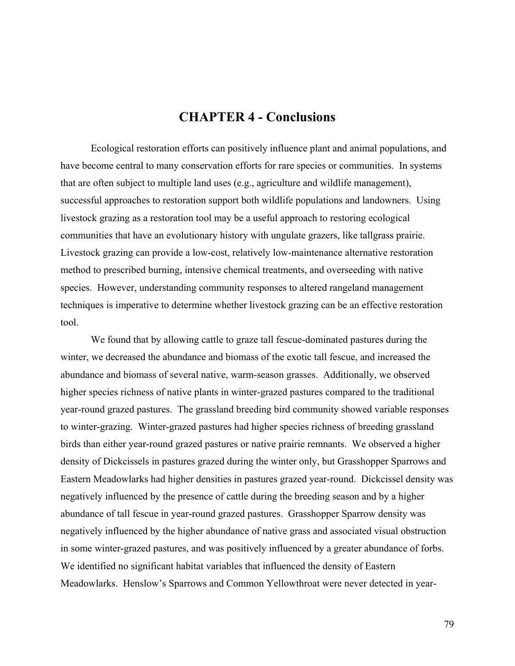## **CHAPTER 4 - Conclusions**

Ecological restoration efforts can positively influence plant and animal populations, and have become central to many conservation efforts for rare species or communities. In systems that are often subject to multiple land uses (e.g., agriculture and wildlife management), successful approaches to restoration support both wildlife populations and landowners. Using livestock grazing as a restoration tool may be a useful approach to restoring ecological communities that have an evolutionary history with ungulate grazers, like tallgrass prairie. Livestock grazing can provide a low-cost, relatively low-maintenance alternative restoration method to prescribed burning, intensive chemical treatments, and overseeding with native species. However, understanding community responses to altered rangeland management techniques is imperative to determine whether livestock grazing can be an effective restoration tool.

We found that by allowing cattle to graze tall fescue-dominated pastures during the winter, we decreased the abundance and biomass of the exotic tall fescue, and increased the abundance and biomass of several native, warm-season grasses. Additionally, we observed higher species richness of native plants in winter-grazed pastures compared to the traditional year-round grazed pastures. The grassland breeding bird community showed variable responses to winter-grazing. Winter-grazed pastures had higher species richness of breeding grassland birds than either year-round grazed pastures or native prairie remnants. We observed a higher density of Dickcissels in pastures grazed during the winter only, but Grasshopper Sparrows and Eastern Meadowlarks had higher densities in pastures grazed year-round. Dickcissel density was negatively influenced by the presence of cattle during the breeding season and by a higher abundance of tall fescue in year-round grazed pastures. Grasshopper Sparrow density was negatively influenced by the higher abundance of native grass and associated visual obstruction in some winter-grazed pastures, and was positively influenced by a greater abundance of forbs. We identified no significant habitat variables that influenced the density of Eastern Meadowlarks. Henslow's Sparrows and Common Yellowthroat were never detected in year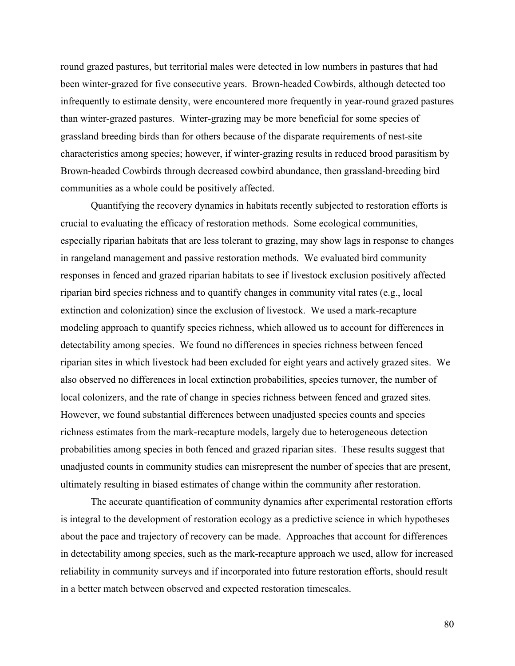round grazed pastures, but territorial males were detected in low numbers in pastures that had been winter-grazed for five consecutive years. Brown-headed Cowbirds, although detected too infrequently to estimate density, were encountered more frequently in year-round grazed pastures than winter-grazed pastures. Winter-grazing may be more beneficial for some species of grassland breeding birds than for others because of the disparate requirements of nest-site characteristics among species; however, if winter-grazing results in reduced brood parasitism by Brown-headed Cowbirds through decreased cowbird abundance, then grassland-breeding bird communities as a whole could be positively affected.

Quantifying the recovery dynamics in habitats recently subjected to restoration efforts is crucial to evaluating the efficacy of restoration methods. Some ecological communities, especially riparian habitats that are less tolerant to grazing, may show lags in response to changes in rangeland management and passive restoration methods. We evaluated bird community responses in fenced and grazed riparian habitats to see if livestock exclusion positively affected riparian bird species richness and to quantify changes in community vital rates (e.g., local extinction and colonization) since the exclusion of livestock. We used a mark-recapture modeling approach to quantify species richness, which allowed us to account for differences in detectability among species. We found no differences in species richness between fenced riparian sites in which livestock had been excluded for eight years and actively grazed sites. We also observed no differences in local extinction probabilities, species turnover, the number of local colonizers, and the rate of change in species richness between fenced and grazed sites. However, we found substantial differences between unadjusted species counts and species richness estimates from the mark-recapture models, largely due to heterogeneous detection probabilities among species in both fenced and grazed riparian sites. These results suggest that unadjusted counts in community studies can misrepresent the number of species that are present, ultimately resulting in biased estimates of change within the community after restoration.

The accurate quantification of community dynamics after experimental restoration efforts is integral to the development of restoration ecology as a predictive science in which hypotheses about the pace and trajectory of recovery can be made. Approaches that account for differences in detectability among species, such as the mark-recapture approach we used, allow for increased reliability in community surveys and if incorporated into future restoration efforts, should result in a better match between observed and expected restoration timescales.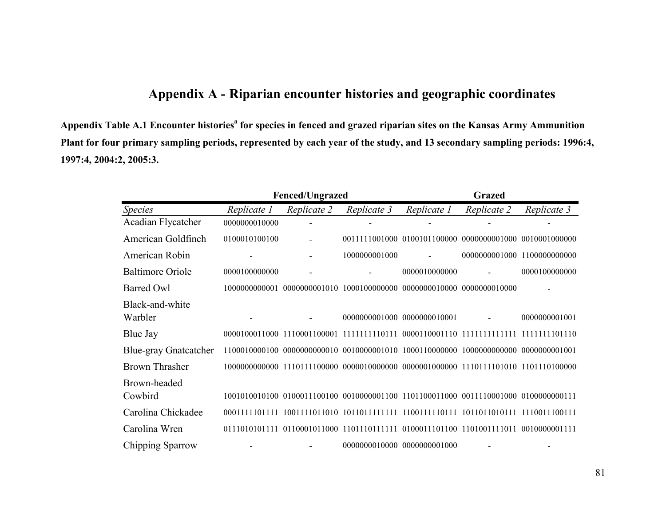## **Appendix A - Riparian encounter histories and geographic coordinates**

**Appendix Table A.1 Encounter historiesa for species in fenced and grazed riparian sites on the Kansas Army Ammunition Plant for four primary sampling periods, represented by each year of the study, and 13 secondary sampling periods: 1996:4, 1997:4, 2004:2, 2005:3.** 

|                              |               | <b>Fenced/Ungrazed</b> |               | <b>Grazed</b>               |                             |               |  |
|------------------------------|---------------|------------------------|---------------|-----------------------------|-----------------------------|---------------|--|
| <b>Species</b>               | Replicate 1   | Replicate 2            | Replicate 3   | Replicate 1                 | Replicate 2                 | Replicate 3   |  |
| Acadian Flycatcher           | 0000000010000 |                        |               |                             |                             |               |  |
| American Goldfinch           | 0100010100100 |                        |               | 0011111001000 0100101100000 | 0000000001000 0010001000000 |               |  |
| American Robin               |               |                        | 1000000001000 |                             | 0000000001000 1100000000000 |               |  |
| <b>Baltimore Oriole</b>      | 0000100000000 |                        |               | 0000010000000               |                             | 0000100000000 |  |
| <b>Barred Owl</b>            | 1000000000001 |                        |               |                             |                             |               |  |
| Black-and-white<br>Warbler   |               |                        |               | 0000000001000 0000000010001 |                             | 0000000001001 |  |
| Blue Jay                     |               |                        |               |                             |                             |               |  |
| <b>Blue-gray Gnatcatcher</b> |               |                        |               |                             |                             |               |  |
| <b>Brown Thrasher</b>        |               |                        |               |                             |                             |               |  |
| Brown-headed<br>Cowbird      |               |                        |               |                             |                             |               |  |
| Carolina Chickadee           | 0001111101111 |                        |               |                             |                             | 1110011100111 |  |
| Carolina Wren                | 0111010101111 |                        |               |                             |                             | 0010000001111 |  |
| Chipping Sparrow             |               |                        |               | 0000000010000 0000000001000 |                             |               |  |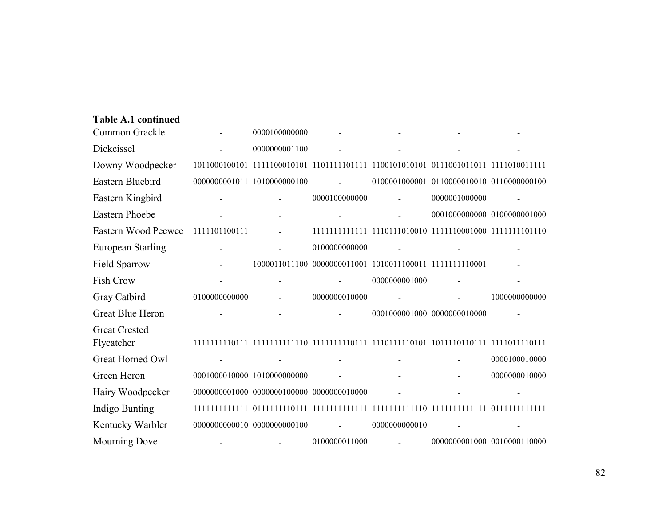| Table A.1 continued      |               |                                           |               |               |                                           |               |
|--------------------------|---------------|-------------------------------------------|---------------|---------------|-------------------------------------------|---------------|
| Common Grackle           |               | 0000100000000                             |               |               |                                           |               |
| Dickcissel               |               | 0000000001100                             |               |               |                                           |               |
| Downy Woodpecker         |               |                                           |               |               |                                           |               |
| Eastern Bluebird         |               | 0000000001011 1010000000100               |               |               | 0100001000001 0110000010010 0110000000100 |               |
| Eastern Kingbird         |               |                                           | 0000100000000 |               | 0000001000000                             |               |
| <b>Eastern Phoebe</b>    |               |                                           |               |               | 0001000000000 0100000001000               |               |
| Eastern Wood Peewee      | 1111101100111 |                                           |               |               |                                           |               |
| <b>European Starling</b> |               |                                           | 0100000000000 |               |                                           |               |
| <b>Field Sparrow</b>     |               |                                           |               |               |                                           |               |
| <b>Fish Crow</b>         |               |                                           |               | 0000000001000 |                                           |               |
| Gray Catbird             | 0100000000000 |                                           | 0000000010000 |               |                                           | 1000000000000 |
| Great Blue Heron         |               |                                           |               |               | 0001000001000 0000000010000               |               |
| <b>Great Crested</b>     |               |                                           |               |               |                                           |               |
| Flycatcher               |               |                                           |               |               |                                           |               |
| Great Horned Owl         |               |                                           |               |               |                                           | 0000100010000 |
| Green Heron              |               | 0001000010000 1010000000000               |               |               |                                           | 0000000010000 |
| Hairy Woodpecker         |               | 0000000001000 0000000100000 0000000010000 |               |               |                                           |               |
| Indigo Bunting           |               |                                           |               |               |                                           |               |
| Kentucky Warbler         |               | 0000000000010 0000000000100               | $\sim$        | 0000000000010 |                                           |               |
| <b>Mourning Dove</b>     |               |                                           | 0100000011000 |               | 0000000001000 0010000110000               |               |

**Table A.1 continued**

82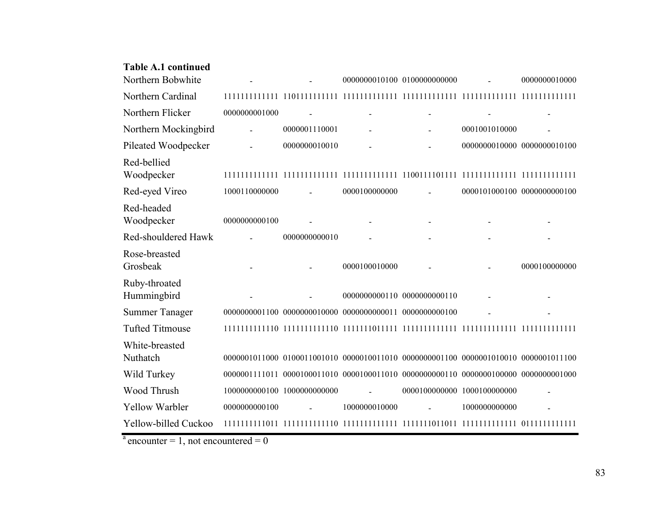| Table A.1 continued    |                             |               |               |                             |                             |                             |
|------------------------|-----------------------------|---------------|---------------|-----------------------------|-----------------------------|-----------------------------|
| Northern Bobwhite      |                             |               |               | 0000000010100 0100000000000 |                             | 0000000010000               |
| Northern Cardinal      |                             |               |               |                             |                             |                             |
| Northern Flicker       | 0000000001000               |               |               |                             |                             |                             |
| Northern Mockingbird   |                             | 0000001110001 |               |                             | 0001001010000               |                             |
| Pileated Woodpecker    |                             | 0000000010010 |               |                             | 0000000010000 0000000010100 |                             |
| Red-bellied            |                             |               |               |                             |                             |                             |
| Woodpecker             |                             |               |               |                             |                             |                             |
| Red-eyed Vireo         | 1000110000000               |               | 0000100000000 |                             |                             | 0000101000100 0000000000100 |
| Red-headed             |                             |               |               |                             |                             |                             |
| Woodpecker             | 0000000000100               |               |               |                             |                             |                             |
| Red-shouldered Hawk    |                             | 0000000000010 |               |                             |                             |                             |
| Rose-breasted          |                             |               |               |                             |                             |                             |
| Grosbeak               |                             |               | 0000100010000 |                             |                             | 0000100000000               |
| Ruby-throated          |                             |               |               |                             |                             |                             |
| Hummingbird            |                             |               |               | 0000000000110 0000000000110 |                             |                             |
| <b>Summer Tanager</b>  |                             |               |               |                             |                             |                             |
| <b>Tufted Titmouse</b> |                             |               |               |                             |                             |                             |
| White-breasted         |                             |               |               |                             |                             |                             |
| Nuthatch               |                             |               |               |                             |                             |                             |
| Wild Turkey            |                             |               |               |                             |                             |                             |
| Wood Thrush            | 1000000000100 1000000000000 |               |               | 0000100000000 1000100000000 |                             |                             |
| <b>Yellow Warbler</b>  | 0000000000100               |               | 1000000010000 |                             | 1000000000000               |                             |
| Yellow-billed Cuckoo   |                             |               |               |                             |                             |                             |

 $a$  encounter = 1, not encountered = 0